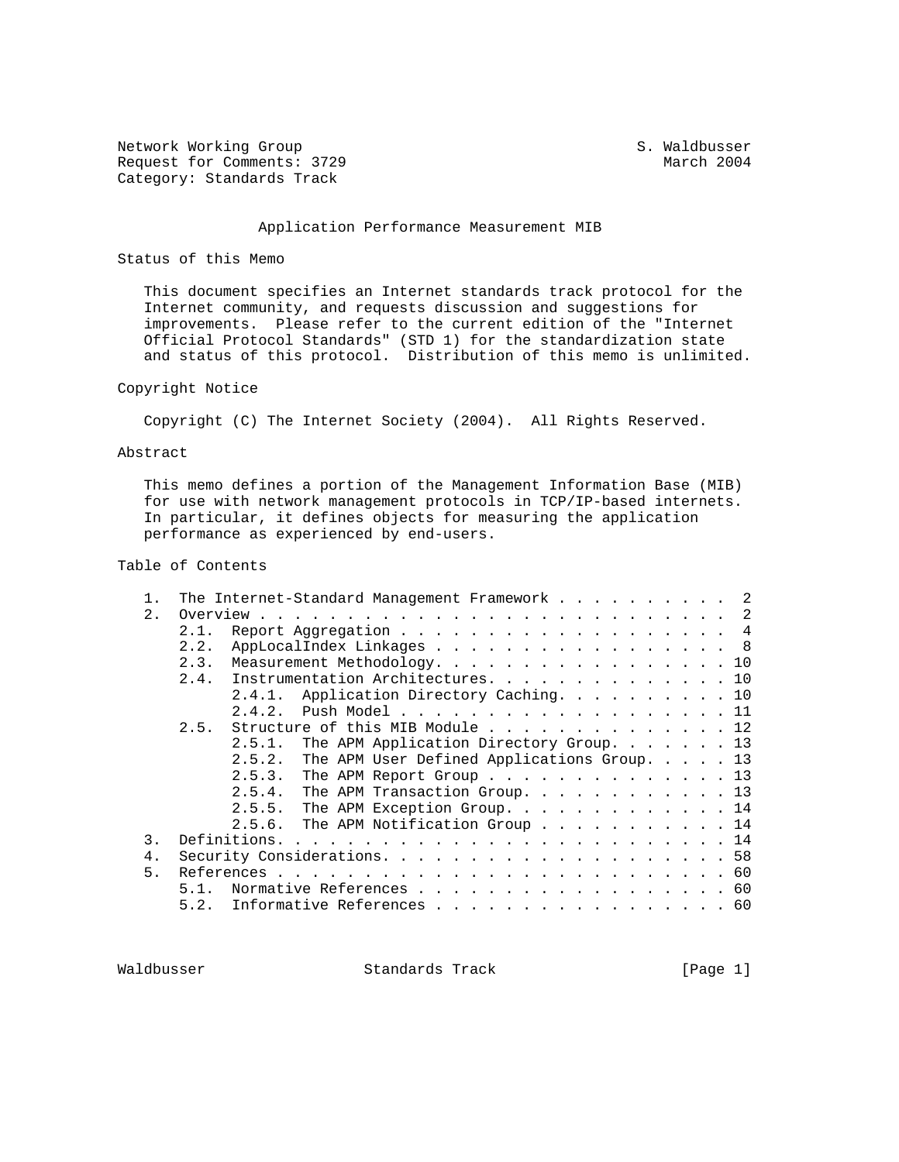Network Working Group S. Waldbusser Request for Comments: 3729 March 2004 Category: Standards Track

### Application Performance Measurement MIB

### Status of this Memo

 This document specifies an Internet standards track protocol for the Internet community, and requests discussion and suggestions for improvements. Please refer to the current edition of the "Internet Official Protocol Standards" (STD 1) for the standardization state and status of this protocol. Distribution of this memo is unlimited.

## Copyright Notice

Copyright (C) The Internet Society (2004). All Rights Reserved.

## Abstract

 This memo defines a portion of the Management Information Base (MIB) for use with network management protocols in TCP/IP-based internets. In particular, it defines objects for measuring the application performance as experienced by end-users.

# Table of Contents

|    | The Internet-Standard Management Framework 2          |
|----|-------------------------------------------------------|
| 2. |                                                       |
|    | Report Aggregation 4<br>2.1.                          |
|    | AppLocalIndex Linkages 8<br>2.2.                      |
|    | Measurement Methodology. 10<br>2.3.                   |
|    | 2.4. Instrumentation Architectures. 10                |
|    | Application Directory Caching. 10<br>2.4.1.           |
|    | 2.4.2. Push Model 11                                  |
|    | Structure of this MIB Module 12<br>2.5.               |
|    | The APM Application Directory Group. 13<br>2.5.1.     |
|    | The APM User Defined Applications Group. 13<br>2.5.2. |
|    | 2.5.3.<br>The APM Report Group 13                     |
|    | 2.5.4. The APM Transaction Group. 13                  |
|    | 2.5.5.<br>The APM Exception Group. 14                 |
|    | The APM Notification Group 14<br>2.5.6.               |
| 3. |                                                       |
| 4. |                                                       |
| 5. |                                                       |
|    | Normative References 60<br>5.1.                       |
|    | Informative References 60<br>5.2.                     |
|    |                                                       |

Waldbusser Standards Track [Page 1]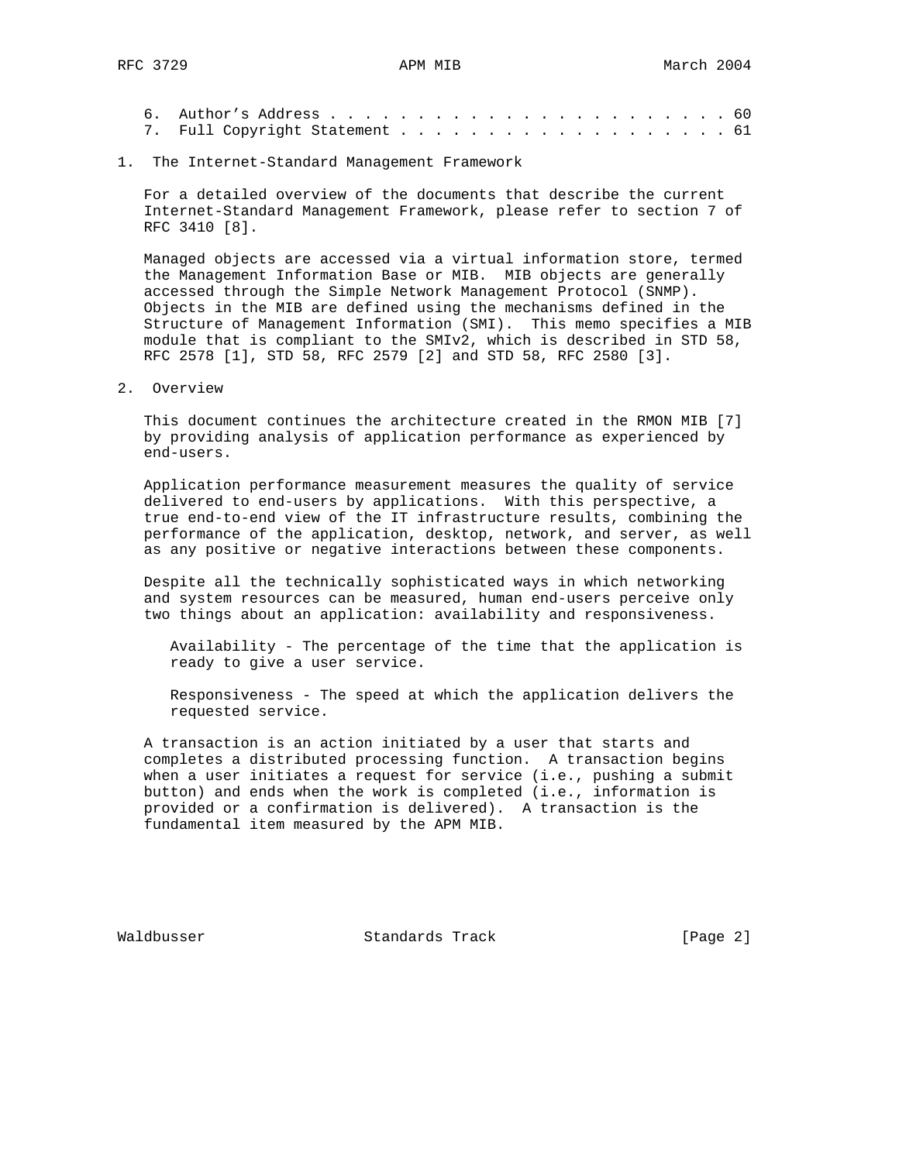### 1. The Internet-Standard Management Framework

 For a detailed overview of the documents that describe the current Internet-Standard Management Framework, please refer to section 7 of RFC 3410 [8].

 Managed objects are accessed via a virtual information store, termed the Management Information Base or MIB. MIB objects are generally accessed through the Simple Network Management Protocol (SNMP). Objects in the MIB are defined using the mechanisms defined in the Structure of Management Information (SMI). This memo specifies a MIB module that is compliant to the SMIv2, which is described in STD 58, RFC 2578 [1], STD 58, RFC 2579 [2] and STD 58, RFC 2580 [3].

2. Overview

 This document continues the architecture created in the RMON MIB [7] by providing analysis of application performance as experienced by end-users.

 Application performance measurement measures the quality of service delivered to end-users by applications. With this perspective, a true end-to-end view of the IT infrastructure results, combining the performance of the application, desktop, network, and server, as well as any positive or negative interactions between these components.

 Despite all the technically sophisticated ways in which networking and system resources can be measured, human end-users perceive only two things about an application: availability and responsiveness.

 Availability - The percentage of the time that the application is ready to give a user service.

 Responsiveness - The speed at which the application delivers the requested service.

 A transaction is an action initiated by a user that starts and completes a distributed processing function. A transaction begins when a user initiates a request for service (i.e., pushing a submit button) and ends when the work is completed (i.e., information is provided or a confirmation is delivered). A transaction is the fundamental item measured by the APM MIB.

Waldbusser Standards Track [Page 2]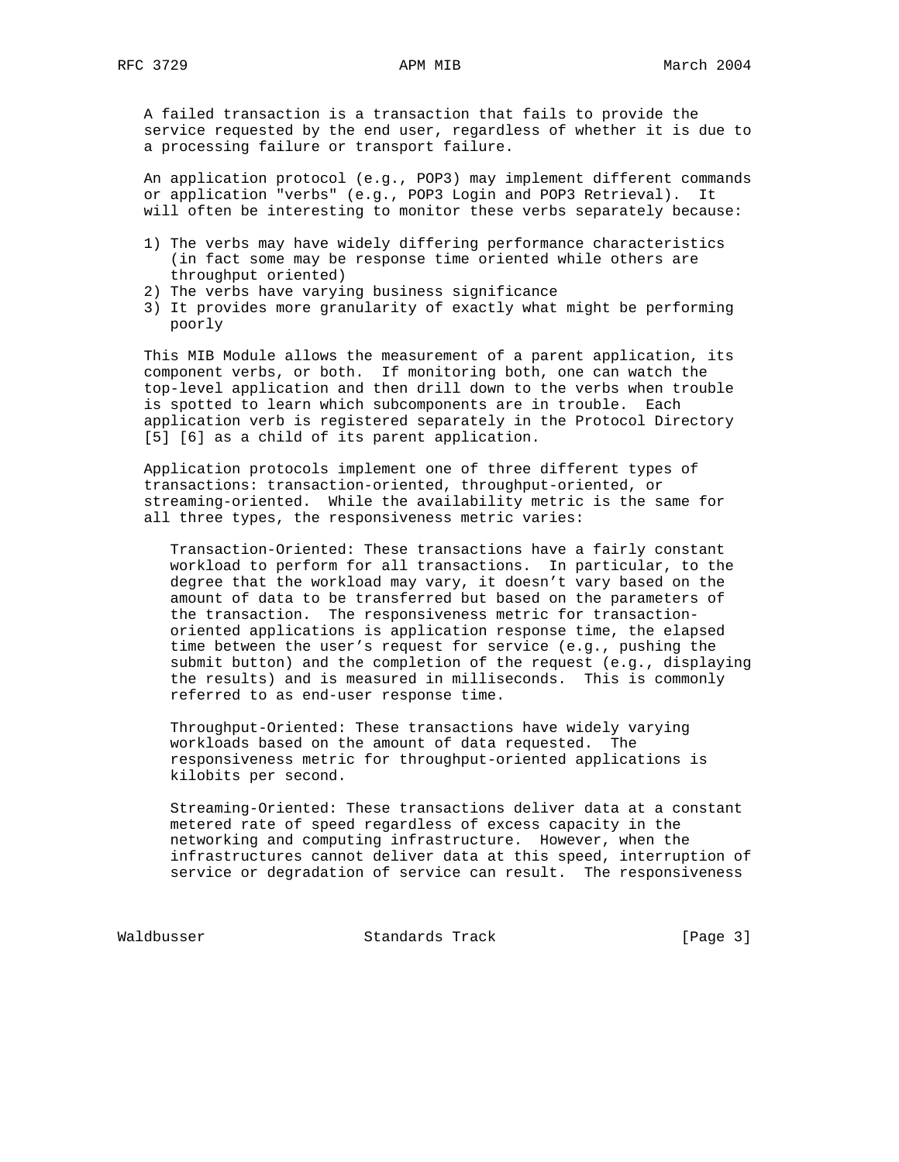A failed transaction is a transaction that fails to provide the service requested by the end user, regardless of whether it is due to a processing failure or transport failure.

 An application protocol (e.g., POP3) may implement different commands or application "verbs" (e.g., POP3 Login and POP3 Retrieval). It will often be interesting to monitor these verbs separately because:

- 1) The verbs may have widely differing performance characteristics (in fact some may be response time oriented while others are throughput oriented)
- 2) The verbs have varying business significance
- 3) It provides more granularity of exactly what might be performing poorly

 This MIB Module allows the measurement of a parent application, its component verbs, or both. If monitoring both, one can watch the top-level application and then drill down to the verbs when trouble is spotted to learn which subcomponents are in trouble. Each application verb is registered separately in the Protocol Directory [5] [6] as a child of its parent application.

 Application protocols implement one of three different types of transactions: transaction-oriented, throughput-oriented, or streaming-oriented. While the availability metric is the same for all three types, the responsiveness metric varies:

 Transaction-Oriented: These transactions have a fairly constant workload to perform for all transactions. In particular, to the degree that the workload may vary, it doesn't vary based on the amount of data to be transferred but based on the parameters of the transaction. The responsiveness metric for transaction oriented applications is application response time, the elapsed time between the user's request for service (e.g., pushing the submit button) and the completion of the request (e.g., displaying the results) and is measured in milliseconds. This is commonly referred to as end-user response time.

 Throughput-Oriented: These transactions have widely varying workloads based on the amount of data requested. The responsiveness metric for throughput-oriented applications is kilobits per second.

 Streaming-Oriented: These transactions deliver data at a constant metered rate of speed regardless of excess capacity in the networking and computing infrastructure. However, when the infrastructures cannot deliver data at this speed, interruption of service or degradation of service can result. The responsiveness

Waldbusser Standards Track [Page 3]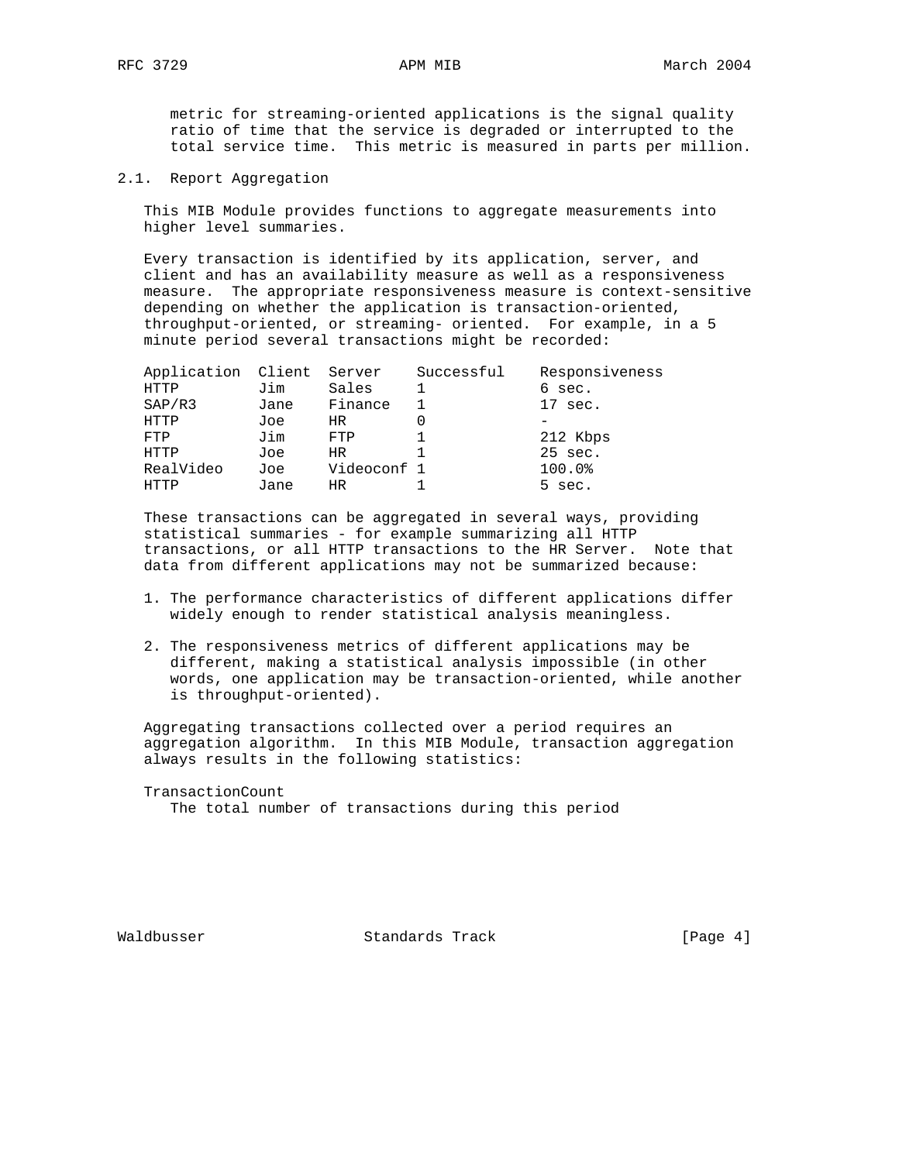metric for streaming-oriented applications is the signal quality ratio of time that the service is degraded or interrupted to the total service time. This metric is measured in parts per million.

2.1. Report Aggregation

 This MIB Module provides functions to aggregate measurements into higher level summaries.

 Every transaction is identified by its application, server, and client and has an availability measure as well as a responsiveness measure. The appropriate responsiveness measure is context-sensitive depending on whether the application is transaction-oriented, throughput-oriented, or streaming- oriented. For example, in a 5 minute period several transactions might be recorded:

| Application Client Server |      |             | Successful | Responsiveness    |
|---------------------------|------|-------------|------------|-------------------|
| HTTP                      | Jim  | Sales       |            | 6 sec.            |
| SAP/R3                    | Jane | Finance     |            | $17 \text{ sec.}$ |
| HTTP                      | Joe  | HR.         |            |                   |
| FTP                       | Jim  | FTP         |            | 212 Kbps          |
| HTTP                      | Joe  | HR.         |            | 25 sec.           |
| RealVideo                 | Joe  | Videoconf 1 |            | 100.0%            |
| HTTP                      | Jane | HR          |            | 5 sec.            |
|                           |      |             |            |                   |

 These transactions can be aggregated in several ways, providing statistical summaries - for example summarizing all HTTP transactions, or all HTTP transactions to the HR Server. Note that data from different applications may not be summarized because:

- 1. The performance characteristics of different applications differ widely enough to render statistical analysis meaningless.
- 2. The responsiveness metrics of different applications may be different, making a statistical analysis impossible (in other words, one application may be transaction-oriented, while another is throughput-oriented).

 Aggregating transactions collected over a period requires an aggregation algorithm. In this MIB Module, transaction aggregation always results in the following statistics:

TransactionCount

The total number of transactions during this period

Waldbusser Standards Track (Page 4)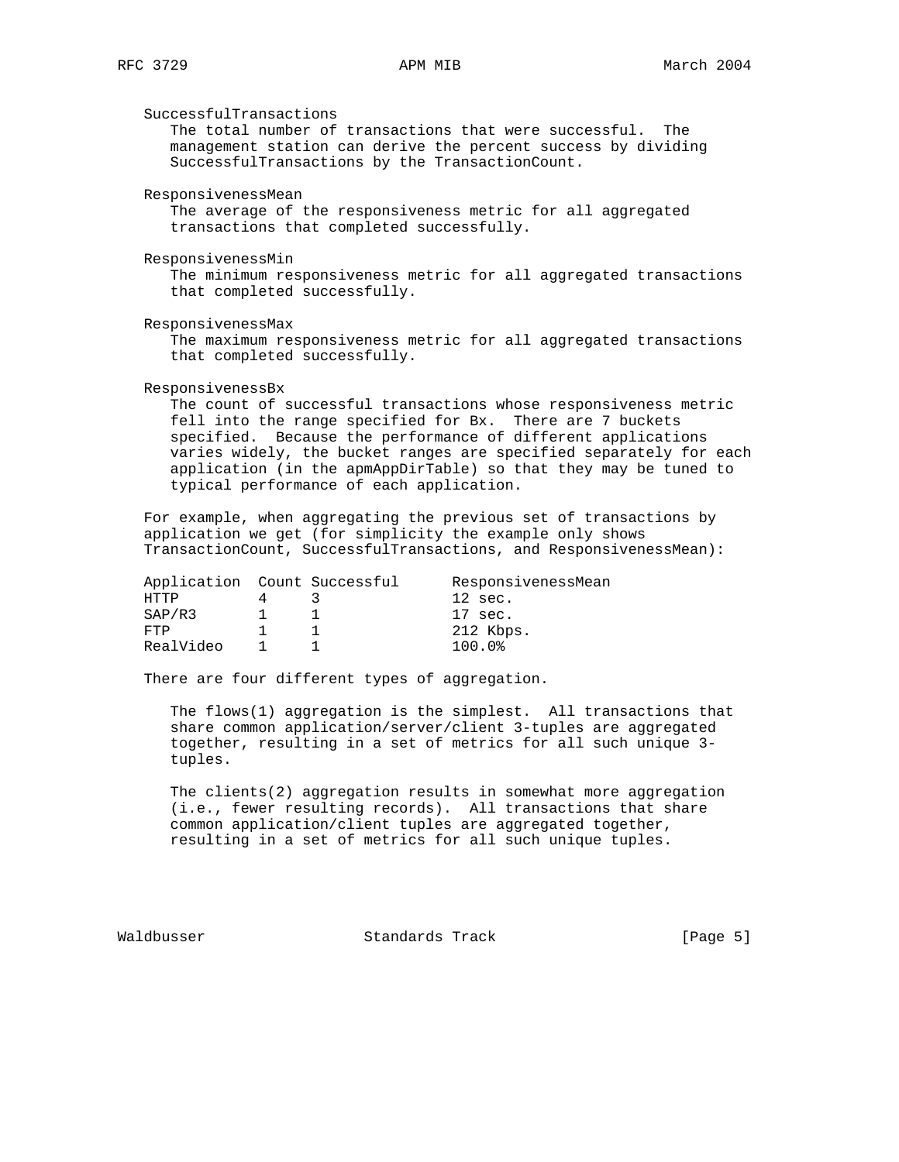SuccessfulTransactions

 The total number of transactions that were successful. The management station can derive the percent success by dividing SuccessfulTransactions by the TransactionCount.

ResponsivenessMean

 The average of the responsiveness metric for all aggregated transactions that completed successfully.

ResponsivenessMin

 The minimum responsiveness metric for all aggregated transactions that completed successfully.

ResponsivenessMax

 The maximum responsiveness metric for all aggregated transactions that completed successfully.

ResponsivenessBx

 The count of successful transactions whose responsiveness metric fell into the range specified for Bx. There are 7 buckets specified. Because the performance of different applications varies widely, the bucket ranges are specified separately for each application (in the apmAppDirTable) so that they may be tuned to typical performance of each application.

 For example, when aggregating the previous set of transactions by application we get (for simplicity the example only shows TransactionCount, SuccessfulTransactions, and ResponsivenessMean):

|           | Application Count Successful | ResponsivenessMean   |
|-----------|------------------------------|----------------------|
| HTTP      |                              | $12 \text{ sec.}$    |
| SAP/R3    |                              | 17 sec.              |
| FTP       |                              | 212 Kbps.            |
| RealVideo |                              | $100.0$ <sup>8</sup> |

There are four different types of aggregation.

 The flows(1) aggregation is the simplest. All transactions that share common application/server/client 3-tuples are aggregated together, resulting in a set of metrics for all such unique 3 tuples.

 The clients(2) aggregation results in somewhat more aggregation (i.e., fewer resulting records). All transactions that share common application/client tuples are aggregated together, resulting in a set of metrics for all such unique tuples.

Waldbusser Standards Track (Page 5)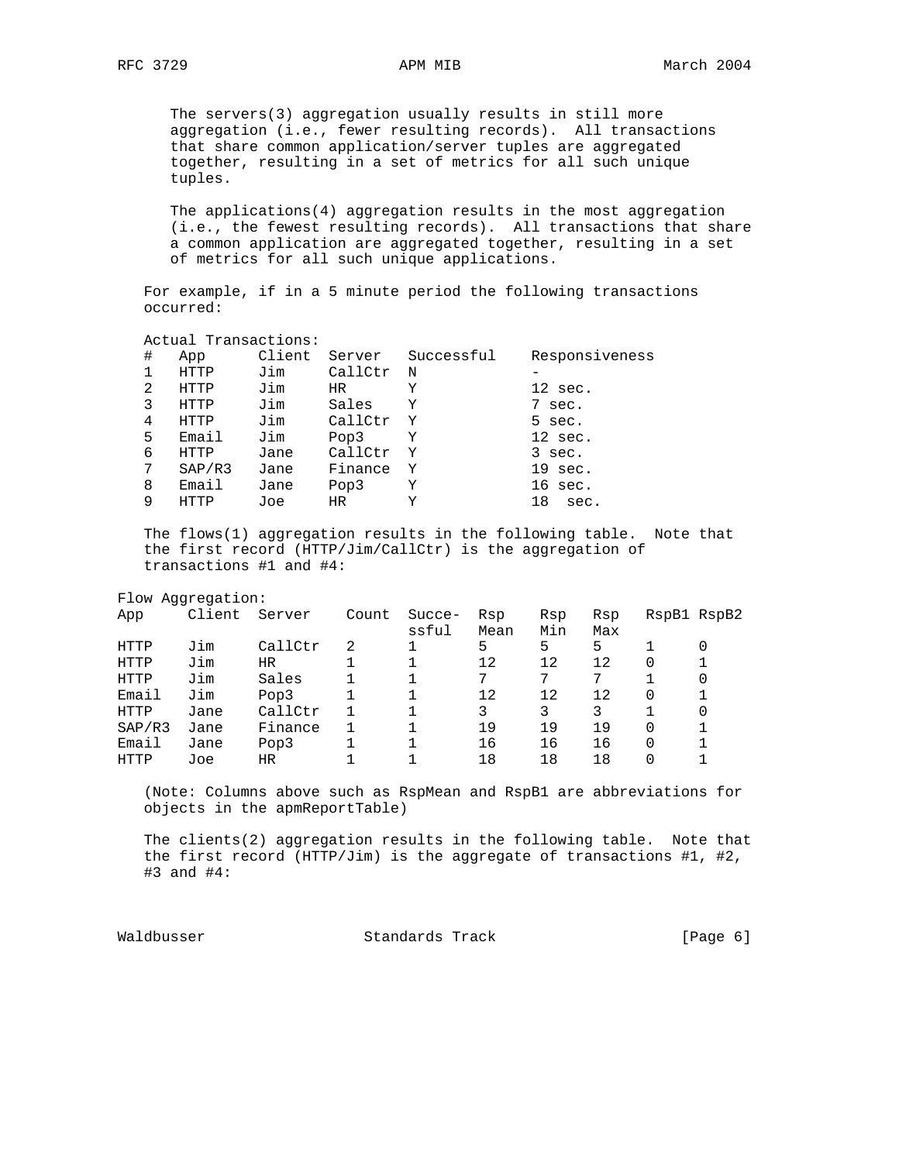The servers(3) aggregation usually results in still more aggregation (i.e., fewer resulting records). All transactions that share common application/server tuples are aggregated together, resulting in a set of metrics for all such unique tuples.

 The applications(4) aggregation results in the most aggregation (i.e., the fewest resulting records). All transactions that share a common application are aggregated together, resulting in a set of metrics for all such unique applications.

 For example, if in a 5 minute period the following transactions occurred:

Actual Transactions:

| # | App    | Client | Server  | Successful  | Responsiveness    |
|---|--------|--------|---------|-------------|-------------------|
|   | HTTP   | Jim    | CallCtr | $\mathbf N$ |                   |
| 2 | HTTP   | Jim    | HR.     | Y           | $12 \text{ sec.}$ |
| 3 | HTTP   | Jim    | Sales   | Y           | 7 sec.            |
| 4 | HTTP   | Jim    | CallCtr | Y           | 5 sec.            |
| 5 | Email  | Jim    | Pop3    | Υ           | $12 \text{ sec.}$ |
| 6 | HTTP   | Jane   | CallCtr | Y           | 3 sec.            |
| 7 | SAP/R3 | Jane   | Finance | Y           | $19 \text{ sec.}$ |
| 8 | Email  | Jane   | Pop3    | Υ           | $16 \text{ sec.}$ |
| 9 | HTTP   | Joe    | HR.     | Y           | 18<br>sec.        |

 The flows(1) aggregation results in the following table. Note that the first record (HTTP/Jim/CallCtr) is the aggregation of transactions #1 and #4:

Flow Aggregation:

| App    | Client | Server  | Count | Succe-<br>ssful | Rsp<br>Mean | Rsp<br>Min | Rsp<br>Max | RspB1 RspB2 |   |
|--------|--------|---------|-------|-----------------|-------------|------------|------------|-------------|---|
| HTTP   | Jim    | CallCtr | 2     |                 | 5           | 5          | 5          |             |   |
| HTTP   | Jim    | HR.     |       |                 | 12          | 12         | 12         | 0           |   |
| HTTP   | Jim    | Sales   |       |                 | 7           | 7          | 7          |             | 0 |
| Email  | Jim    | Pop3    |       |                 | 12          | 12         | 12         | 0           |   |
| HTTP   | Jane   | CallCtr |       |                 | 3           |            | 3          |             | 0 |
| SAP/R3 | Jane   | Finance |       |                 | 19          | 19         | 19         | 0           |   |
| Email  | Jane   | Pop3    |       |                 | 16          | 16         | 16         | 0           |   |
| HTTP   | Joe    | ΗR      |       |                 | 18          | 18         | 18         | 0           |   |

 (Note: Columns above such as RspMean and RspB1 are abbreviations for objects in the apmReportTable)

 The clients(2) aggregation results in the following table. Note that the first record (HTTP/Jim) is the aggregate of transactions  $#1, #2,$ #3 and #4:

Waldbusser Standards Track [Page 6]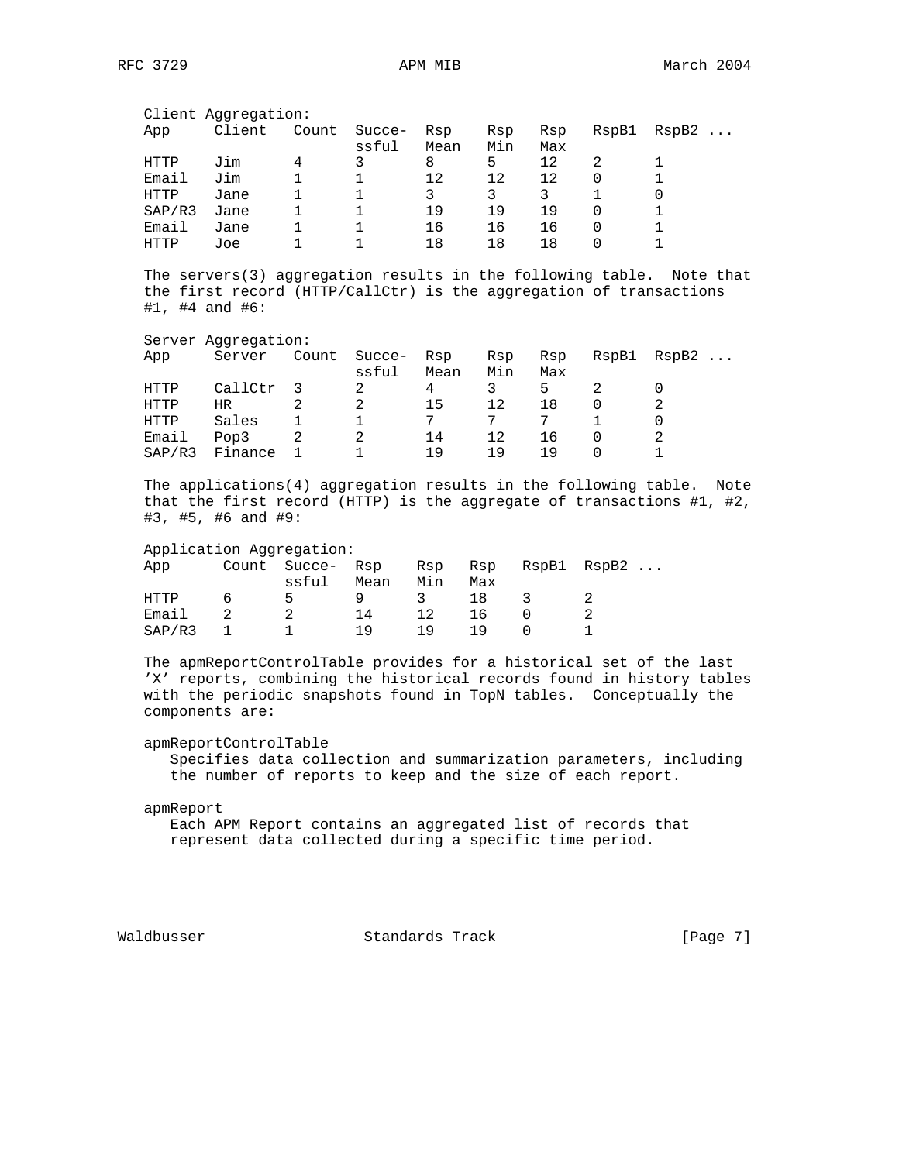| Client Aggregation: |        |        |       |                 |             |            |            |       |                   |
|---------------------|--------|--------|-------|-----------------|-------------|------------|------------|-------|-------------------|
|                     | App    | Client | Count | Succe-<br>ssful | Rsp<br>Mean | Rsp<br>Min | Rsp<br>Max | RspB1 | RspB2<br>$\ddots$ |
|                     | HTTP   | Jim    | 4     | 3               | 8           | 5          | 12         | 2     |                   |
|                     | Email  | Jim    |       |                 | 12          | 12         | 12         |       |                   |
|                     | HTTP   | Jane   |       |                 | 3           | 3          | 3          |       |                   |
|                     | SAP/R3 | Jane   |       |                 | 19          | 19         | 19         | 0     |                   |
|                     | Email  | Jane   |       |                 | 16          | 16         | 16         | 0     |                   |
|                     | HTTP   | Joe    |       |                 | 18          | 18         | 18         |       |                   |

 The servers(3) aggregation results in the following table. Note that the first record (HTTP/CallCtr) is the aggregation of transactions #1, #4 and #6:

| Server Aggregation: |         |       |                 |             |            |            |       |       |
|---------------------|---------|-------|-----------------|-------------|------------|------------|-------|-------|
| App                 | Server  | Count | Succe-<br>ssful | Rsp<br>Mean | Rsp<br>Min | Rsp<br>Max | RspB1 | RspB2 |
| HTTP                | CallCtr |       | 2               | 4           | 3          | 5          |       |       |
| HTTP                | HR      |       |                 | 15          | 12         | 18         | 0     |       |
| HTTP                | Sales   |       |                 | 7           |            |            |       |       |
| Email               | Pop3    |       | 2               | 14          | 12         | 16         | 0     |       |
| SAP/R3              | Finance |       |                 | 1 9         | 19         | 1 9        |       |       |

 The applications(4) aggregation results in the following table. Note that the first record (HTTP) is the aggregate of transactions #1, #2, #3, #5, #6 and #9:

### Application Aggregation:

| App    |   | Count Succe- Rsp |      | Rsp           | Rsp |     | RspB1 RspB2 |
|--------|---|------------------|------|---------------|-----|-----|-------------|
|        |   | ssful            | Mean | Min           | Max |     |             |
| HTTP   | 6 | 5                | Q.   | $\mathcal{R}$ | 18  | - 3 |             |
| Email  |   |                  | 14   | 12            | 16  |     |             |
| SAP/R3 |   |                  | 1 Q  | 1 Q           | 1 Q |     |             |

 The apmReportControlTable provides for a historical set of the last 'X' reports, combining the historical records found in history tables with the periodic snapshots found in TopN tables. Conceptually the components are:

## apmReportControlTable

 Specifies data collection and summarization parameters, including the number of reports to keep and the size of each report.

### apmReport

 Each APM Report contains an aggregated list of records that represent data collected during a specific time period.

Waldbusser Standards Track [Page 7]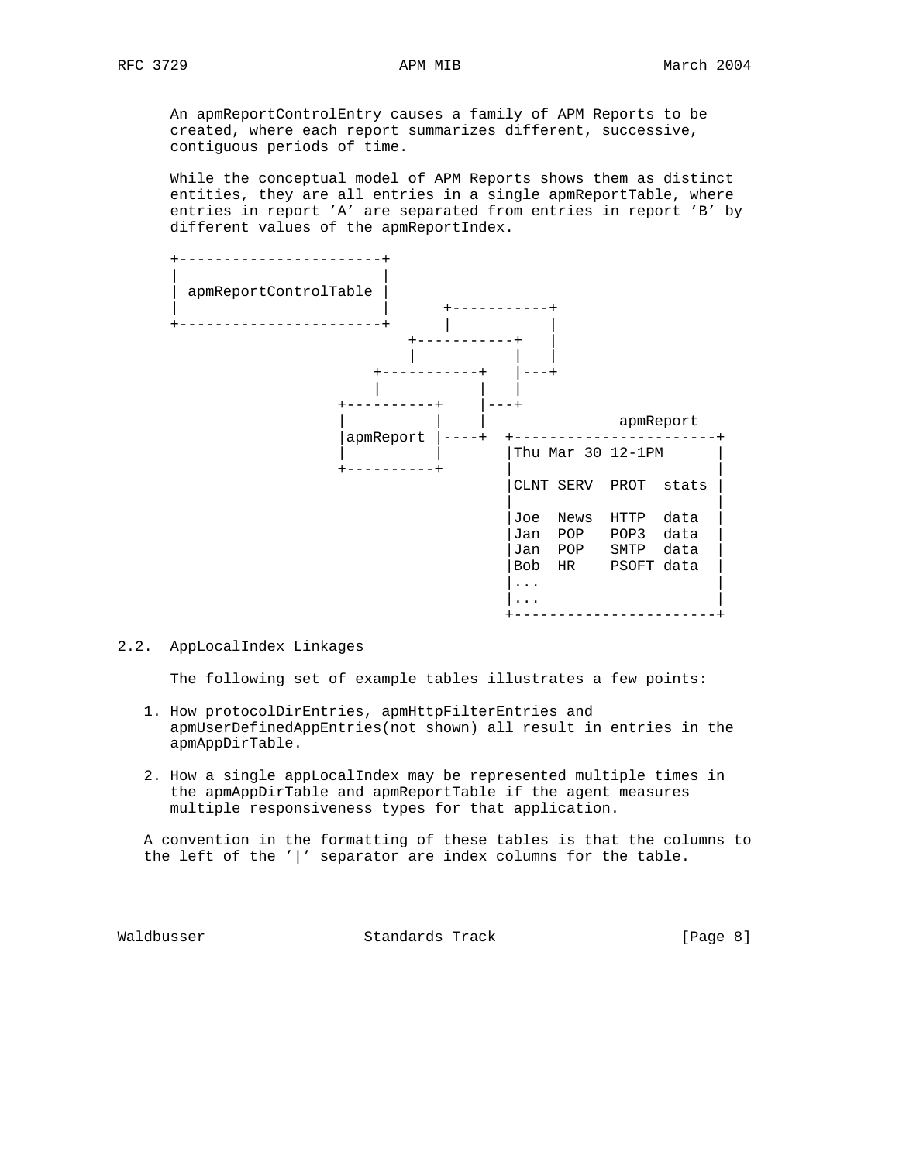An apmReportControlEntry causes a family of APM Reports to be created, where each report summarizes different, successive, contiguous periods of time.

 While the conceptual model of APM Reports shows them as distinct entities, they are all entries in a single apmReportTable, where entries in report 'A' are separated from entries in report 'B' by different values of the apmReportIndex.



## 2.2. AppLocalIndex Linkages

The following set of example tables illustrates a few points:

- 1. How protocolDirEntries, apmHttpFilterEntries and apmUserDefinedAppEntries(not shown) all result in entries in the apmAppDirTable.
- 2. How a single appLocalIndex may be represented multiple times in the apmAppDirTable and apmReportTable if the agent measures multiple responsiveness types for that application.

 A convention in the formatting of these tables is that the columns to the left of the  $'$   $'$  separator are index columns for the table.

Waldbusser Standards Track [Page 8]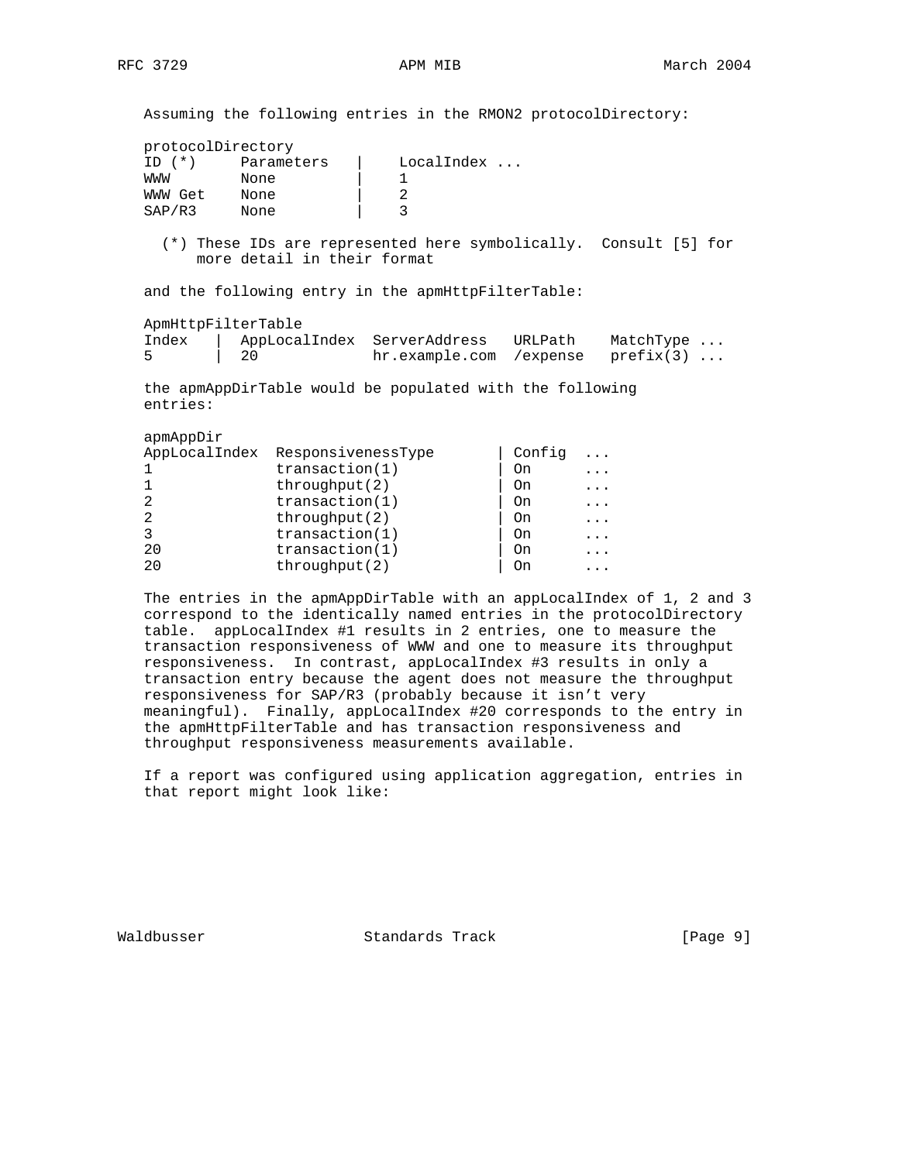Assuming the following entries in the RMON2 protocolDirectory:

|               | protocolDirectory |              |
|---------------|-------------------|--------------|
| $(* )$<br>TD. | Parameters        | $LocalIndex$ |
| MMM           | None              |              |
| WWW Get       | None              |              |
| SAP/R3        | None              |              |

 (\*) These IDs are represented here symbolically. Consult [5] for more detail in their format

and the following entry in the apmHttpFilterTable:

| ApmHttpFilterTable |      |                                       |         |           |  |  |  |  |
|--------------------|------|---------------------------------------|---------|-----------|--|--|--|--|
| Index              |      | AppLocalIndex ServerAddress           | URLPath | MatchType |  |  |  |  |
|                    | , 20 | $hr.$ example.com / expense prefix(3) |         |           |  |  |  |  |

 the apmAppDirTable would be populated with the following entries:

apmAppDir

| AppLocalIndex ResponsivenessType | Config<br>. |
|----------------------------------|-------------|
| transaction(1)<br>On             | $\cdots$    |
| throughput(2)<br>On              | $\cdots$    |
| transaction(1)<br>2<br>On        | $\cdots$    |
| throughput(2)<br>2<br>On         | $\ddots$    |
| transaction(1)<br>3<br>On        | .           |
| transaction(1)<br>20<br>On       | .           |
| throughput(2)<br>2.0<br>On       |             |

The entries in the apmAppDirTable with an appLocalIndex of 1, 2 and 3 correspond to the identically named entries in the protocolDirectory table. appLocalIndex #1 results in 2 entries, one to measure the transaction responsiveness of WWW and one to measure its throughput responsiveness. In contrast, appLocalIndex #3 results in only a transaction entry because the agent does not measure the throughput responsiveness for SAP/R3 (probably because it isn't very meaningful). Finally, appLocalIndex #20 corresponds to the entry in the apmHttpFilterTable and has transaction responsiveness and throughput responsiveness measurements available.

 If a report was configured using application aggregation, entries in that report might look like:

Waldbusser Standards Track [Page 9]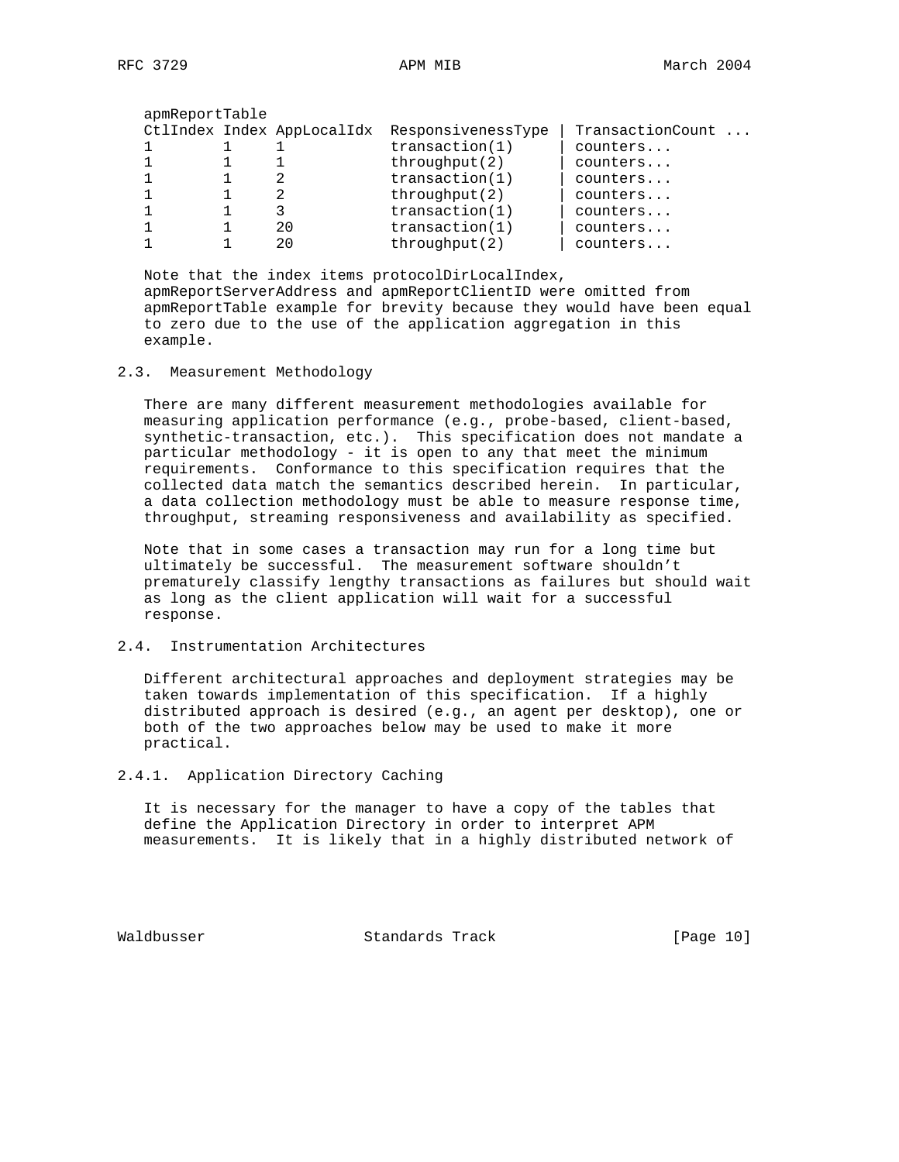| apmReportTable |                            |                    |                  |
|----------------|----------------------------|--------------------|------------------|
|                | CtlIndex Index AppLocalIdx | ResponsivenessType | TransactionCount |
|                |                            | transaction(1)     | counters         |
|                |                            | throughput(2)      | counters         |
|                |                            | transaction(1)     | counters         |
|                |                            | throughput(2)      | counters         |
|                |                            | transaction(1)     | counters         |
|                | 20                         | transaction(1)     | counters         |
|                | 20                         | throughput(2)      | counters         |

 Note that the index items protocolDirLocalIndex, apmReportServerAddress and apmReportClientID were omitted from apmReportTable example for brevity because they would have been equal to zero due to the use of the application aggregation in this example.

2.3. Measurement Methodology

 There are many different measurement methodologies available for measuring application performance (e.g., probe-based, client-based, synthetic-transaction, etc.). This specification does not mandate a particular methodology - it is open to any that meet the minimum requirements. Conformance to this specification requires that the collected data match the semantics described herein. In particular, a data collection methodology must be able to measure response time, throughput, streaming responsiveness and availability as specified.

 Note that in some cases a transaction may run for a long time but ultimately be successful. The measurement software shouldn't prematurely classify lengthy transactions as failures but should wait as long as the client application will wait for a successful response.

# 2.4. Instrumentation Architectures

 Different architectural approaches and deployment strategies may be taken towards implementation of this specification. If a highly distributed approach is desired (e.g., an agent per desktop), one or both of the two approaches below may be used to make it more practical.

2.4.1. Application Directory Caching

 It is necessary for the manager to have a copy of the tables that define the Application Directory in order to interpret APM measurements. It is likely that in a highly distributed network of

Waldbusser Standards Track [Page 10]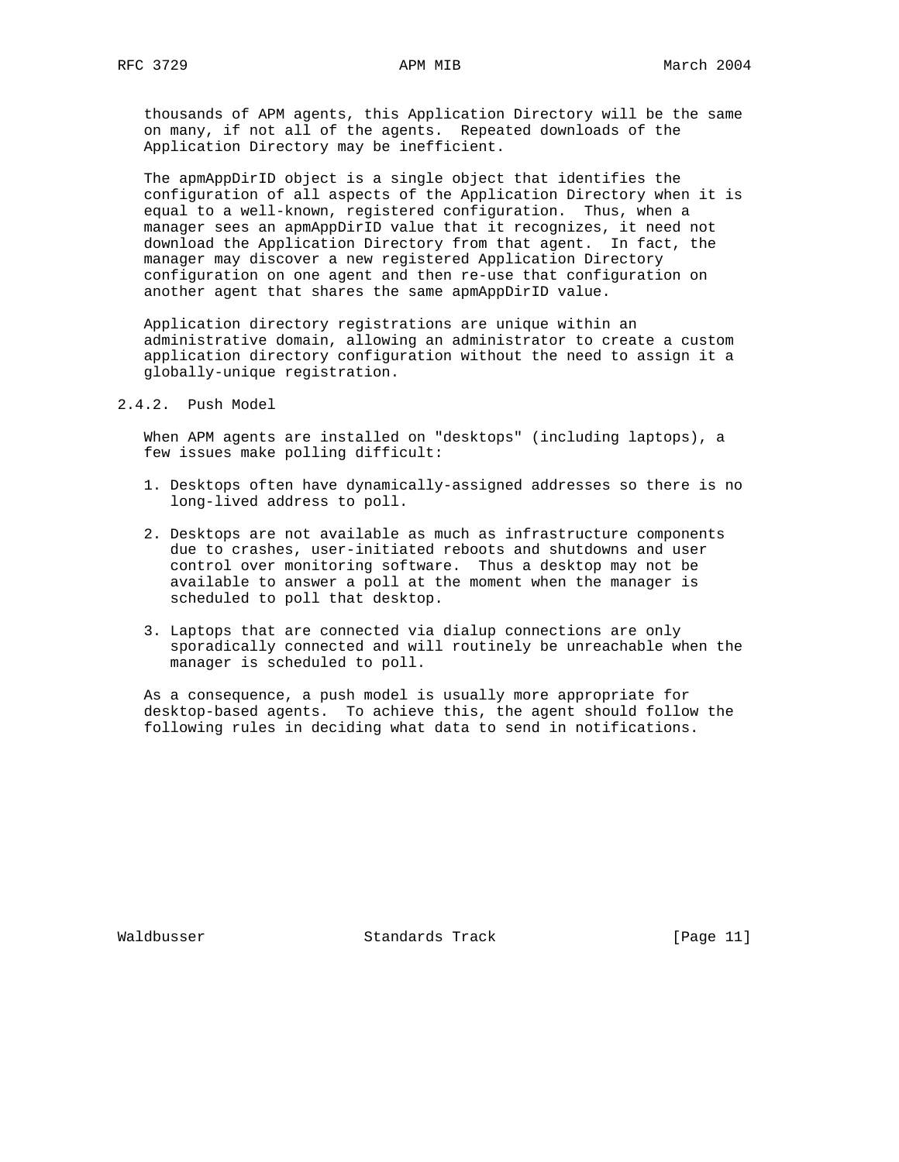thousands of APM agents, this Application Directory will be the same on many, if not all of the agents. Repeated downloads of the Application Directory may be inefficient.

 The apmAppDirID object is a single object that identifies the configuration of all aspects of the Application Directory when it is equal to a well-known, registered configuration. Thus, when a manager sees an apmAppDirID value that it recognizes, it need not download the Application Directory from that agent. In fact, the manager may discover a new registered Application Directory configuration on one agent and then re-use that configuration on another agent that shares the same apmAppDirID value.

 Application directory registrations are unique within an administrative domain, allowing an administrator to create a custom application directory configuration without the need to assign it a globally-unique registration.

2.4.2. Push Model

 When APM agents are installed on "desktops" (including laptops), a few issues make polling difficult:

- 1. Desktops often have dynamically-assigned addresses so there is no long-lived address to poll.
- 2. Desktops are not available as much as infrastructure components due to crashes, user-initiated reboots and shutdowns and user control over monitoring software. Thus a desktop may not be available to answer a poll at the moment when the manager is scheduled to poll that desktop.
- 3. Laptops that are connected via dialup connections are only sporadically connected and will routinely be unreachable when the manager is scheduled to poll.

 As a consequence, a push model is usually more appropriate for desktop-based agents. To achieve this, the agent should follow the following rules in deciding what data to send in notifications.

Waldbusser Standards Track [Page 11]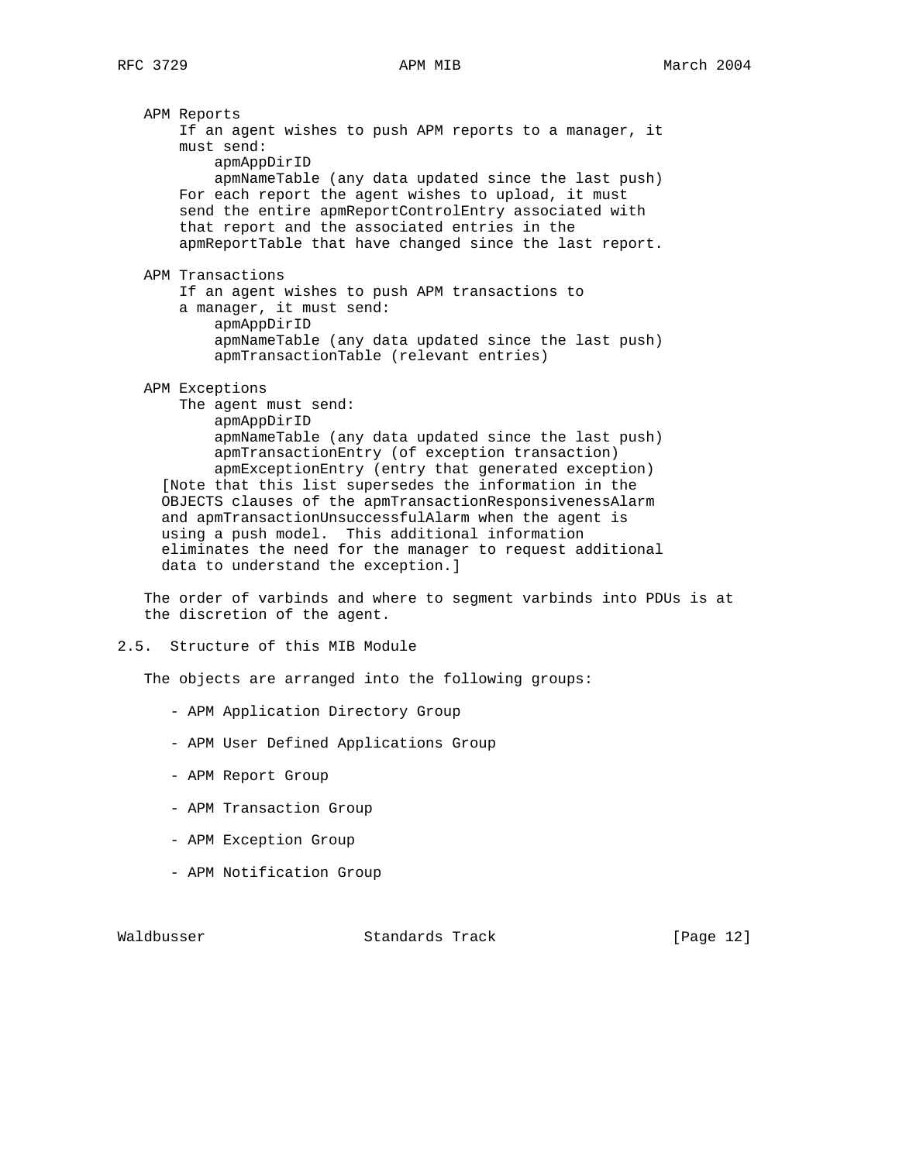APM Reports If an agent wishes to push APM reports to a manager, it must send: apmAppDirID apmNameTable (any data updated since the last push) For each report the agent wishes to upload, it must send the entire apmReportControlEntry associated with that report and the associated entries in the apmReportTable that have changed since the last report. APM Transactions If an agent wishes to push APM transactions to a manager, it must send: apmAppDirID apmNameTable (any data updated since the last push) apmTransactionTable (relevant entries) APM Exceptions The agent must send: apmAppDirID apmNameTable (any data updated since the last push) apmTransactionEntry (of exception transaction) apmExceptionEntry (entry that generated exception) [Note that this list supersedes the information in the OBJECTS clauses of the apmTransactionResponsivenessAlarm and apmTransactionUnsuccessfulAlarm when the agent is using a push model. This additional information

 eliminates the need for the manager to request additional data to understand the exception.]

 The order of varbinds and where to segment varbinds into PDUs is at the discretion of the agent.

2.5. Structure of this MIB Module

The objects are arranged into the following groups:

- APM Application Directory Group
- APM User Defined Applications Group
- APM Report Group
- APM Transaction Group
- APM Exception Group
- APM Notification Group

Waldbusser Standards Track [Page 12]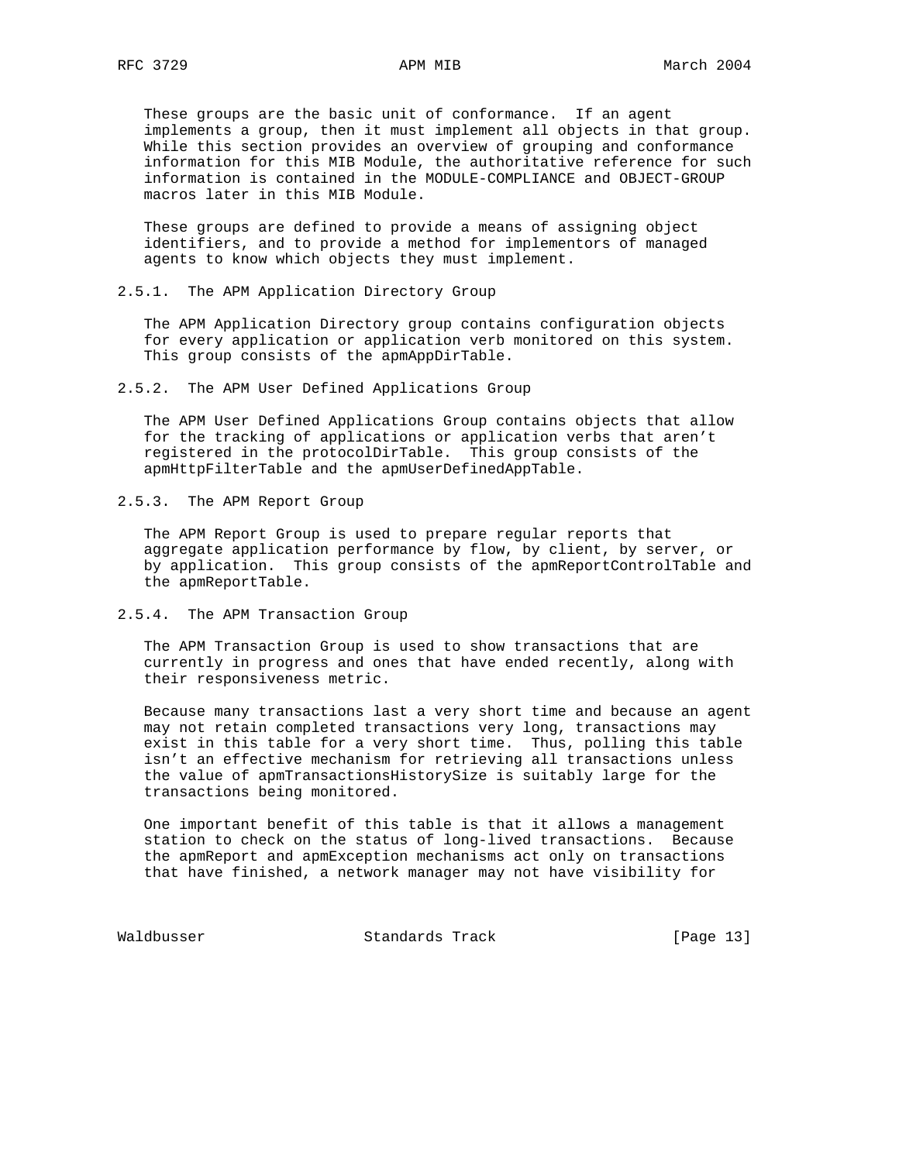These groups are the basic unit of conformance. If an agent implements a group, then it must implement all objects in that group. While this section provides an overview of grouping and conformance information for this MIB Module, the authoritative reference for such information is contained in the MODULE-COMPLIANCE and OBJECT-GROUP macros later in this MIB Module.

 These groups are defined to provide a means of assigning object identifiers, and to provide a method for implementors of managed agents to know which objects they must implement.

2.5.1. The APM Application Directory Group

 The APM Application Directory group contains configuration objects for every application or application verb monitored on this system. This group consists of the apmAppDirTable.

2.5.2. The APM User Defined Applications Group

 The APM User Defined Applications Group contains objects that allow for the tracking of applications or application verbs that aren't registered in the protocolDirTable. This group consists of the apmHttpFilterTable and the apmUserDefinedAppTable.

2.5.3. The APM Report Group

 The APM Report Group is used to prepare regular reports that aggregate application performance by flow, by client, by server, or by application. This group consists of the apmReportControlTable and the apmReportTable.

2.5.4. The APM Transaction Group

 The APM Transaction Group is used to show transactions that are currently in progress and ones that have ended recently, along with their responsiveness metric.

 Because many transactions last a very short time and because an agent may not retain completed transactions very long, transactions may exist in this table for a very short time. Thus, polling this table isn't an effective mechanism for retrieving all transactions unless the value of apmTransactionsHistorySize is suitably large for the transactions being monitored.

 One important benefit of this table is that it allows a management station to check on the status of long-lived transactions. Because the apmReport and apmException mechanisms act only on transactions that have finished, a network manager may not have visibility for

Waldbusser Standards Track [Page 13]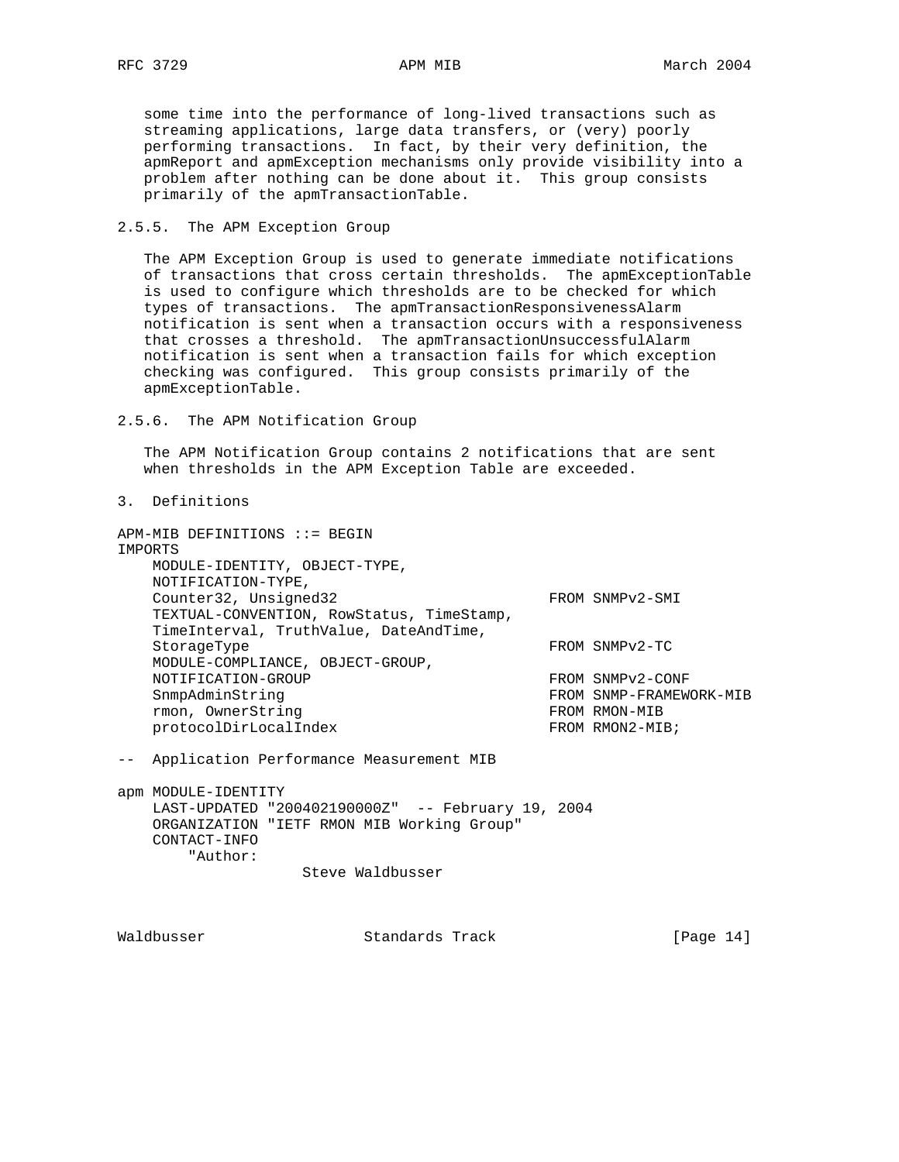some time into the performance of long-lived transactions such as streaming applications, large data transfers, or (very) poorly performing transactions. In fact, by their very definition, the apmReport and apmException mechanisms only provide visibility into a problem after nothing can be done about it. This group consists primarily of the apmTransactionTable.

2.5.5. The APM Exception Group

 The APM Exception Group is used to generate immediate notifications of transactions that cross certain thresholds. The apmExceptionTable is used to configure which thresholds are to be checked for which types of transactions. The apmTransactionResponsivenessAlarm notification is sent when a transaction occurs with a responsiveness that crosses a threshold. The apmTransactionUnsuccessfulAlarm notification is sent when a transaction fails for which exception checking was configured. This group consists primarily of the apmExceptionTable.

2.5.6. The APM Notification Group

 The APM Notification Group contains 2 notifications that are sent when thresholds in the APM Exception Table are exceeded.

3. Definitions

APM-MIB DEFINITIONS ::= BEGIN IMPORTS MODULE-IDENTITY, OBJECT-TYPE, NOTIFICATION-TYPE, Counter32, Unsigned32 FROM SNMPv2-SMI TEXTUAL-CONVENTION, RowStatus, TimeStamp, TimeInterval, TruthValue, DateAndTime, StorageType FROM SNMPv2-TC MODULE-COMPLIANCE, OBJECT-GROUP, NOTIFICATION-GROUP FROM SNMPv2-CONF SnmpAdminString FROM SNMP-FRAMEWORK-MIB rmon, OwnerString FROM RMON-MIB protocolDirLocalIndex FROM RMON2-MIB;

-- Application Performance Measurement MIB

apm MODULE-IDENTITY LAST-UPDATED "200402190000Z" -- February 19, 2004 ORGANIZATION "IETF RMON MIB Working Group" CONTACT-INFO "Author:

Steve Waldbusser

Waldbusser Standards Track [Page 14]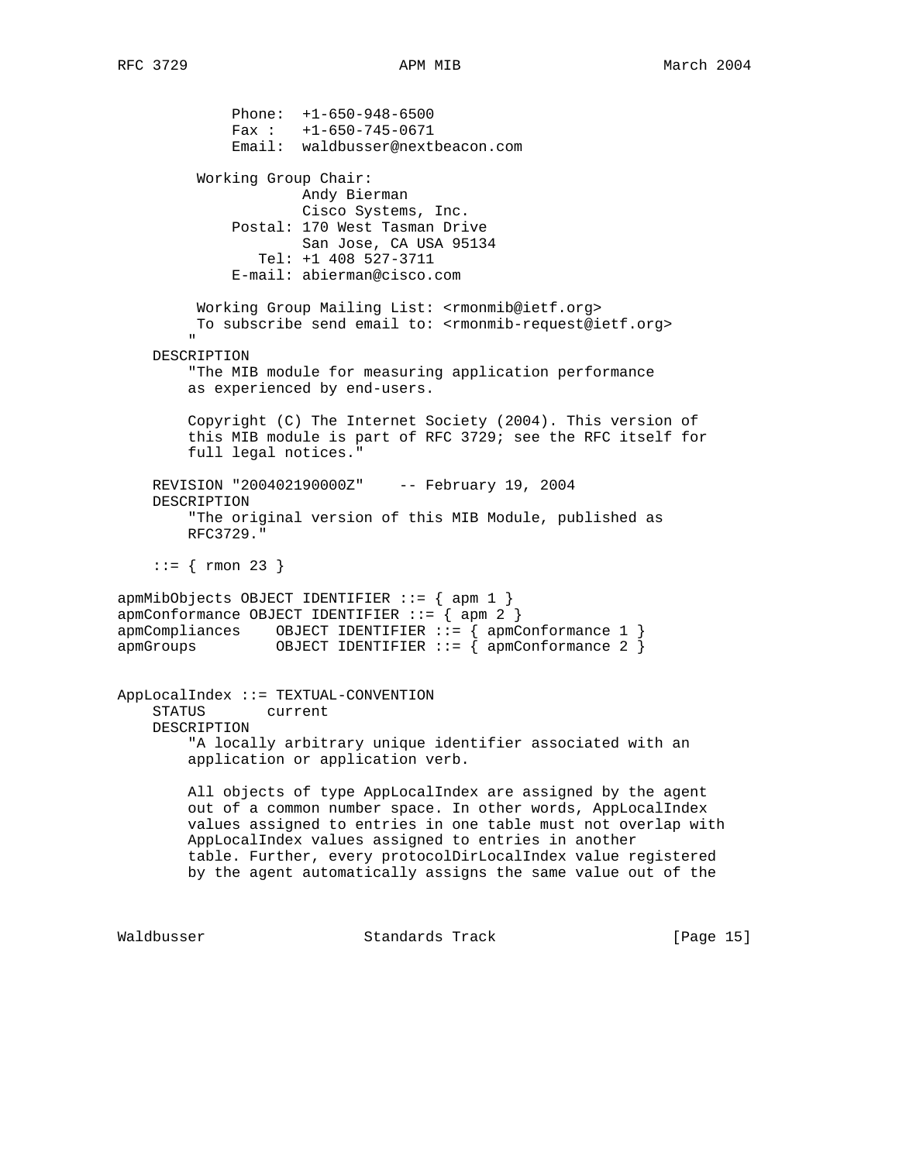Phone: +1-650-948-6500  $Fax : +1-650-745-0671$  Email: waldbusser@nextbeacon.com Working Group Chair: Andy Bierman Cisco Systems, Inc. Postal: 170 West Tasman Drive San Jose, CA USA 95134 Tel: +1 408 527-3711 E-mail: abierman@cisco.com Working Group Mailing List: <rmonmib@ietf.org> To subscribe send email to: <rmonmib-request@ietf.org> " DESCRIPTION "The MIB module for measuring application performance as experienced by end-users. Copyright (C) The Internet Society (2004). This version of this MIB module is part of RFC 3729; see the RFC itself for full legal notices." REVISION "200402190000Z" -- February 19, 2004 DESCRIPTION "The original version of this MIB Module, published as RFC3729."  $::=$  { rmon 23 } apmMibObjects OBJECT IDENTIFIER ::= { apm 1 }  $apmConformance OBJECT IDENTIFYER ::= \{ app. 2 \}$ apmCompliances OBJECT IDENTIFIER ::= { apmConformance 1 } apmGroups 0BJECT IDENTIFIER ::= { apmConformance 2 } AppLocalIndex ::= TEXTUAL-CONVENTION STATUS current DESCRIPTION "A locally arbitrary unique identifier associated with an application or application verb. All objects of type AppLocalIndex are assigned by the agent out of a common number space. In other words, AppLocalIndex values assigned to entries in one table must not overlap with AppLocalIndex values assigned to entries in another table. Further, every protocolDirLocalIndex value registered by the agent automatically assigns the same value out of the Waldbusser Standards Track [Page 15]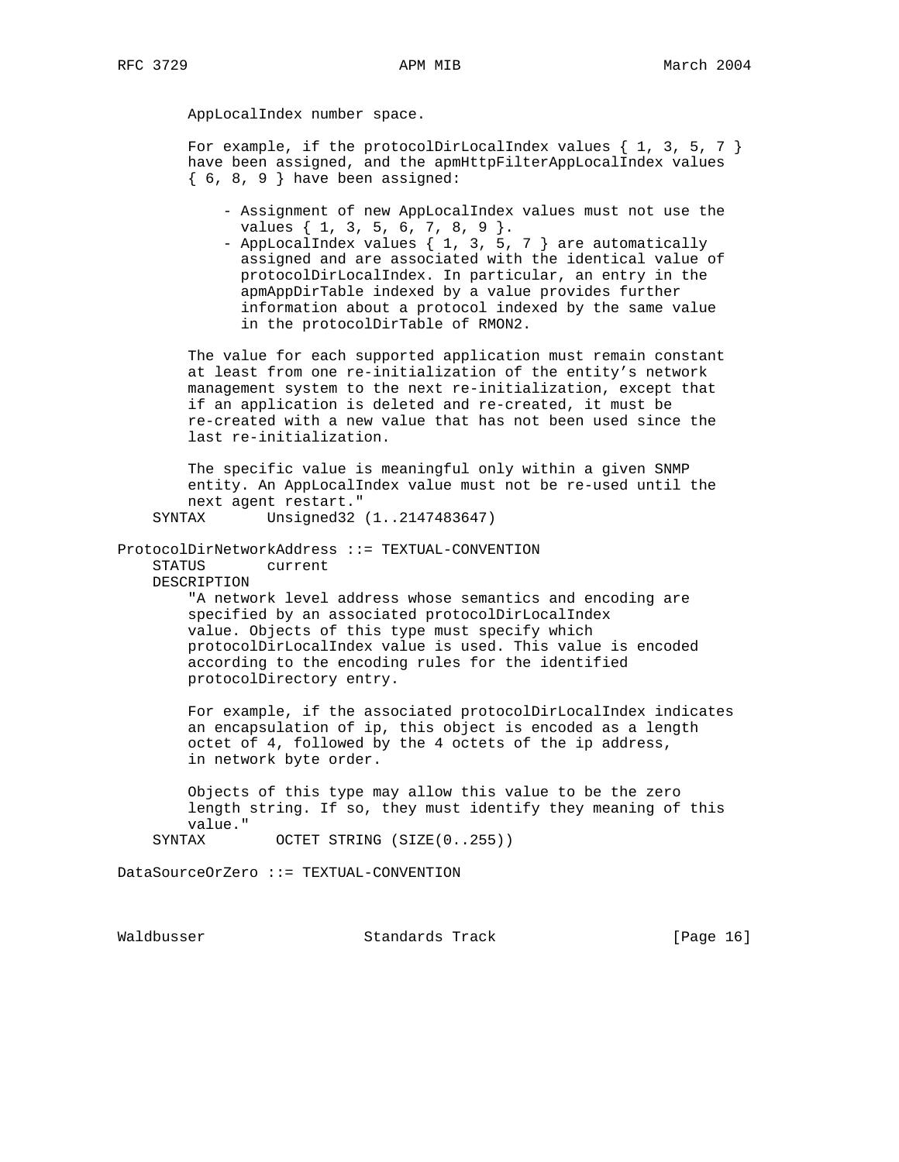AppLocalIndex number space.

For example, if the protocolDirLocalIndex values  $\{1, 3, 5, 7\}$  have been assigned, and the apmHttpFilterAppLocalIndex values  $\{6, 8, 9\}$  have been assigned:

- Assignment of new AppLocalIndex values must not use the values { 1, 3, 5, 6, 7, 8, 9 }.
- AppLocalIndex values { 1, 3, 5, 7 } are automatically assigned and are associated with the identical value of protocolDirLocalIndex. In particular, an entry in the apmAppDirTable indexed by a value provides further information about a protocol indexed by the same value in the protocolDirTable of RMON2.

 The value for each supported application must remain constant at least from one re-initialization of the entity's network management system to the next re-initialization, except that if an application is deleted and re-created, it must be re-created with a new value that has not been used since the last re-initialization.

 The specific value is meaningful only within a given SNMP entity. An AppLocalIndex value must not be re-used until the next agent restart." SYNTAX Unsigned32 (1..2147483647)

ProtocolDirNetworkAddress ::= TEXTUAL-CONVENTION STATUS current

DESCRIPTION

 "A network level address whose semantics and encoding are specified by an associated protocolDirLocalIndex value. Objects of this type must specify which protocolDirLocalIndex value is used. This value is encoded according to the encoding rules for the identified protocolDirectory entry.

 For example, if the associated protocolDirLocalIndex indicates an encapsulation of ip, this object is encoded as a length octet of 4, followed by the 4 octets of the ip address, in network byte order.

 Objects of this type may allow this value to be the zero length string. If so, they must identify they meaning of this value."

SYNTAX OCTET STRING (SIZE(0..255))

DataSourceOrZero ::= TEXTUAL-CONVENTION

Waldbusser Standards Track [Page 16]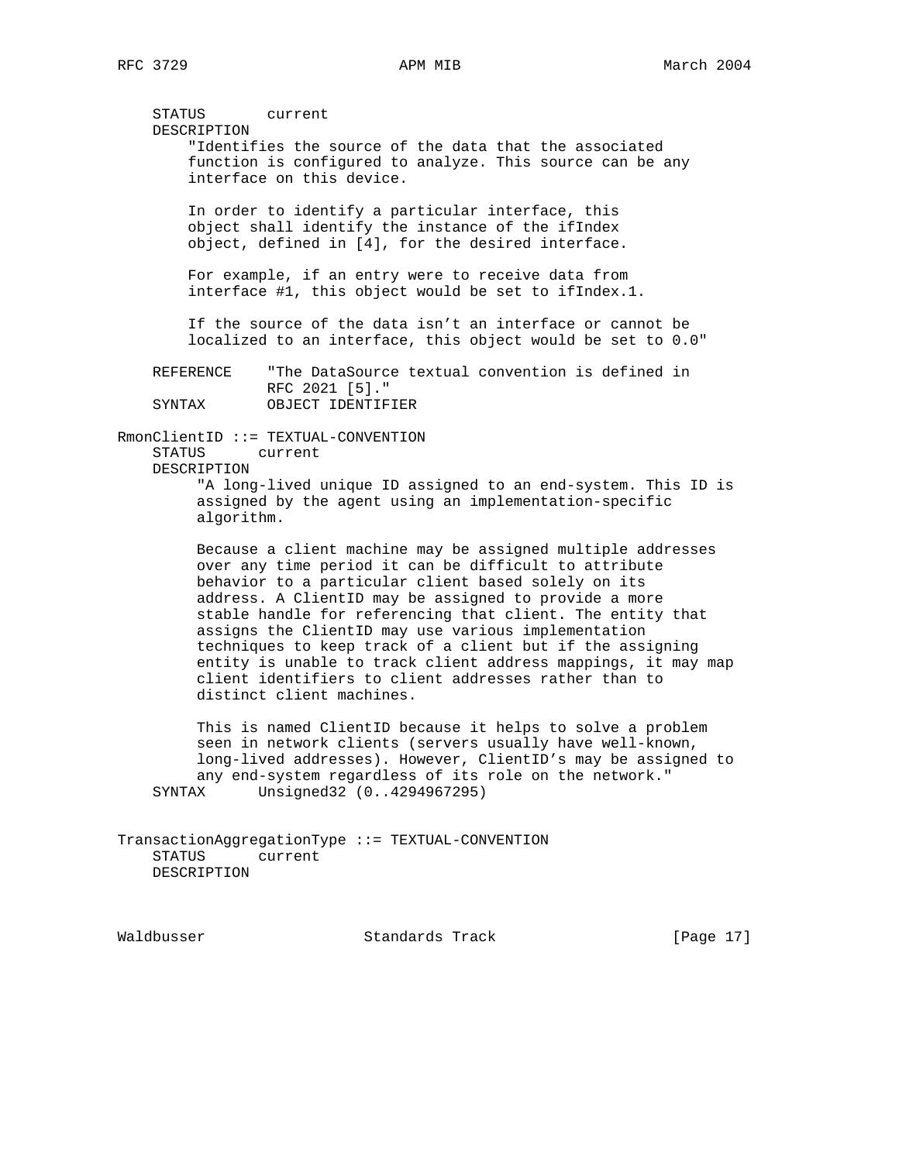STATUS current DESCRIPTION "Identifies the source of the data that the associated function is configured to analyze. This source can be any interface on this device. In order to identify a particular interface, this object shall identify the instance of the ifIndex object, defined in [4], for the desired interface. For example, if an entry were to receive data from interface #1, this object would be set to ifIndex.1. If the source of the data isn't an interface or cannot be localized to an interface, this object would be set to 0.0" REFERENCE "The DataSource textual convention is defined in RFC 2021 [5]."<br>SYNTAX OBJECT IDENTIF OBJECT IDENTIFIER RmonClientID ::= TEXTUAL-CONVENTION STATUS current DESCRIPTION "A long-lived unique ID assigned to an end-system. This ID is assigned by the agent using an implementation-specific algorithm. Because a client machine may be assigned multiple addresses over any time period it can be difficult to attribute behavior to a particular client based solely on its address. A ClientID may be assigned to provide a more stable handle for referencing that client. The entity that assigns the ClientID may use various implementation

 entity is unable to track client address mappings, it may map client identifiers to client addresses rather than to distinct client machines. This is named ClientID because it helps to solve a problem seen in network clients (servers usually have well-known,

techniques to keep track of a client but if the assigning

 long-lived addresses). However, ClientID's may be assigned to any end-system regardless of its role on the network." SYNTAX Unsigned32 (0..4294967295)

TransactionAggregationType ::= TEXTUAL-CONVENTION STATUS current DESCRIPTION

Waldbusser Standards Track [Page 17]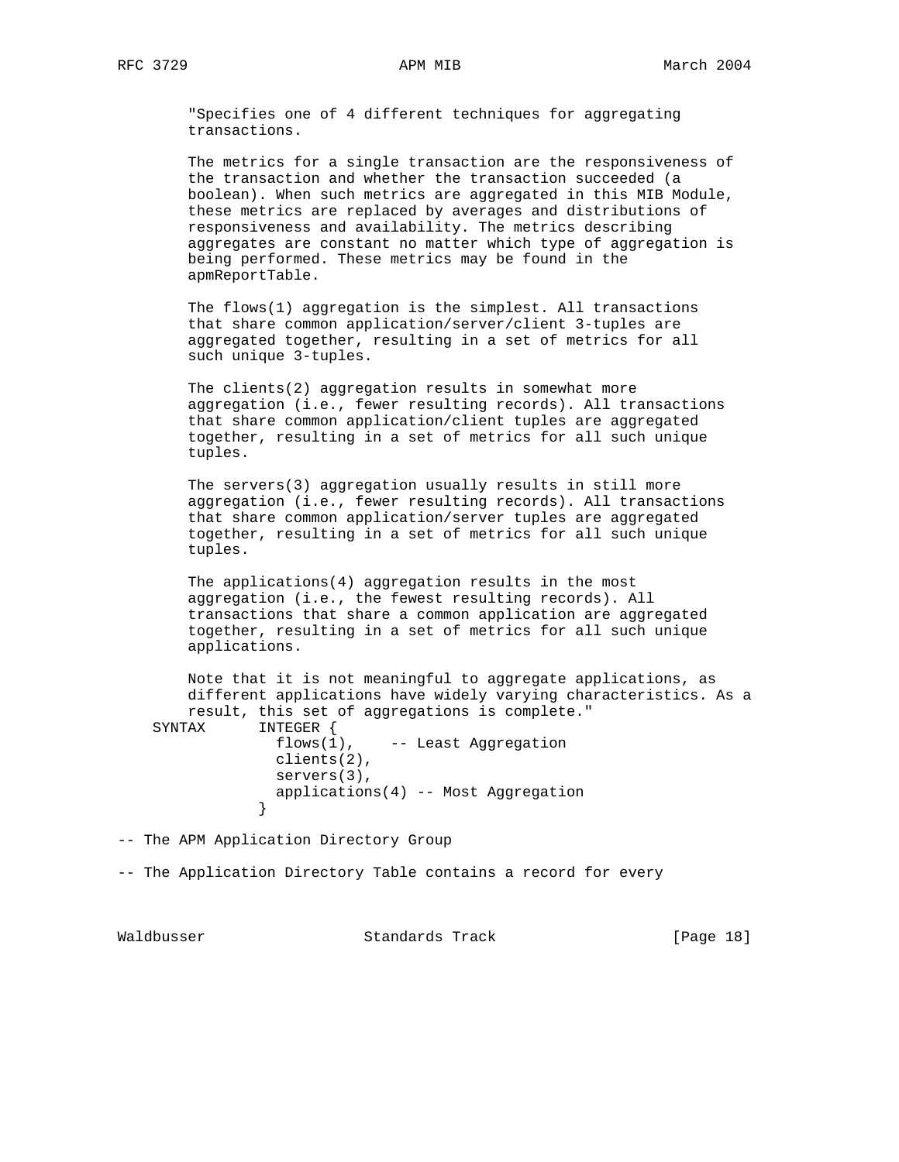"Specifies one of 4 different techniques for aggregating transactions.

 The metrics for a single transaction are the responsiveness of the transaction and whether the transaction succeeded (a boolean). When such metrics are aggregated in this MIB Module, these metrics are replaced by averages and distributions of responsiveness and availability. The metrics describing aggregates are constant no matter which type of aggregation is being performed. These metrics may be found in the apmReportTable.

 The flows(1) aggregation is the simplest. All transactions that share common application/server/client 3-tuples are aggregated together, resulting in a set of metrics for all such unique 3-tuples.

 The clients(2) aggregation results in somewhat more aggregation (i.e., fewer resulting records). All transactions that share common application/client tuples are aggregated together, resulting in a set of metrics for all such unique tuples.

 The servers(3) aggregation usually results in still more aggregation (i.e., fewer resulting records). All transactions that share common application/server tuples are aggregated together, resulting in a set of metrics for all such unique tuples.

 The applications(4) aggregation results in the most aggregation (i.e., the fewest resulting records). All transactions that share a common application are aggregated together, resulting in a set of metrics for all such unique applications.

 Note that it is not meaningful to aggregate applications, as different applications have widely varying characteristics. As a result, this set of aggregations is complete." SYNTAX INTEGER { flows(1), -- Least Aggregation clients(2), servers(3), applications(4) -- Most Aggregation }

-- The APM Application Directory Group

-- The Application Directory Table contains a record for every

Waldbusser Standards Track [Page 18]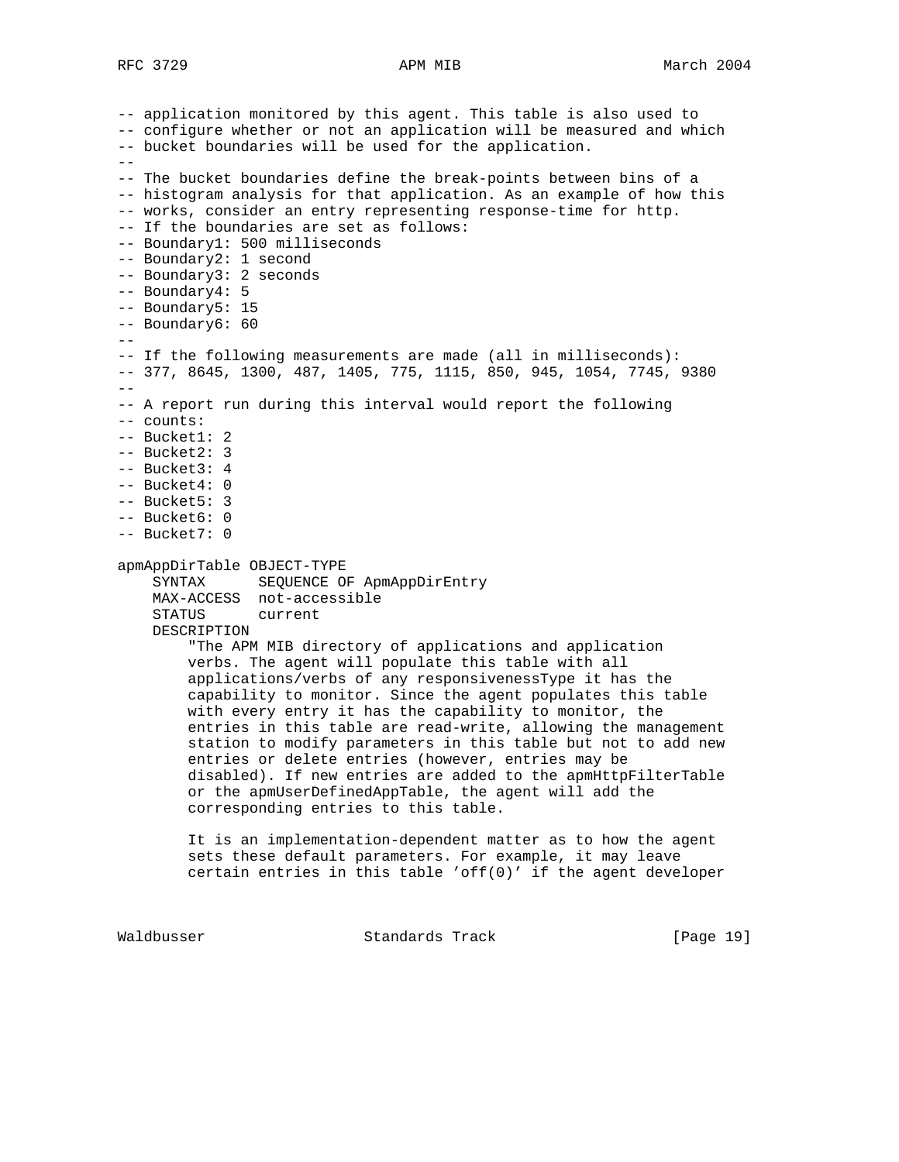```
-- application monitored by this agent. This table is also used to
-- configure whether or not an application will be measured and which
-- bucket boundaries will be used for the application.
--
-- The bucket boundaries define the break-points between bins of a
-- histogram analysis for that application. As an example of how this
-- works, consider an entry representing response-time for http.
-- If the boundaries are set as follows:
-- Boundary1: 500 milliseconds
-- Boundary2: 1 second
-- Boundary3: 2 seconds
-- Boundary4: 5
-- Boundary5: 15
-- Boundary6: 60
--
-- If the following measurements are made (all in milliseconds):
-- 377, 8645, 1300, 487, 1405, 775, 1115, 850, 945, 1054, 7745, 9380
- --- A report run during this interval would report the following
-- counts:
-- Bucket1: 2
-- Bucket2: 3
-- Bucket3: 4
-- Bucket4: 0
-- Bucket5: 3
-- Bucket6: 0
-- Bucket7: 0
apmAppDirTable OBJECT-TYPE
    SYNTAX SEQUENCE OF ApmAppDirEntry
    MAX-ACCESS not-accessible
    STATUS current
    DESCRIPTION
         "The APM MIB directory of applications and application
         verbs. The agent will populate this table with all
         applications/verbs of any responsivenessType it has the
         capability to monitor. Since the agent populates this table
         with every entry it has the capability to monitor, the
         entries in this table are read-write, allowing the management
         station to modify parameters in this table but not to add new
         entries or delete entries (however, entries may be
        disabled). If new entries are added to the apmHttpFilterTable
         or the apmUserDefinedAppTable, the agent will add the
         corresponding entries to this table.
         It is an implementation-dependent matter as to how the agent
         sets these default parameters. For example, it may leave
         certain entries in this table 'off(0)' if the agent developer
```
Waldbusser Standards Track [Page 19]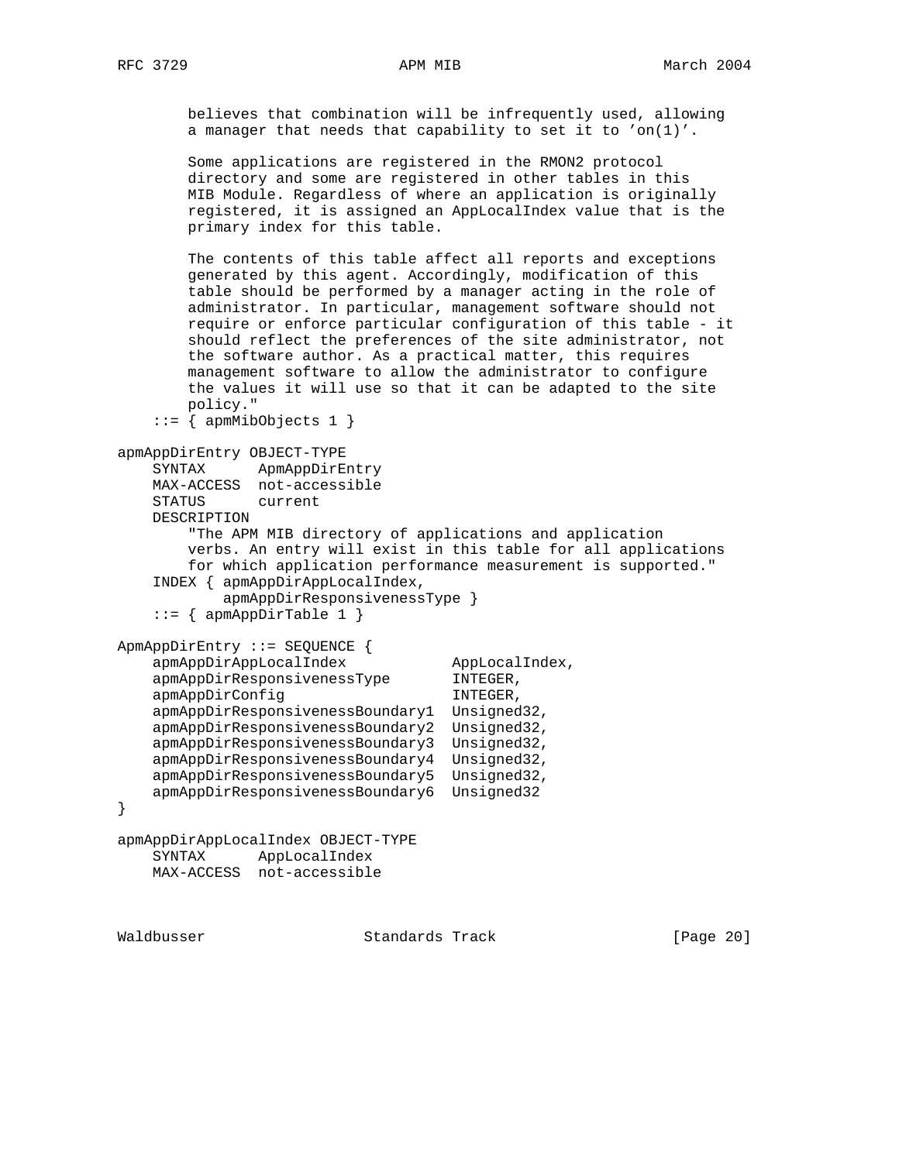believes that combination will be infrequently used, allowing a manager that needs that capability to set it to 'on(1)'.

 Some applications are registered in the RMON2 protocol directory and some are registered in other tables in this MIB Module. Regardless of where an application is originally registered, it is assigned an AppLocalIndex value that is the primary index for this table.

 The contents of this table affect all reports and exceptions generated by this agent. Accordingly, modification of this table should be performed by a manager acting in the role of administrator. In particular, management software should not require or enforce particular configuration of this table - it should reflect the preferences of the site administrator, not the software author. As a practical matter, this requires management software to allow the administrator to configure the values it will use so that it can be adapted to the site policy."

```
::= { apmMibObjects 1 }
```

```
apmAppDirEntry OBJECT-TYPE
    SYNTAX ApmAppDirEntry
    MAX-ACCESS not-accessible
    STATUS current
    DESCRIPTION
        "The APM MIB directory of applications and application
        verbs. An entry will exist in this table for all applications
        for which application performance measurement is supported."
    INDEX { apmAppDirAppLocalIndex,
            apmAppDirResponsivenessType }
   ::= { apmAppDirTable 1 }
ApmAppDirEntry ::= SEQUENCE {
   apmAppDirAppLocalIndex AppLocalIndex,
   apmAppDirResponsivenessType INTEGER,
   apmAppDirConfig INTEGER,
 apmAppDirResponsivenessBoundary1 Unsigned32,
 apmAppDirResponsivenessBoundary2 Unsigned32,
 apmAppDirResponsivenessBoundary3 Unsigned32,
    apmAppDirResponsivenessBoundary4 Unsigned32,
    apmAppDirResponsivenessBoundary5 Unsigned32,
    apmAppDirResponsivenessBoundary6 Unsigned32
}
apmAppDirAppLocalIndex OBJECT-TYPE
    SYNTAX AppLocalIndex
```

```
 MAX-ACCESS not-accessible
```
Waldbusser Standards Track [Page 20]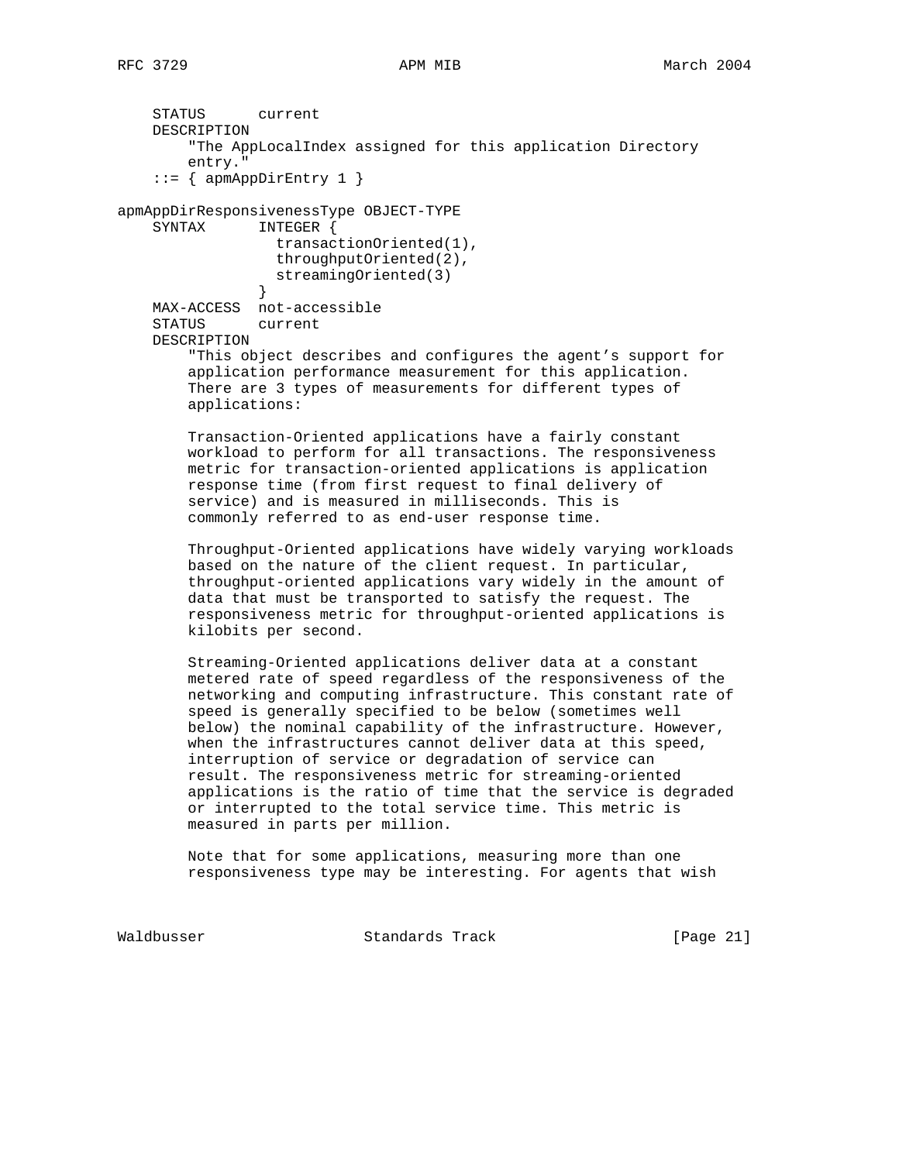STATUS current DESCRIPTION "The AppLocalIndex assigned for this application Directory entry." ::=  $\{$  apmAppDirEntry 1  $\}$ apmAppDirResponsivenessType OBJECT-TYPE SYNTAX INTEGER { transactionOriented(1), throughputOriented(2), streamingOriented(3) } MAX-ACCESS not-accessible STATUS current DESCRIPTION "This object describes and configures the agent's support for application performance measurement for this application. There are 3 types of measurements for different types of applications: Transaction-Oriented applications have a fairly constant workload to perform for all transactions. The responsiveness metric for transaction-oriented applications is application response time (from first request to final delivery of service) and is measured in milliseconds. This is commonly referred to as end-user response time. Throughput-Oriented applications have widely varying workloads based on the nature of the client request. In particular, throughput-oriented applications vary widely in the amount of data that must be transported to satisfy the request. The responsiveness metric for throughput-oriented applications is kilobits per second. Streaming-Oriented applications deliver data at a constant metered rate of speed regardless of the responsiveness of the networking and computing infrastructure. This constant rate of speed is generally specified to be below (sometimes well below) the nominal capability of the infrastructure. However, when the infrastructures cannot deliver data at this speed, interruption of service or degradation of service can result. The responsiveness metric for streaming-oriented applications is the ratio of time that the service is degraded or interrupted to the total service time. This metric is measured in parts per million. Note that for some applications, measuring more than one responsiveness type may be interesting. For agents that wish Waldbusser **Standards Track** [Page 21]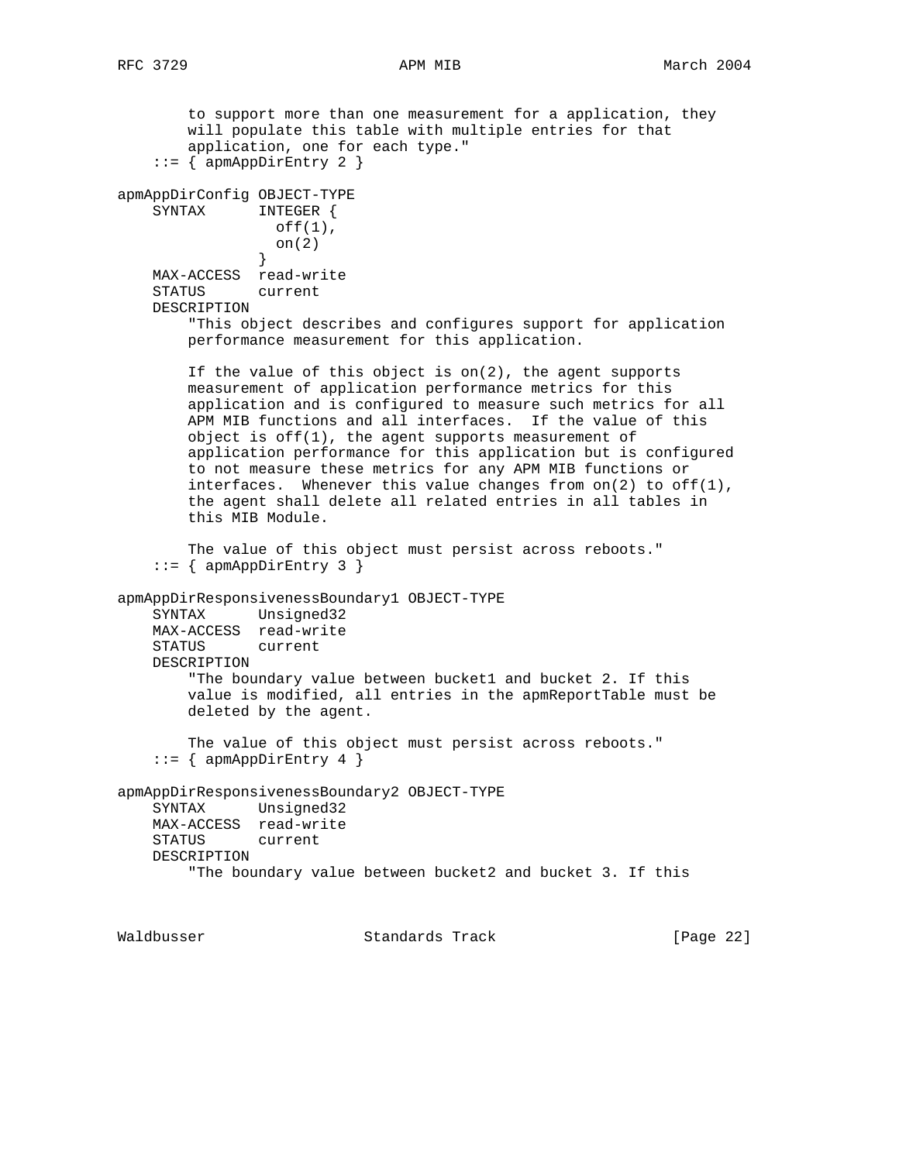to support more than one measurement for a application, they will populate this table with multiple entries for that application, one for each type."  $::= \{$  apmAppDirEntry 2  $\}$ apmAppDirConfig OBJECT-TYPE SYNTAX INTEGER { off(1), on(2) } MAX-ACCESS read-write STATUS current DESCRIPTION "This object describes and configures support for application performance measurement for this application. If the value of this object is on(2), the agent supports measurement of application performance metrics for this application and is configured to measure such metrics for all APM MIB functions and all interfaces. If the value of this object is off(1), the agent supports measurement of application performance for this application but is configured to not measure these metrics for any APM MIB functions or interfaces. Whenever this value changes from  $on(2)$  to  $off(1)$ , the agent shall delete all related entries in all tables in this MIB Module. The value of this object must persist across reboots."  $::=$  { apmAppDirEntry 3 } apmAppDirResponsivenessBoundary1 OBJECT-TYPE SYNTAX Unsigned32 MAX-ACCESS read-write STATUS current DESCRIPTION "The boundary value between bucket1 and bucket 2. If this value is modified, all entries in the apmReportTable must be deleted by the agent. The value of this object must persist across reboots." ::=  $\{$  apmAppDirEntry 4  $\}$ apmAppDirResponsivenessBoundary2 OBJECT-TYPE SYNTAX Unsigned32 MAX-ACCESS read-write STATUS current DESCRIPTION "The boundary value between bucket2 and bucket 3. If this

Waldbusser Standards Track [Page 22]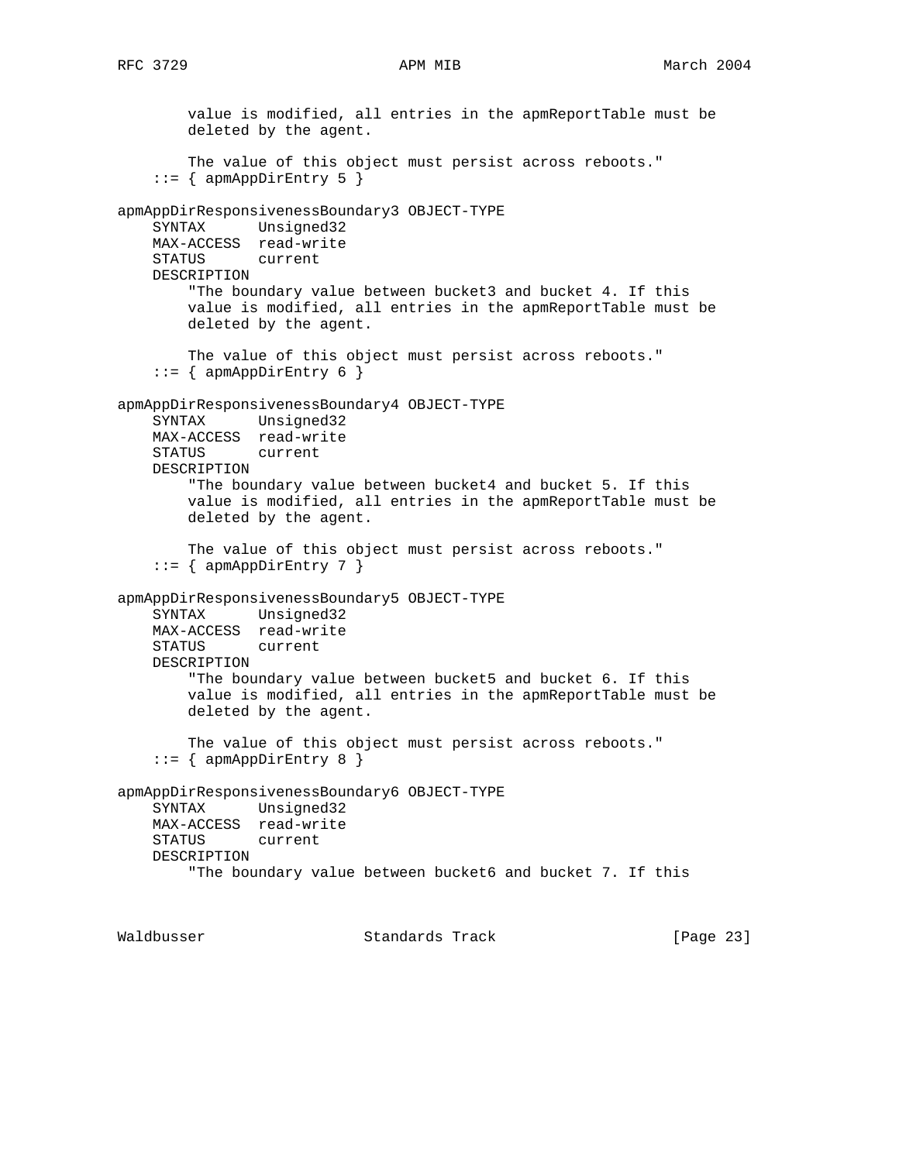value is modified, all entries in the apmReportTable must be deleted by the agent. The value of this object must persist across reboots." ::=  $\{$  apmAppDirEntry 5  $\}$ apmAppDirResponsivenessBoundary3 OBJECT-TYPE SYNTAX Unsigned32 MAX-ACCESS read-write STATUS current DESCRIPTION "The boundary value between bucket3 and bucket 4. If this value is modified, all entries in the apmReportTable must be deleted by the agent. The value of this object must persist across reboots."  $::=$  { apmAppDirEntry 6 } apmAppDirResponsivenessBoundary4 OBJECT-TYPE SYNTAX Unsigned32 MAX-ACCESS read-write STATUS current DESCRIPTION "The boundary value between bucket4 and bucket 5. If this value is modified, all entries in the apmReportTable must be deleted by the agent. The value of this object must persist across reboots." ::=  $\{$  apmAppDirEntry 7  $\}$ apmAppDirResponsivenessBoundary5 OBJECT-TYPE SYNTAX Unsigned32 MAX-ACCESS read-write STATUS current DESCRIPTION "The boundary value between bucket5 and bucket 6. If this value is modified, all entries in the apmReportTable must be deleted by the agent. The value of this object must persist across reboots."  $::=$  { apmAppDirEntry 8 } apmAppDirResponsivenessBoundary6 OBJECT-TYPE SYNTAX Unsigned32 MAX-ACCESS read-write STATUS current DESCRIPTION "The boundary value between bucket6 and bucket 7. If this Waldbusser Standards Track [Page 23]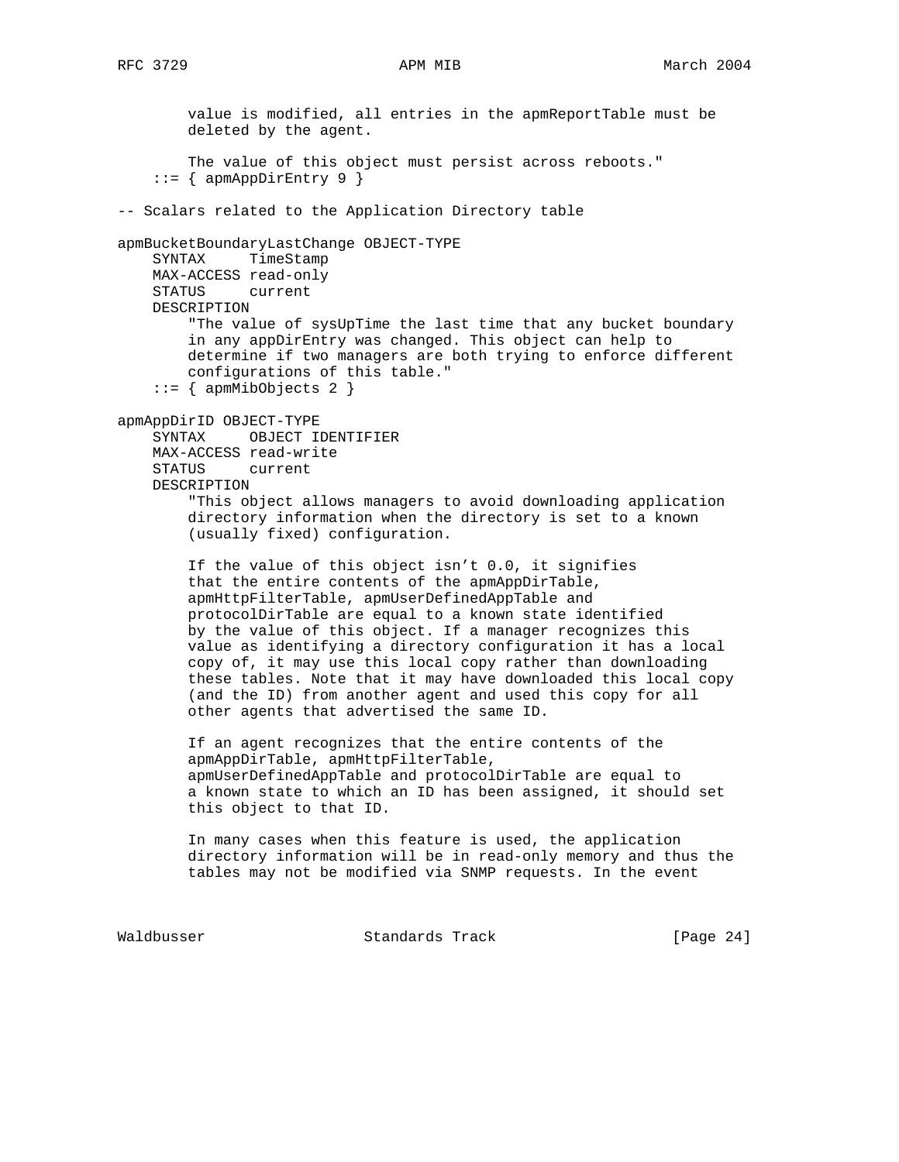value is modified, all entries in the apmReportTable must be deleted by the agent. The value of this object must persist across reboots."  $::=$  { apmAppDirEntry 9 } -- Scalars related to the Application Directory table apmBucketBoundaryLastChange OBJECT-TYPE SYNTAX TimeStamp MAX-ACCESS read-only STATUS current DESCRIPTION "The value of sysUpTime the last time that any bucket boundary in any appDirEntry was changed. This object can help to determine if two managers are both trying to enforce different configurations of this table."  $::=$  { apmMibObjects 2 } apmAppDirID OBJECT-TYPE SYNTAX OBJECT IDENTIFIER MAX-ACCESS read-write STATUS current DESCRIPTION "This object allows managers to avoid downloading application directory information when the directory is set to a known (usually fixed) configuration. If the value of this object isn't 0.0, it signifies that the entire contents of the apmAppDirTable, apmHttpFilterTable, apmUserDefinedAppTable and protocolDirTable are equal to a known state identified by the value of this object. If a manager recognizes this value as identifying a directory configuration it has a local copy of, it may use this local copy rather than downloading these tables. Note that it may have downloaded this local copy (and the ID) from another agent and used this copy for all other agents that advertised the same ID. If an agent recognizes that the entire contents of the apmAppDirTable, apmHttpFilterTable, apmUserDefinedAppTable and protocolDirTable are equal to a known state to which an ID has been assigned, it should set this object to that ID. In many cases when this feature is used, the application directory information will be in read-only memory and thus the tables may not be modified via SNMP requests. In the event

Waldbusser Standards Track [Page 24]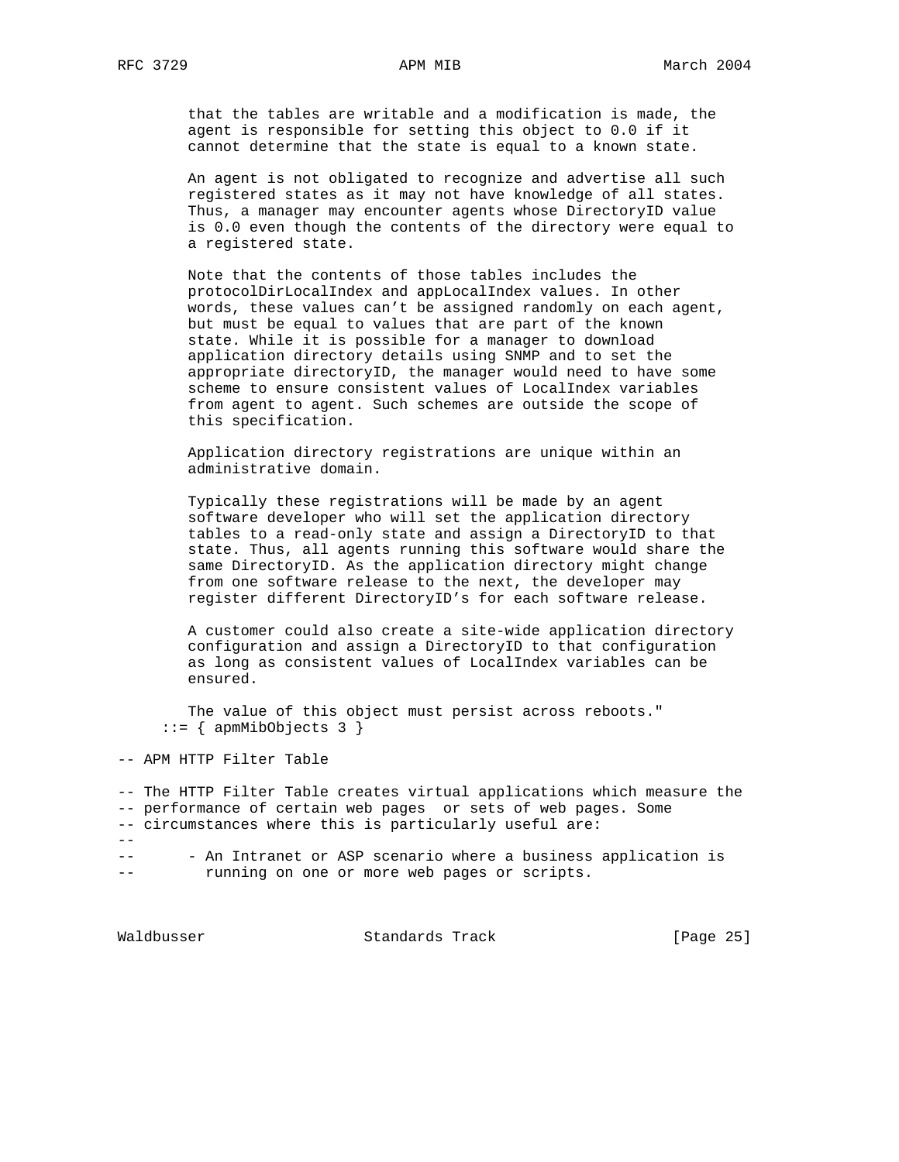that the tables are writable and a modification is made, the agent is responsible for setting this object to 0.0 if it cannot determine that the state is equal to a known state.

 An agent is not obligated to recognize and advertise all such registered states as it may not have knowledge of all states. Thus, a manager may encounter agents whose DirectoryID value is 0.0 even though the contents of the directory were equal to a registered state.

 Note that the contents of those tables includes the protocolDirLocalIndex and appLocalIndex values. In other words, these values can't be assigned randomly on each agent, but must be equal to values that are part of the known state. While it is possible for a manager to download application directory details using SNMP and to set the appropriate directoryID, the manager would need to have some scheme to ensure consistent values of LocalIndex variables from agent to agent. Such schemes are outside the scope of this specification.

 Application directory registrations are unique within an administrative domain.

 Typically these registrations will be made by an agent software developer who will set the application directory tables to a read-only state and assign a DirectoryID to that state. Thus, all agents running this software would share the same DirectoryID. As the application directory might change from one software release to the next, the developer may register different DirectoryID's for each software release.

 A customer could also create a site-wide application directory configuration and assign a DirectoryID to that configuration as long as consistent values of LocalIndex variables can be ensured.

 The value of this object must persist across reboots."  $::=$  { apmMibObjects 3 }

-- APM HTTP Filter Table

-- The HTTP Filter Table creates virtual applications which measure the -- performance of certain web pages or sets of web pages. Some -- circumstances where this is particularly useful are: -- -- - An Intranet or ASP scenario where a business application is -- running on one or more web pages or scripts.

Waldbusser Standards Track [Page 25]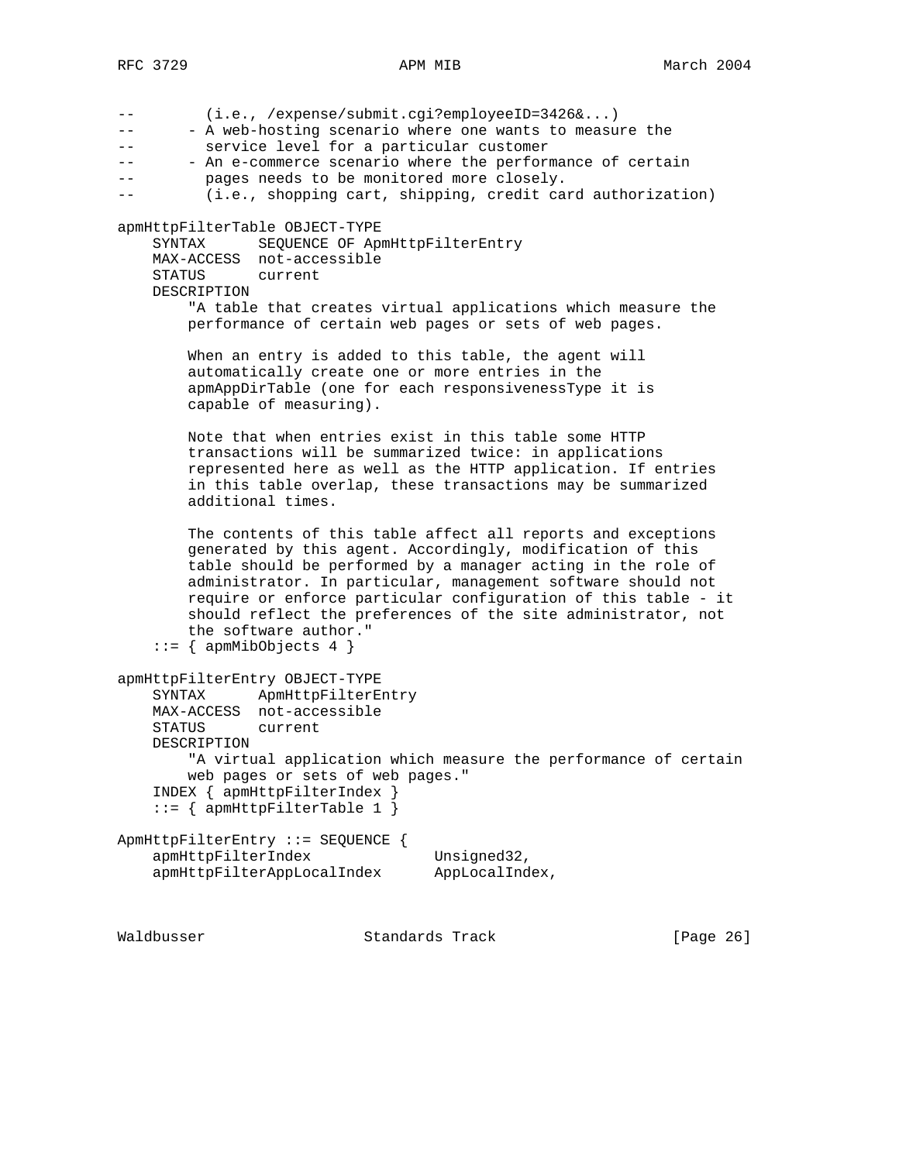| (i.e., /expense/submit.cgi?employeeID=3426&)<br>$- -$<br>- A web-hosting scenario where one wants to measure the<br>service level for a particular customer<br>- An e-commerce scenario where the performance of certain<br>$- -$<br>pages needs to be monitored more closely.<br>(i.e., shopping cart, shipping, credit card authorization)<br>--                                                                                                       |  |
|----------------------------------------------------------------------------------------------------------------------------------------------------------------------------------------------------------------------------------------------------------------------------------------------------------------------------------------------------------------------------------------------------------------------------------------------------------|--|
| apmHttpFilterTable OBJECT-TYPE<br>SEQUENCE OF ApmHttpFilterEntry<br>SYNTAX<br>MAX-ACCESS not-accessible<br>STATUS<br>current<br>DESCRIPTION<br>"A table that creates virtual applications which measure the<br>performance of certain web pages or sets of web pages.                                                                                                                                                                                    |  |
| When an entry is added to this table, the agent will<br>automatically create one or more entries in the<br>apmAppDirTable (one for each responsivenessType it is<br>capable of measuring).                                                                                                                                                                                                                                                               |  |
| Note that when entries exist in this table some HTTP<br>transactions will be summarized twice: in applications<br>represented here as well as the HTTP application. If entries<br>in this table overlap, these transactions may be summarized<br>additional times.                                                                                                                                                                                       |  |
| The contents of this table affect all reports and exceptions<br>generated by this agent. Accordingly, modification of this<br>table should be performed by a manager acting in the role of<br>administrator. In particular, management software should not<br>require or enforce particular configuration of this table - it<br>should reflect the preferences of the site administrator, not<br>the software author."<br>$ ::= \{$ apmMibObjects 4 $\}$ |  |
| apmHttpFilterEntry OBJECT-TYPE<br>ApmHttpFilterEntry<br>SYNTAX<br>MAX-ACCESS not-accessible<br>STATUS<br>current<br>DESCRIPTION<br>"A virtual application which measure the performance of certain<br>web pages or sets of web pages."<br>INDEX { apmHttpFilterIndex }<br>$::= \{$ apmHttpFilterTable 1 $\}$                                                                                                                                             |  |
| ApmHttpFilterEntry ::= SEQUENCE {<br>apmHttpFilterIndex<br>Unsigned32,<br>apmHttpFilterAppLocalIndex<br>AppLocalIndex,                                                                                                                                                                                                                                                                                                                                   |  |

Waldbusser Standards Track [Page 26]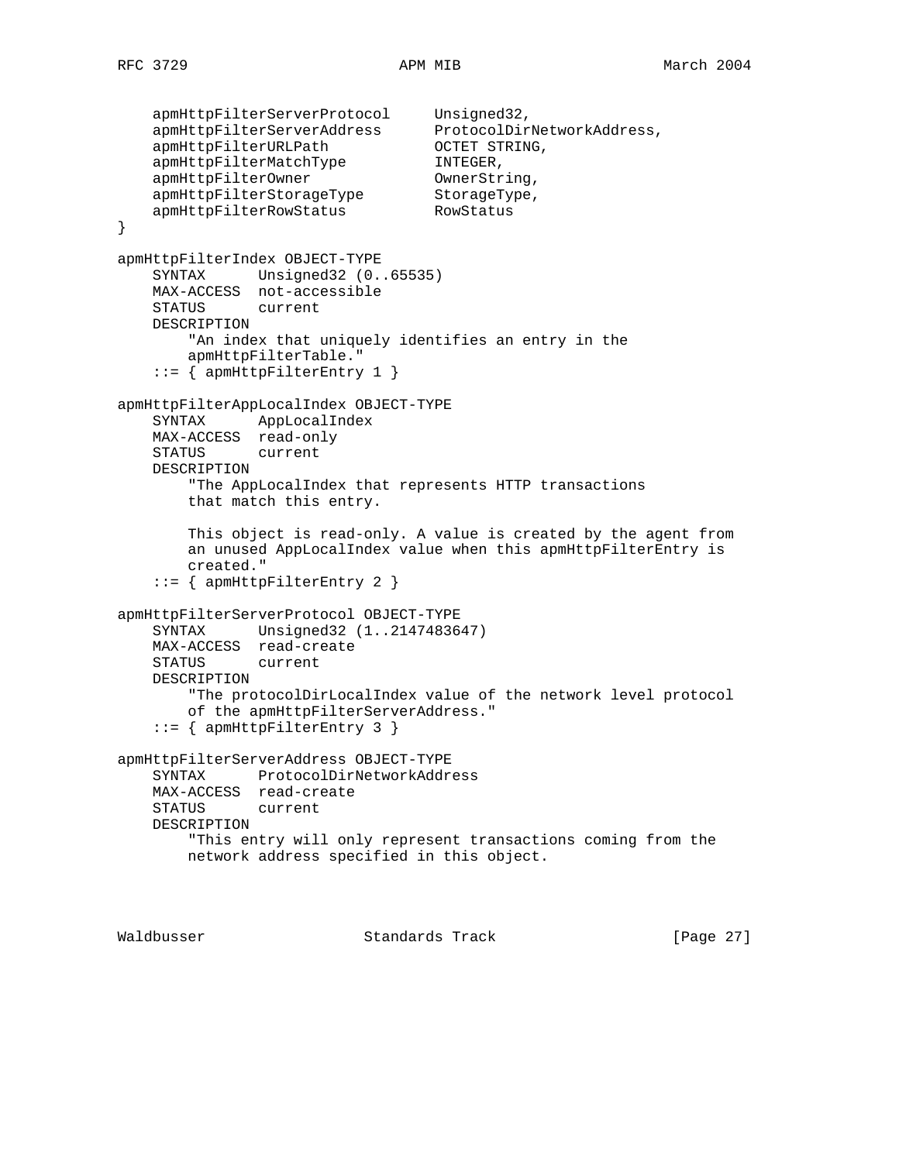```
 apmHttpFilterServerProtocol Unsigned32,
 apmHttpFilterServerAddress ProtocolDirNetworkAddress,
 apmHttpFilterURLPath OCTET STRING,
 apmHttpFilterMatchType INTEGER,
apmHttpFilterOwner CwnerString,
apmHttpFilterStorageType StorageType,
 apmHttpFilterRowStatus RowStatus
}
apmHttpFilterIndex OBJECT-TYPE
    SYNTAX Unsigned32 (0..65535)
    MAX-ACCESS not-accessible
    STATUS current
    DESCRIPTION
        "An index that uniquely identifies an entry in the
        apmHttpFilterTable."
    ::= { apmHttpFilterEntry 1 }
apmHttpFilterAppLocalIndex OBJECT-TYPE
    SYNTAX AppLocalIndex
    MAX-ACCESS read-only
    STATUS current
    DESCRIPTION
        "The AppLocalIndex that represents HTTP transactions
        that match this entry.
        This object is read-only. A value is created by the agent from
        an unused AppLocalIndex value when this apmHttpFilterEntry is
        created."
    ::= { apmHttpFilterEntry 2 }
apmHttpFilterServerProtocol OBJECT-TYPE
    SYNTAX Unsigned32 (1..2147483647)
    MAX-ACCESS read-create
    STATUS current
    DESCRIPTION
        "The protocolDirLocalIndex value of the network level protocol
        of the apmHttpFilterServerAddress."
   ::= { apmHttpFilterEntry 3 }
apmHttpFilterServerAddress OBJECT-TYPE
    SYNTAX ProtocolDirNetworkAddress
    MAX-ACCESS read-create
    STATUS current
    DESCRIPTION
        "This entry will only represent transactions coming from the
        network address specified in this object.
```
Waldbusser Standards Track [Page 27]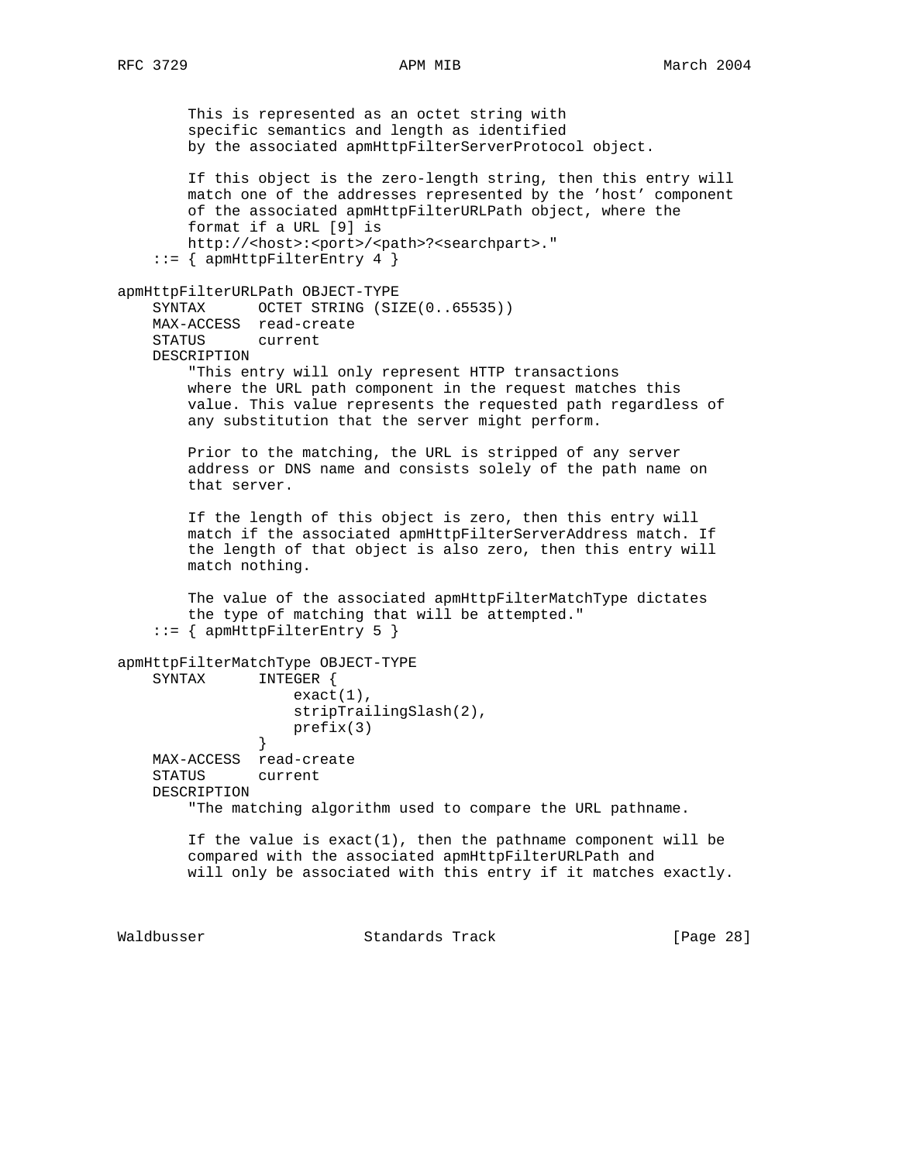This is represented as an octet string with specific semantics and length as identified by the associated apmHttpFilterServerProtocol object. If this object is the zero-length string, then this entry will match one of the addresses represented by the 'host' component of the associated apmHttpFilterURLPath object, where the format if a URL [9] is http://<host>:<port>/<path>?<searchpart>."  $::=$  { apmHttpFilterEntry 4 } apmHttpFilterURLPath OBJECT-TYPE SYNTAX OCTET STRING (SIZE(0..65535)) MAX-ACCESS read-create STATUS current DESCRIPTION "This entry will only represent HTTP transactions where the URL path component in the request matches this value. This value represents the requested path regardless of any substitution that the server might perform. Prior to the matching, the URL is stripped of any server address or DNS name and consists solely of the path name on that server. If the length of this object is zero, then this entry will match if the associated apmHttpFilterServerAddress match. If the length of that object is also zero, then this entry will match nothing. The value of the associated apmHttpFilterMatchType dictates the type of matching that will be attempted." ::= { apmHttpFilterEntry 5 } apmHttpFilterMatchType OBJECT-TYPE SYNTAX INTEGER { exact(1), stripTrailingSlash(2), prefix(3) } MAX-ACCESS read-create STATUS current DESCRIPTION "The matching algorithm used to compare the URL pathname. If the value is  $exact(1)$ , then the pathname component will be compared with the associated apmHttpFilterURLPath and will only be associated with this entry if it matches exactly.

Waldbusser **Standards Track** [Page 28]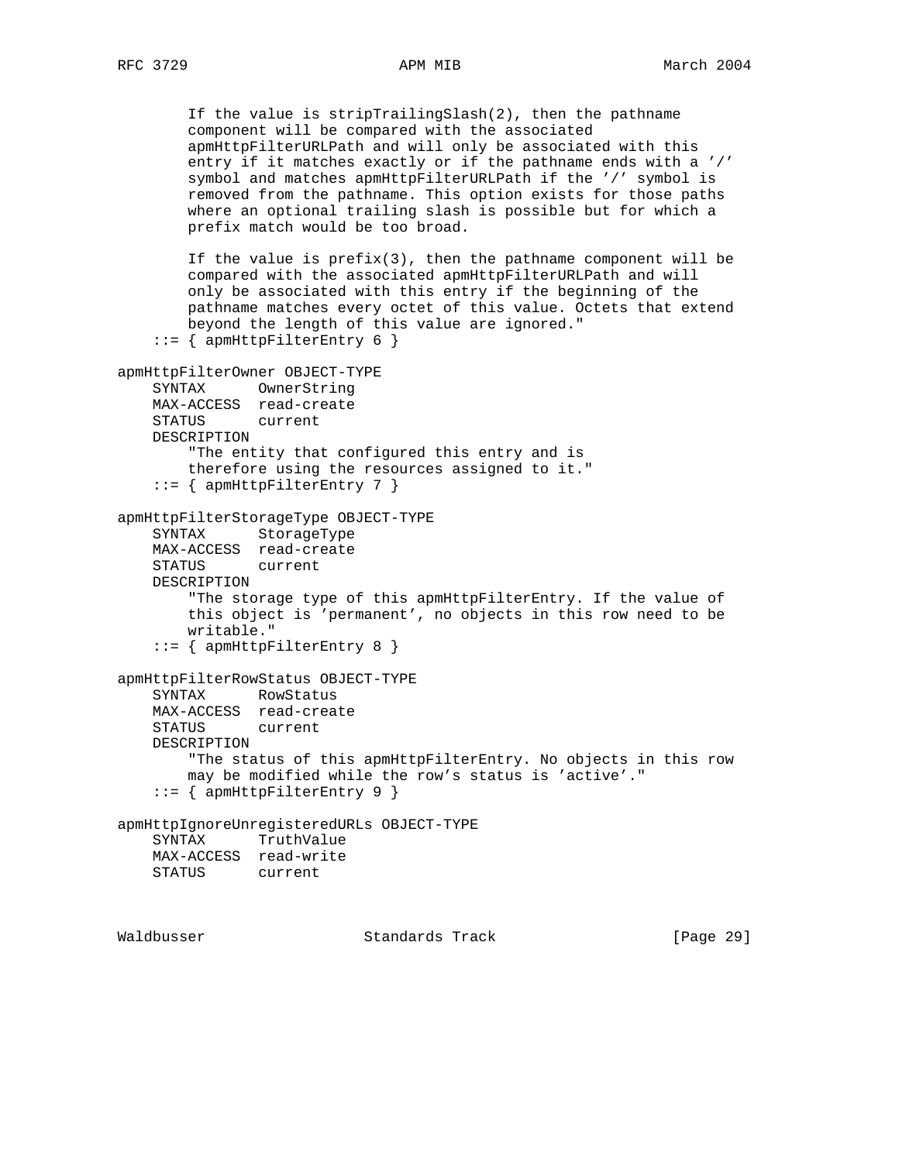```
 If the value is stripTrailingSlash(2), then the pathname
         component will be compared with the associated
         apmHttpFilterURLPath and will only be associated with this
         entry if it matches exactly or if the pathname ends with a '/'
         symbol and matches apmHttpFilterURLPath if the '/' symbol is
        removed from the pathname. This option exists for those paths
        where an optional trailing slash is possible but for which a
        prefix match would be too broad.
        If the value is prefix(3), then the pathname component will be
        compared with the associated apmHttpFilterURLPath and will
        only be associated with this entry if the beginning of the
        pathname matches every octet of this value. Octets that extend
        beyond the length of this value are ignored."
    ::= { apmHttpFilterEntry 6 }
apmHttpFilterOwner OBJECT-TYPE
    SYNTAX OwnerString
    MAX-ACCESS read-create
    STATUS current
    DESCRIPTION
         "The entity that configured this entry and is
        therefore using the resources assigned to it."
     ::= { apmHttpFilterEntry 7 }
apmHttpFilterStorageType OBJECT-TYPE
     SYNTAX StorageType
    MAX-ACCESS read-create
     STATUS current
    DESCRIPTION
         "The storage type of this apmHttpFilterEntry. If the value of
         this object is 'permanent', no objects in this row need to be
        writable."
    ::= { apmHttpFilterEntry 8 }
apmHttpFilterRowStatus OBJECT-TYPE
     SYNTAX RowStatus
    MAX-ACCESS read-create
    STATUS current
    DESCRIPTION
         "The status of this apmHttpFilterEntry. No objects in this row
        may be modified while the row's status is 'active'."
     ::= { apmHttpFilterEntry 9 }
apmHttpIgnoreUnregisteredURLs OBJECT-TYPE
    SYNTAX TruthValue
    MAX-ACCESS read-write
    STATUS current
```
Waldbusser Standards Track [Page 29]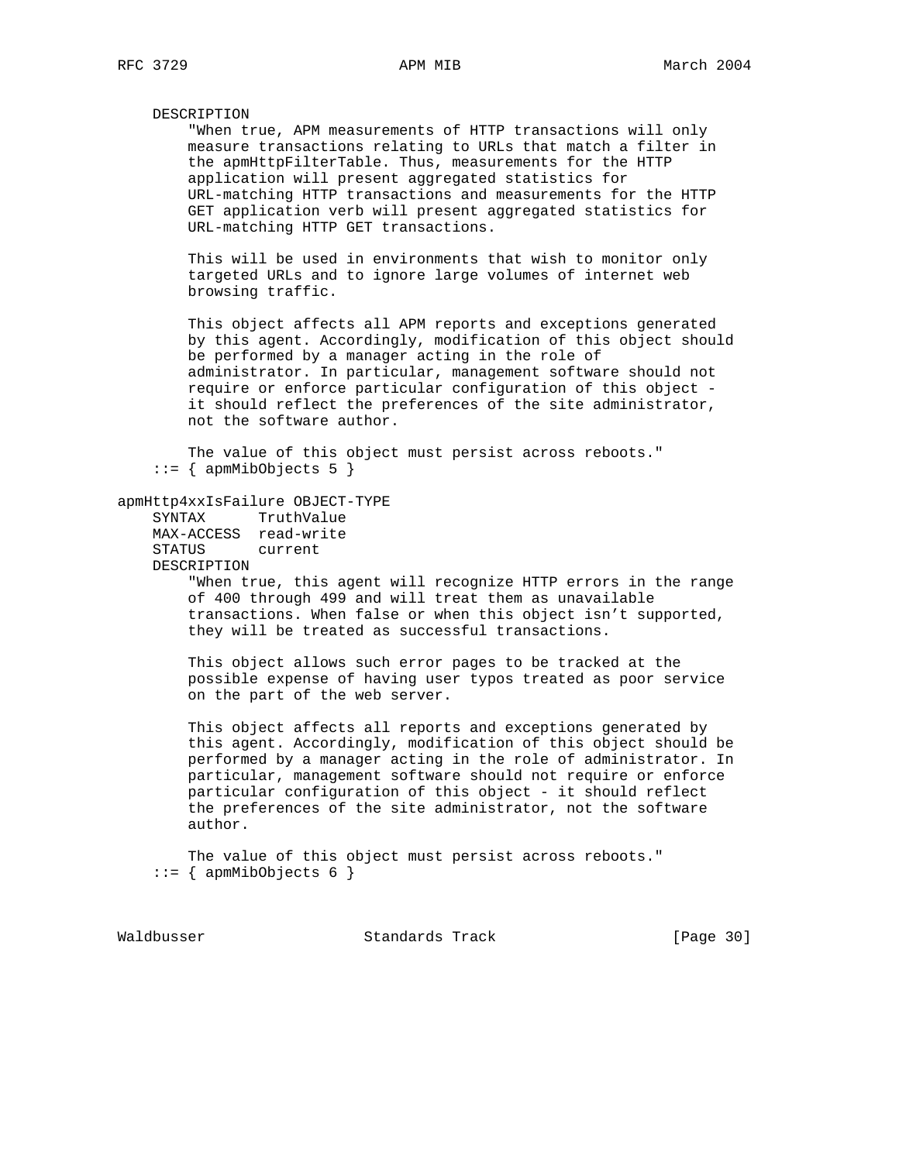### DESCRIPTION

 "When true, APM measurements of HTTP transactions will only measure transactions relating to URLs that match a filter in the apmHttpFilterTable. Thus, measurements for the HTTP application will present aggregated statistics for URL-matching HTTP transactions and measurements for the HTTP GET application verb will present aggregated statistics for URL-matching HTTP GET transactions.

 This will be used in environments that wish to monitor only targeted URLs and to ignore large volumes of internet web browsing traffic.

 This object affects all APM reports and exceptions generated by this agent. Accordingly, modification of this object should be performed by a manager acting in the role of administrator. In particular, management software should not require or enforce particular configuration of this object it should reflect the preferences of the site administrator, not the software author.

 The value of this object must persist across reboots."  $::=$  { apmMibObjects 5 }

## apmHttp4xxIsFailure OBJECT-TYPE

 SYNTAX TruthValue MAX-ACCESS read-write STATUS current DESCRIPTION

> "When true, this agent will recognize HTTP errors in the range of 400 through 499 and will treat them as unavailable transactions. When false or when this object isn't supported, they will be treated as successful transactions.

 This object allows such error pages to be tracked at the possible expense of having user typos treated as poor service on the part of the web server.

 This object affects all reports and exceptions generated by this agent. Accordingly, modification of this object should be performed by a manager acting in the role of administrator. In particular, management software should not require or enforce particular configuration of this object - it should reflect the preferences of the site administrator, not the software author.

 The value of this object must persist across reboots."  $::=$  { apmMibObjects 6 }

Waldbusser Standards Track [Page 30]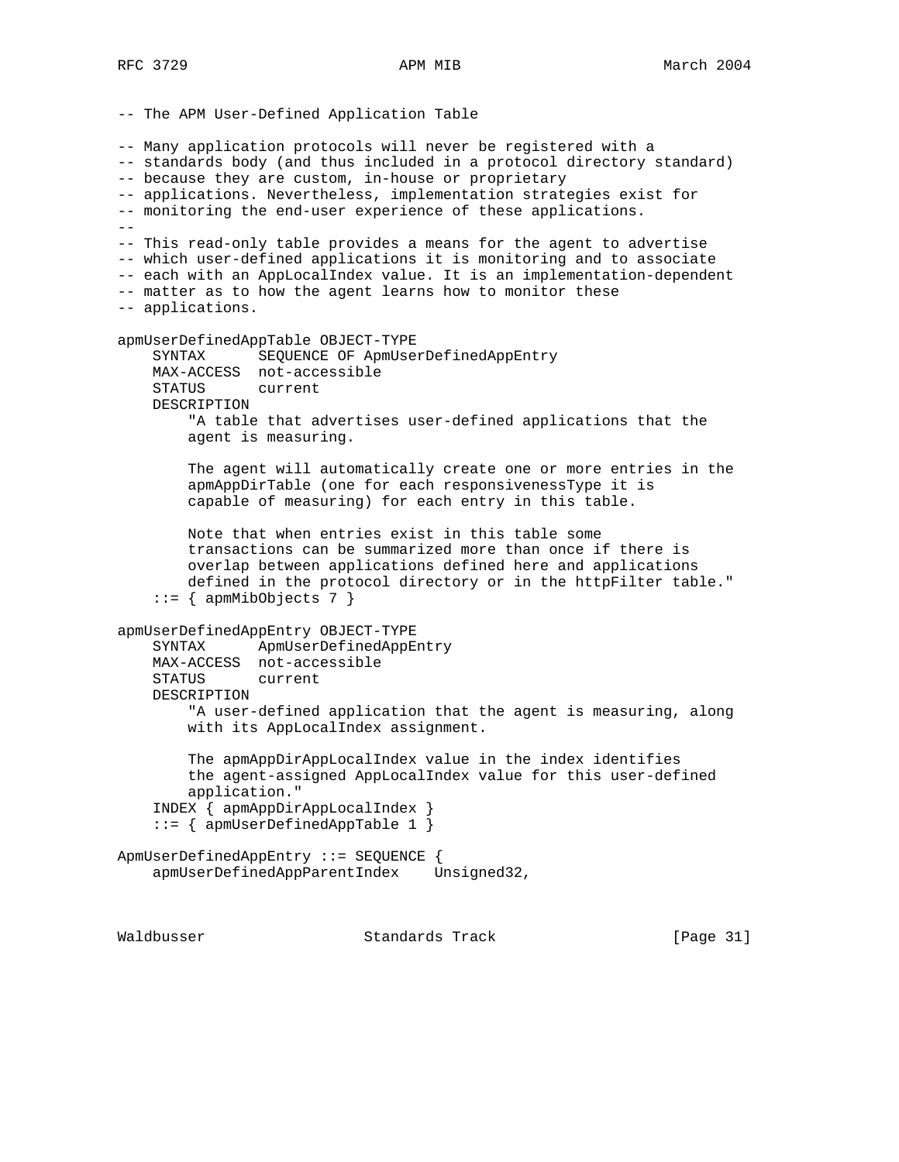-- The APM User-Defined Application Table -- Many application protocols will never be registered with a -- standards body (and thus included in a protocol directory standard) -- because they are custom, in-house or proprietary -- applications. Nevertheless, implementation strategies exist for -- monitoring the end-user experience of these applications. -- -- This read-only table provides a means for the agent to advertise -- which user-defined applications it is monitoring and to associate -- each with an AppLocalIndex value. It is an implementation-dependent -- matter as to how the agent learns how to monitor these -- applications. apmUserDefinedAppTable OBJECT-TYPE SYNTAX SEQUENCE OF ApmUserDefinedAppEntry MAX-ACCESS not-accessible STATUS current DESCRIPTION "A table that advertises user-defined applications that the agent is measuring. The agent will automatically create one or more entries in the apmAppDirTable (one for each responsivenessType it is capable of measuring) for each entry in this table. Note that when entries exist in this table some transactions can be summarized more than once if there is overlap between applications defined here and applications defined in the protocol directory or in the httpFilter table."  $::=$  { apmMibObjects 7 } apmUserDefinedAppEntry OBJECT-TYPE SYNTAX ApmUserDefinedAppEntry MAX-ACCESS not-accessible STATUS current DESCRIPTION "A user-defined application that the agent is measuring, along with its AppLocalIndex assignment. The apmAppDirAppLocalIndex value in the index identifies the agent-assigned AppLocalIndex value for this user-defined application." INDEX { apmAppDirAppLocalIndex } ::= { apmUserDefinedAppTable 1 } ApmUserDefinedAppEntry ::= SEQUENCE { apmUserDefinedAppParentIndex Unsigned32,

Waldbusser Standards Track [Page 31]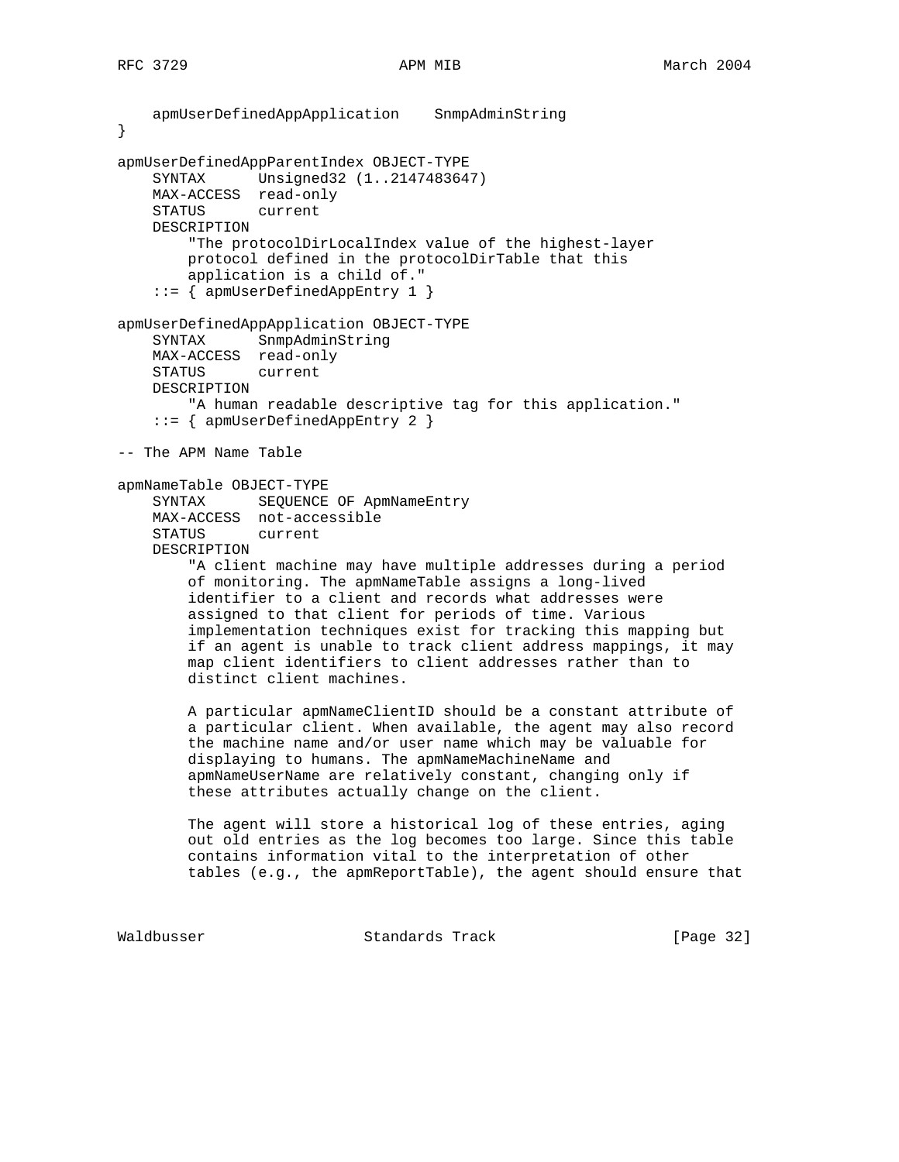```
 apmUserDefinedAppApplication SnmpAdminString
}
apmUserDefinedAppParentIndex OBJECT-TYPE
     SYNTAX Unsigned32 (1..2147483647)
    MAX-ACCESS read-only
    STATUS current
    DESCRIPTION
         "The protocolDirLocalIndex value of the highest-layer
        protocol defined in the protocolDirTable that this
        application is a child of."
     ::= { apmUserDefinedAppEntry 1 }
apmUserDefinedAppApplication OBJECT-TYPE
     SYNTAX SnmpAdminString
    MAX-ACCESS read-only
    STATUS current
    DESCRIPTION
        "A human readable descriptive tag for this application."
     ::= { apmUserDefinedAppEntry 2 }
-- The APM Name Table
apmNameTable OBJECT-TYPE
     SYNTAX SEQUENCE OF ApmNameEntry
    MAX-ACCESS not-accessible
    STATUS current
     DESCRIPTION
         "A client machine may have multiple addresses during a period
        of monitoring. The apmNameTable assigns a long-lived
         identifier to a client and records what addresses were
         assigned to that client for periods of time. Various
         implementation techniques exist for tracking this mapping but
         if an agent is unable to track client address mappings, it may
        map client identifiers to client addresses rather than to
        distinct client machines.
        A particular apmNameClientID should be a constant attribute of
         a particular client. When available, the agent may also record
         the machine name and/or user name which may be valuable for
         displaying to humans. The apmNameMachineName and
         apmNameUserName are relatively constant, changing only if
         these attributes actually change on the client.
        The agent will store a historical log of these entries, aging
        out old entries as the log becomes too large. Since this table
        contains information vital to the interpretation of other
         tables (e.g., the apmReportTable), the agent should ensure that
```
Waldbusser Standards Track [Page 32]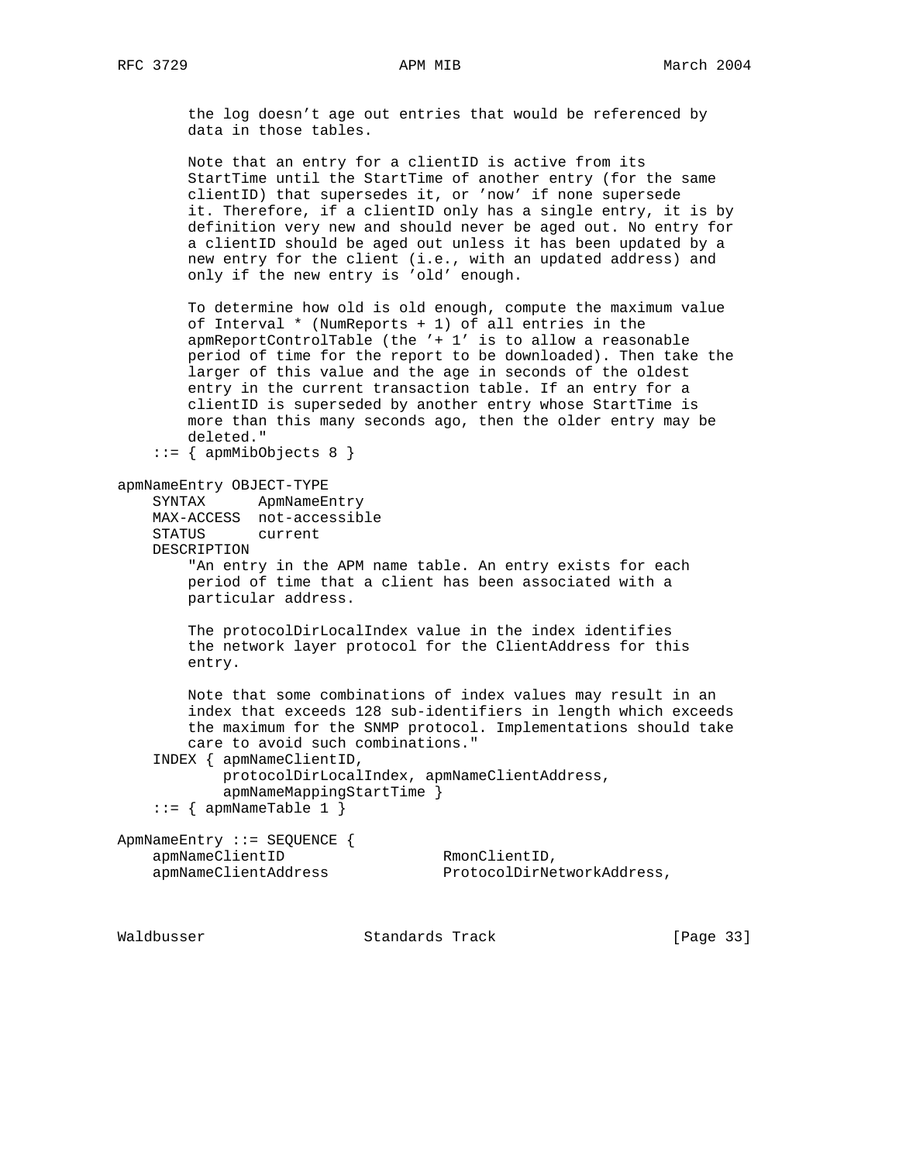the log doesn't age out entries that would be referenced by data in those tables.

 Note that an entry for a clientID is active from its StartTime until the StartTime of another entry (for the same clientID) that supersedes it, or 'now' if none supersede it. Therefore, if a clientID only has a single entry, it is by definition very new and should never be aged out. No entry for a clientID should be aged out unless it has been updated by a new entry for the client (i.e., with an updated address) and only if the new entry is 'old' enough.

 To determine how old is old enough, compute the maximum value of Interval \* (NumReports + 1) of all entries in the apmReportControlTable (the '+ 1' is to allow a reasonable period of time for the report to be downloaded). Then take the larger of this value and the age in seconds of the oldest entry in the current transaction table. If an entry for a clientID is superseded by another entry whose StartTime is more than this many seconds ago, then the older entry may be deleted."

```
 ::= { apmMibObjects 8 }
```
## apmNameEntry OBJECT-TYPE

```
 SYNTAX ApmNameEntry
 MAX-ACCESS not-accessible
 STATUS current
 DESCRIPTION
```
 "An entry in the APM name table. An entry exists for each period of time that a client has been associated with a particular address.

 The protocolDirLocalIndex value in the index identifies the network layer protocol for the ClientAddress for this entry.

 Note that some combinations of index values may result in an index that exceeds 128 sub-identifiers in length which exceeds the maximum for the SNMP protocol. Implementations should take care to avoid such combinations."

INDEX { apmNameClientID,

```
 protocolDirLocalIndex, apmNameClientAddress,
 apmNameMappingStartTime }
```

```
::= { apmNameTable 1 }
```
ApmNameEntry ::= SEQUENCE { apmNameClientID RmonClientID,

apmNameClientAddress ProtocolDirNetworkAddress,

Waldbusser **Standards Track** [Page 33]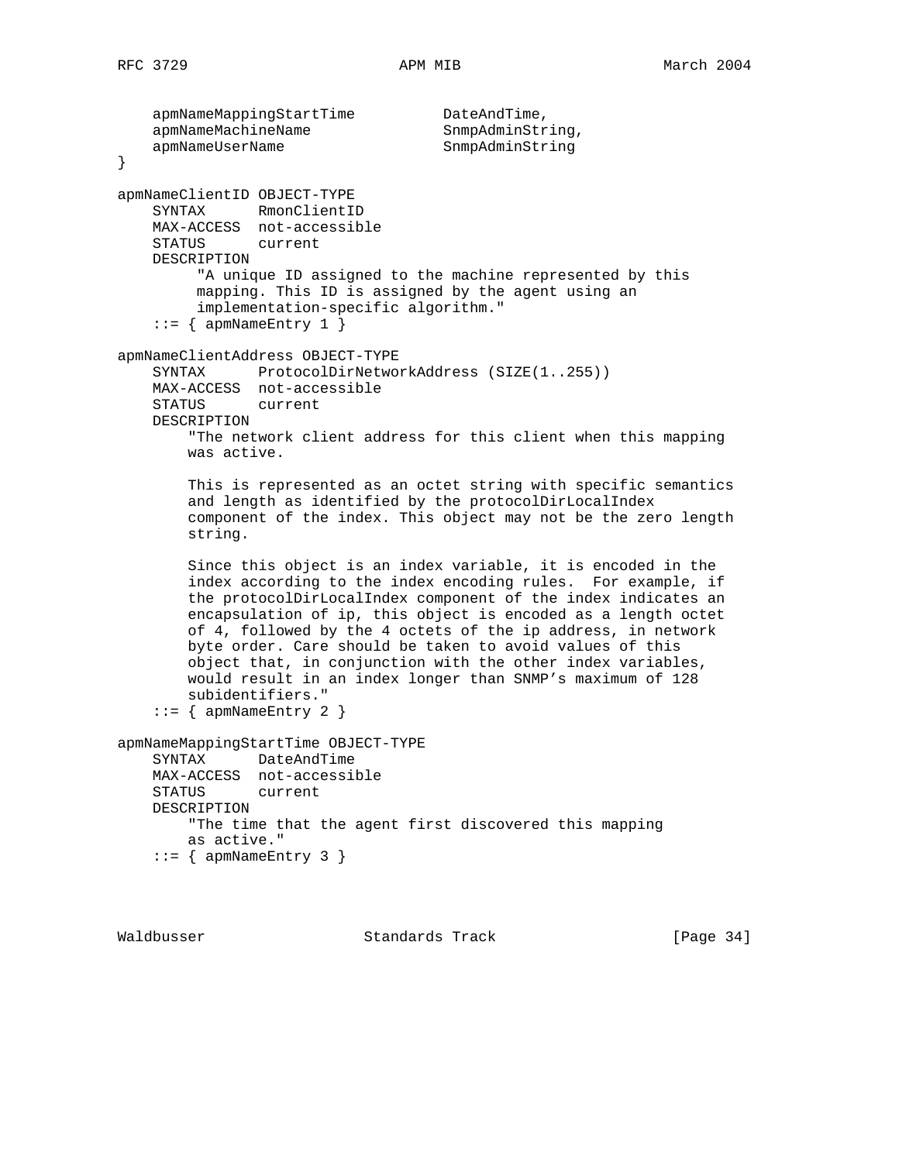```
apmNameMappingStartTime DateAndTime,
    apmNameMachineName SnmpAdminString,
   apmNameUserName SnmpAdminString
}
apmNameClientID OBJECT-TYPE
    SYNTAX RmonClientID
    MAX-ACCESS not-accessible
    STATUS current
    DESCRIPTION
          "A unique ID assigned to the machine represented by this
         mapping. This ID is assigned by the agent using an
         implementation-specific algorithm."
    ::= { apmNameEntry 1 }
apmNameClientAddress OBJECT-TYPE
    SYNTAX ProtocolDirNetworkAddress (SIZE(1..255))
    MAX-ACCESS not-accessible
    STATUS current
    DESCRIPTION
        "The network client address for this client when this mapping
        was active.
        This is represented as an octet string with specific semantics
        and length as identified by the protocolDirLocalIndex
        component of the index. This object may not be the zero length
        string.
        Since this object is an index variable, it is encoded in the
        index according to the index encoding rules. For example, if
        the protocolDirLocalIndex component of the index indicates an
        encapsulation of ip, this object is encoded as a length octet
        of 4, followed by the 4 octets of the ip address, in network
        byte order. Care should be taken to avoid values of this
        object that, in conjunction with the other index variables,
        would result in an index longer than SNMP's maximum of 128
        subidentifiers."
    ::= { apmNameEntry 2 }
apmNameMappingStartTime OBJECT-TYPE
    SYNTAX DateAndTime
    MAX-ACCESS not-accessible
   STATUS
    DESCRIPTION
        "The time that the agent first discovered this mapping
        as active."
    ::= { apmNameEntry 3 }
```
Waldbusser Standards Track [Page 34]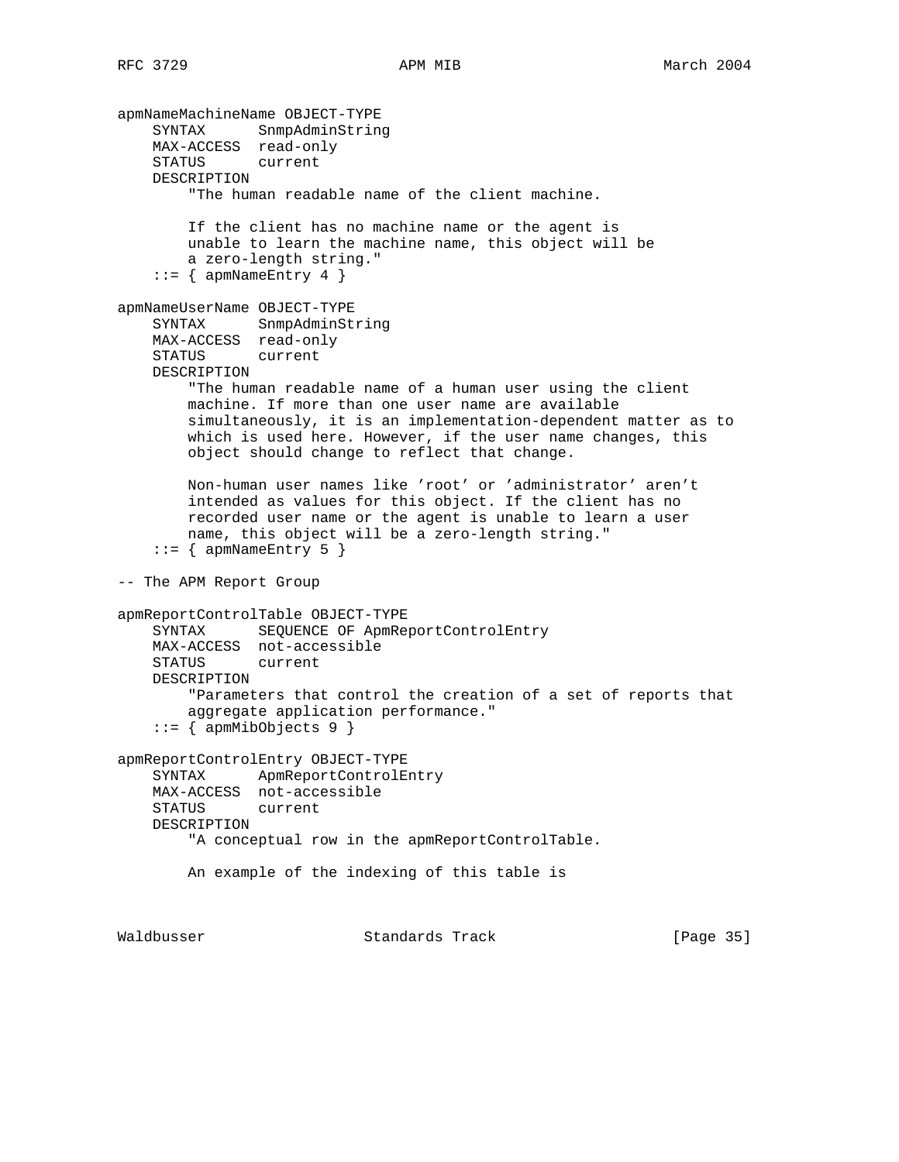```
apmNameMachineName OBJECT-TYPE
 SYNTAX SnmpAdminString
 MAX-ACCESS read-only
    STATUS current
    DESCRIPTION
         "The human readable name of the client machine.
        If the client has no machine name or the agent is
        unable to learn the machine name, this object will be
        a zero-length string."
    ::= { apmNameEntry 4 }
apmNameUserName OBJECT-TYPE
    SYNTAX SnmpAdminString
    MAX-ACCESS read-only
    STATUS current
    DESCRIPTION
        "The human readable name of a human user using the client
        machine. If more than one user name are available
        simultaneously, it is an implementation-dependent matter as to
        which is used here. However, if the user name changes, this
        object should change to reflect that change.
        Non-human user names like 'root' or 'administrator' aren't
        intended as values for this object. If the client has no
        recorded user name or the agent is unable to learn a user
        name, this object will be a zero-length string."
    ::= { apmNameEntry 5 }
-- The APM Report Group
apmReportControlTable OBJECT-TYPE
    SYNTAX SEQUENCE OF ApmReportControlEntry
    MAX-ACCESS not-accessible
    STATUS current
    DESCRIPTION
        "Parameters that control the creation of a set of reports that
        aggregate application performance."
     ::= { apmMibObjects 9 }
apmReportControlEntry OBJECT-TYPE
    SYNTAX ApmReportControlEntry
    MAX-ACCESS not-accessible
    STATUS current
    DESCRIPTION
        "A conceptual row in the apmReportControlTable.
        An example of the indexing of this table is
Waldbusser Standards Track [Page 35]
```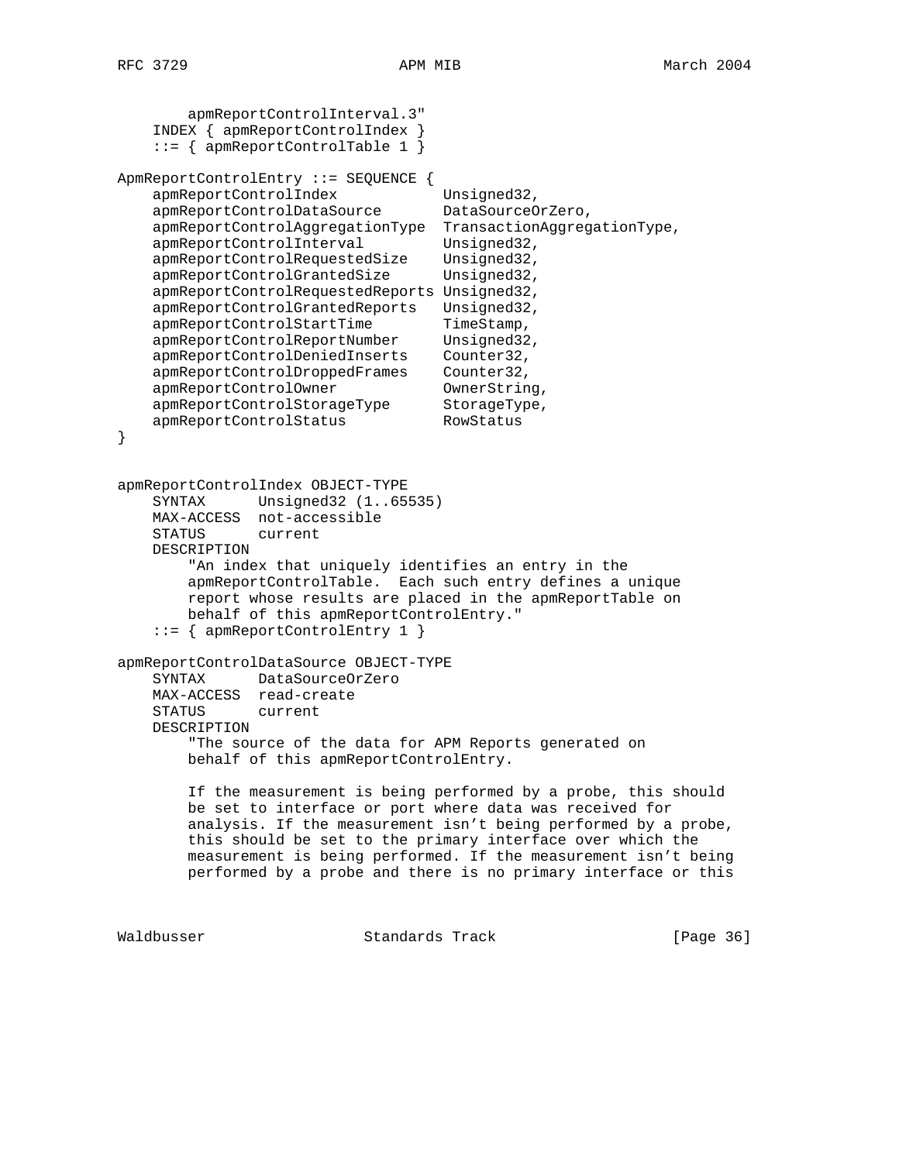```
 apmReportControlInterval.3"
     INDEX { apmReportControlIndex }
     ::= { apmReportControlTable 1 }
ApmReportControlEntry ::= SEQUENCE {
apmReportControlIndex Unsigned32,
 apmReportControlDataSource DataSourceOrZero,
    apmReportControlAggregationType TransactionAggregationType,
    apmReportControlInterval Unsigned32,
     apmReportControlRequestedSize Unsigned32,
   apmReportControlGrantedSize Unsigned32,
    apmReportControlRequestedReports Unsigned32,
    apmReportControlGrantedReports Unsigned32,<br>apmReportControlStartTime TimeStamp,
apmReportControlStartTime TimeStamp,
 apmReportControlReportNumber Unsigned32,
    apmReportControlDeniedInserts Counter32,
 apmReportControlDroppedFrames Counter32,
apmReportControlOwner CwnerString,
 apmReportControlStorageType StorageType,
apmReportControlStatus RowStatus
}
apmReportControlIndex OBJECT-TYPE
    SYNTAX Unsigned32 (1..65535)
    MAX-ACCESS not-accessible
    STATUS current
    DESCRIPTION
         "An index that uniquely identifies an entry in the
        apmReportControlTable. Each such entry defines a unique
        report whose results are placed in the apmReportTable on
        behalf of this apmReportControlEntry."
     ::= { apmReportControlEntry 1 }
apmReportControlDataSource OBJECT-TYPE
    SYNTAX DataSourceOrZero
    MAX-ACCESS read-create
    STATUS current
    DESCRIPTION
        "The source of the data for APM Reports generated on
        behalf of this apmReportControlEntry.
        If the measurement is being performed by a probe, this should
        be set to interface or port where data was received for
        analysis. If the measurement isn't being performed by a probe,
        this should be set to the primary interface over which the
        measurement is being performed. If the measurement isn't being
        performed by a probe and there is no primary interface or this
```
Waldbusser Standards Track [Page 36]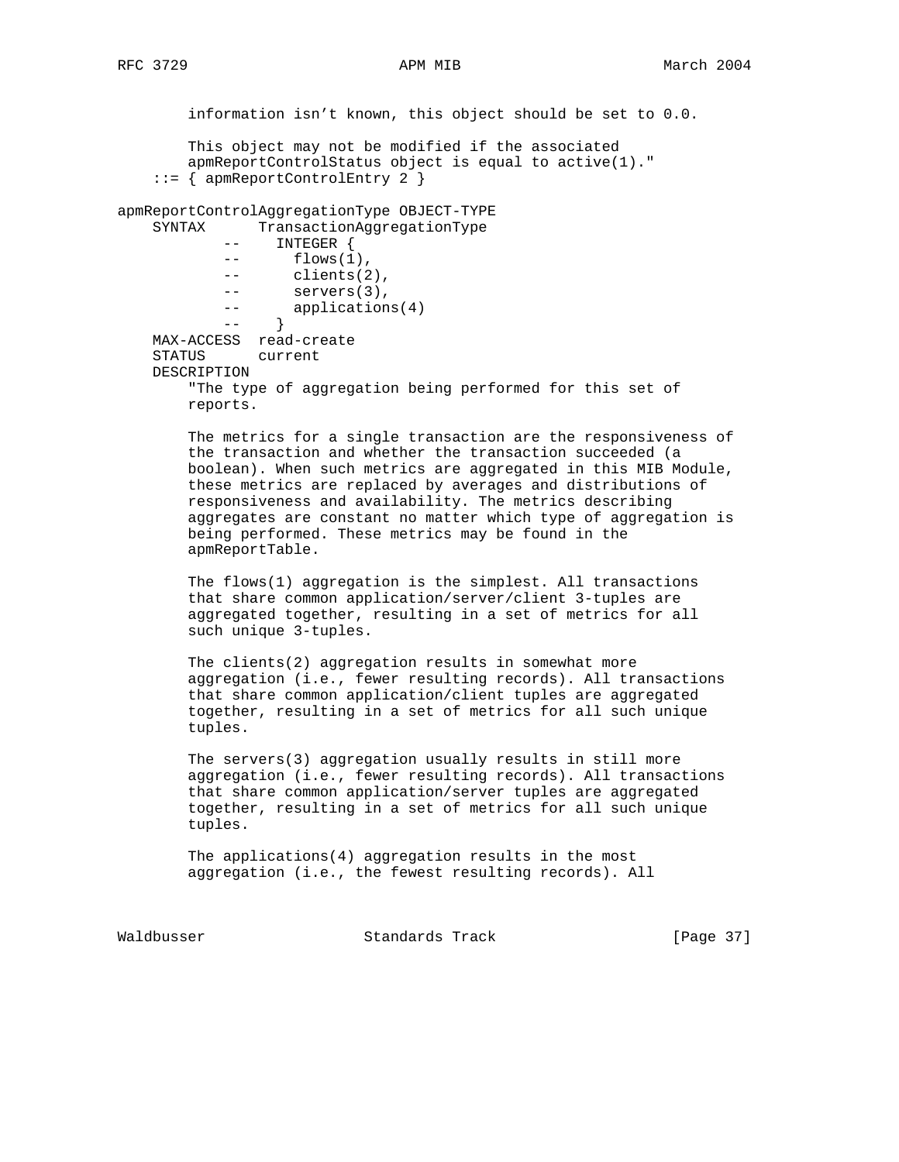information isn't known, this object should be set to 0.0. This object may not be modified if the associated apmReportControlStatus object is equal to active(1)." ::= { apmReportControlEntry 2 } apmReportControlAggregationType OBJECT-TYPE SYNTAX TransactionAggregationType -- INTEGER { -- flows(1), -- clients(2), -- servers(3), -- applications(4) --<br>-- } MAX-ACCESS read-create STATUS current DESCRIPTION "The type of aggregation being performed for this set of reports. The metrics for a single transaction are the responsiveness of the transaction and whether the transaction succeeded (a boolean). When such metrics are aggregated in this MIB Module, these metrics are replaced by averages and distributions of responsiveness and availability. The metrics describing aggregates are constant no matter which type of aggregation is being performed. These metrics may be found in the apmReportTable. The flows(1) aggregation is the simplest. All transactions that share common application/server/client 3-tuples are aggregated together, resulting in a set of metrics for all such unique 3-tuples. The clients(2) aggregation results in somewhat more aggregation (i.e., fewer resulting records). All transactions that share common application/client tuples are aggregated together, resulting in a set of metrics for all such unique tuples. The servers(3) aggregation usually results in still more aggregation (i.e., fewer resulting records). All transactions that share common application/server tuples are aggregated together, resulting in a set of metrics for all such unique tuples. The applications(4) aggregation results in the most aggregation (i.e., the fewest resulting records). All

Waldbusser Standards Track [Page 37]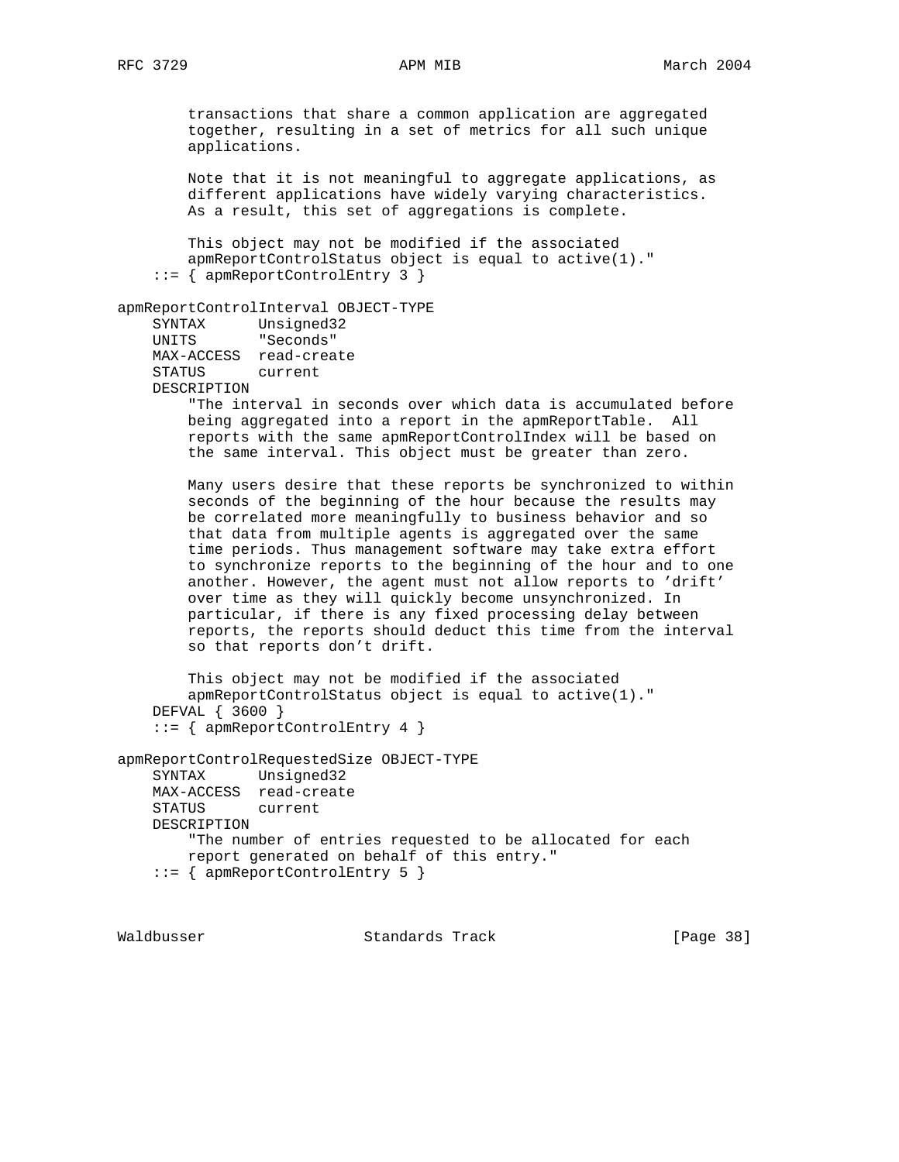transactions that share a common application are aggregated together, resulting in a set of metrics for all such unique applications.

 Note that it is not meaningful to aggregate applications, as different applications have widely varying characteristics. As a result, this set of aggregations is complete.

 This object may not be modified if the associated apmReportControlStatus object is equal to active(1)." ::= { apmReportControlEntry 3 }

```
apmReportControlInterval OBJECT-TYPE
```

```
 SYNTAX Unsigned32
 UNITS "Seconds"
    MAX-ACCESS read-create
    STATUS current
    DESCRIPTION
```
 "The interval in seconds over which data is accumulated before being aggregated into a report in the apmReportTable. All reports with the same apmReportControlIndex will be based on the same interval. This object must be greater than zero.

 Many users desire that these reports be synchronized to within seconds of the beginning of the hour because the results may be correlated more meaningfully to business behavior and so that data from multiple agents is aggregated over the same time periods. Thus management software may take extra effort to synchronize reports to the beginning of the hour and to one another. However, the agent must not allow reports to 'drift' over time as they will quickly become unsynchronized. In particular, if there is any fixed processing delay between reports, the reports should deduct this time from the interval so that reports don't drift.

```
 This object may not be modified if the associated
     apmReportControlStatus object is equal to active(1)."
 DEFVAL { 3600 }
 ::= { apmReportControlEntry 4 }
```

```
apmReportControlRequestedSize OBJECT-TYPE
    SYNTAX Unsigned32
    MAX-ACCESS read-create
    STATUS current
    DESCRIPTION
         "The number of entries requested to be allocated for each
        report generated on behalf of this entry."
     ::= { apmReportControlEntry 5 }
```
Waldbusser **Standards Track** [Page 38]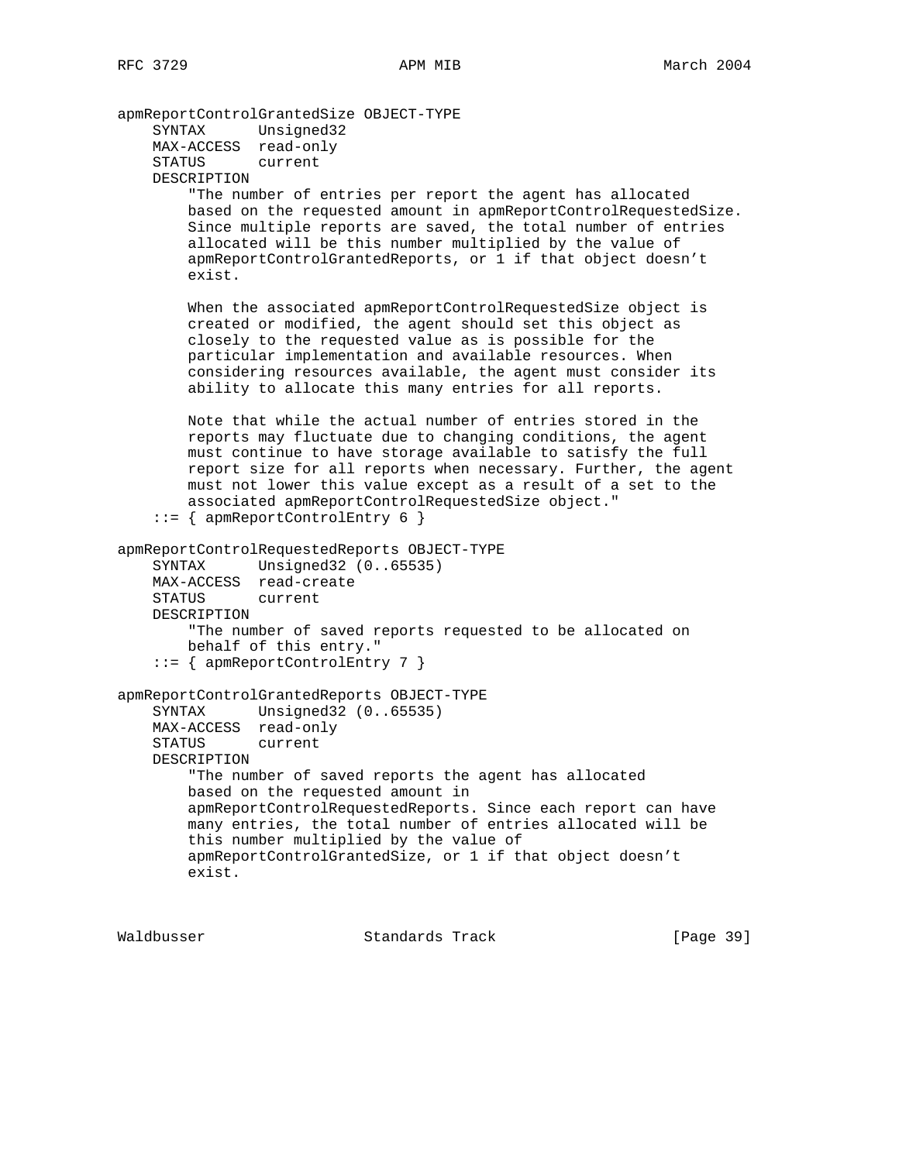apmReportControlGrantedSize OBJECT-TYPE SYNTAX Unsigned32 MAX-ACCESS read-only STATUS current DESCRIPTION "The number of entries per report the agent has allocated based on the requested amount in apmReportControlRequestedSize. Since multiple reports are saved, the total number of entries allocated will be this number multiplied by the value of apmReportControlGrantedReports, or 1 if that object doesn't exist. When the associated apmReportControlRequestedSize object is created or modified, the agent should set this object as closely to the requested value as is possible for the particular implementation and available resources. When considering resources available, the agent must consider its ability to allocate this many entries for all reports. Note that while the actual number of entries stored in the reports may fluctuate due to changing conditions, the agent must continue to have storage available to satisfy the full report size for all reports when necessary. Further, the agent must not lower this value except as a result of a set to the associated apmReportControlRequestedSize object." ::= { apmReportControlEntry 6 } apmReportControlRequestedReports OBJECT-TYPE SYNTAX Unsigned32 (0..65535) MAX-ACCESS read-create STATUS current DESCRIPTION "The number of saved reports requested to be allocated on behalf of this entry." ::= { apmReportControlEntry 7 } apmReportControlGrantedReports OBJECT-TYPE SYNTAX Unsigned32 (0..65535) MAX-ACCESS read-only STATUS current DESCRIPTION "The number of saved reports the agent has allocated based on the requested amount in apmReportControlRequestedReports. Since each report can have many entries, the total number of entries allocated will be this number multiplied by the value of apmReportControlGrantedSize, or 1 if that object doesn't exist.

Waldbusser **Standards Track** [Page 39]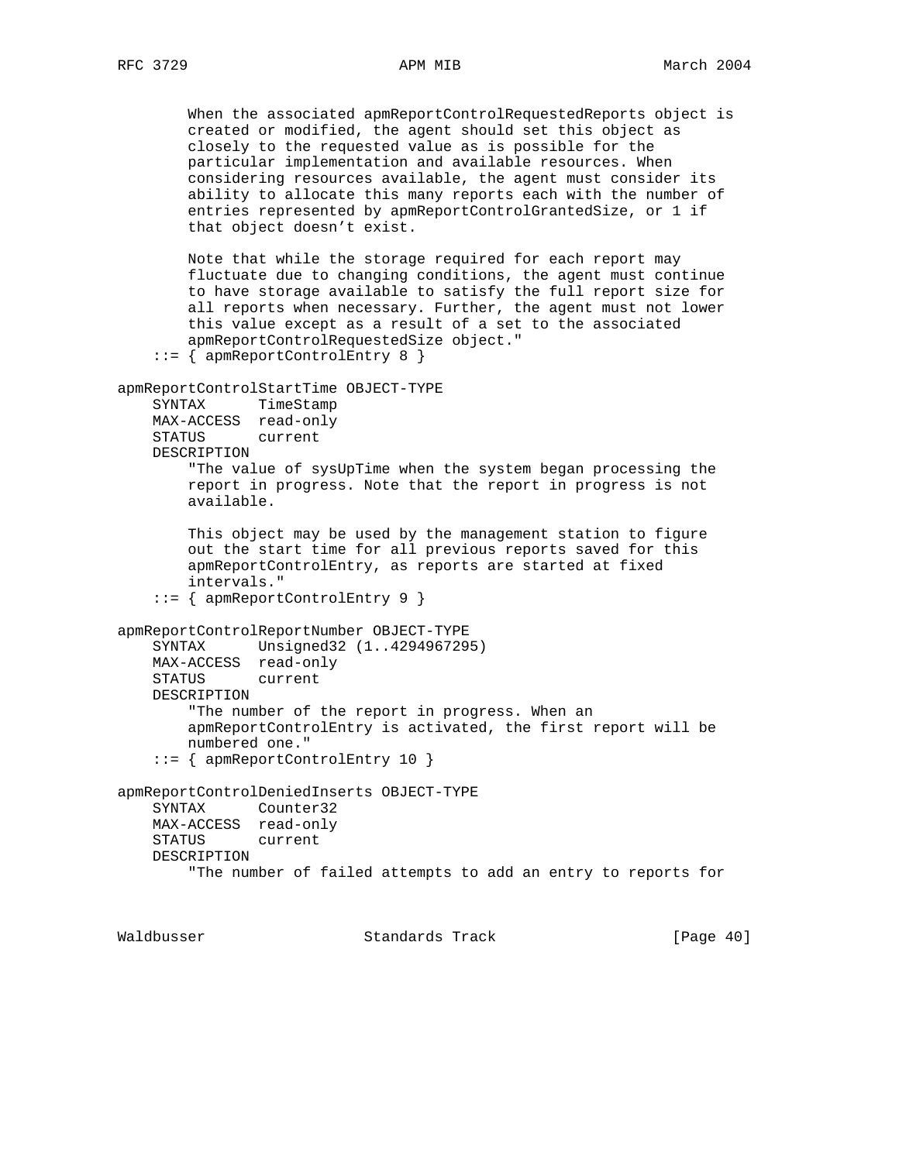When the associated apmReportControlRequestedReports object is created or modified, the agent should set this object as closely to the requested value as is possible for the particular implementation and available resources. When considering resources available, the agent must consider its ability to allocate this many reports each with the number of entries represented by apmReportControlGrantedSize, or 1 if that object doesn't exist.

 Note that while the storage required for each report may fluctuate due to changing conditions, the agent must continue to have storage available to satisfy the full report size for all reports when necessary. Further, the agent must not lower this value except as a result of a set to the associated apmReportControlRequestedSize object."

```
 ::= { apmReportControlEntry 8 }
```

```
apmReportControlStartTime OBJECT-TYPE
```

```
 SYNTAX TimeStamp
 MAX-ACCESS read-only
 STATUS current
 DESCRIPTION
```
 "The value of sysUpTime when the system began processing the report in progress. Note that the report in progress is not available.

 This object may be used by the management station to figure out the start time for all previous reports saved for this apmReportControlEntry, as reports are started at fixed intervals."

```
 ::= { apmReportControlEntry 9 }
```
### apmReportControlReportNumber OBJECT-TYPE

```
 SYNTAX Unsigned32 (1..4294967295)
 MAX-ACCESS read-only
 STATUS current
 DESCRIPTION
     "The number of the report in progress. When an
     apmReportControlEntry is activated, the first report will be
    numbered one."
 ::= { apmReportControlEntry 10 }
```

```
apmReportControlDeniedInserts OBJECT-TYPE
    SYNTAX Counter32
    MAX-ACCESS read-only
    STATUS current
    DESCRIPTION
         "The number of failed attempts to add an entry to reports for
```
Waldbusser Standards Track [Page 40]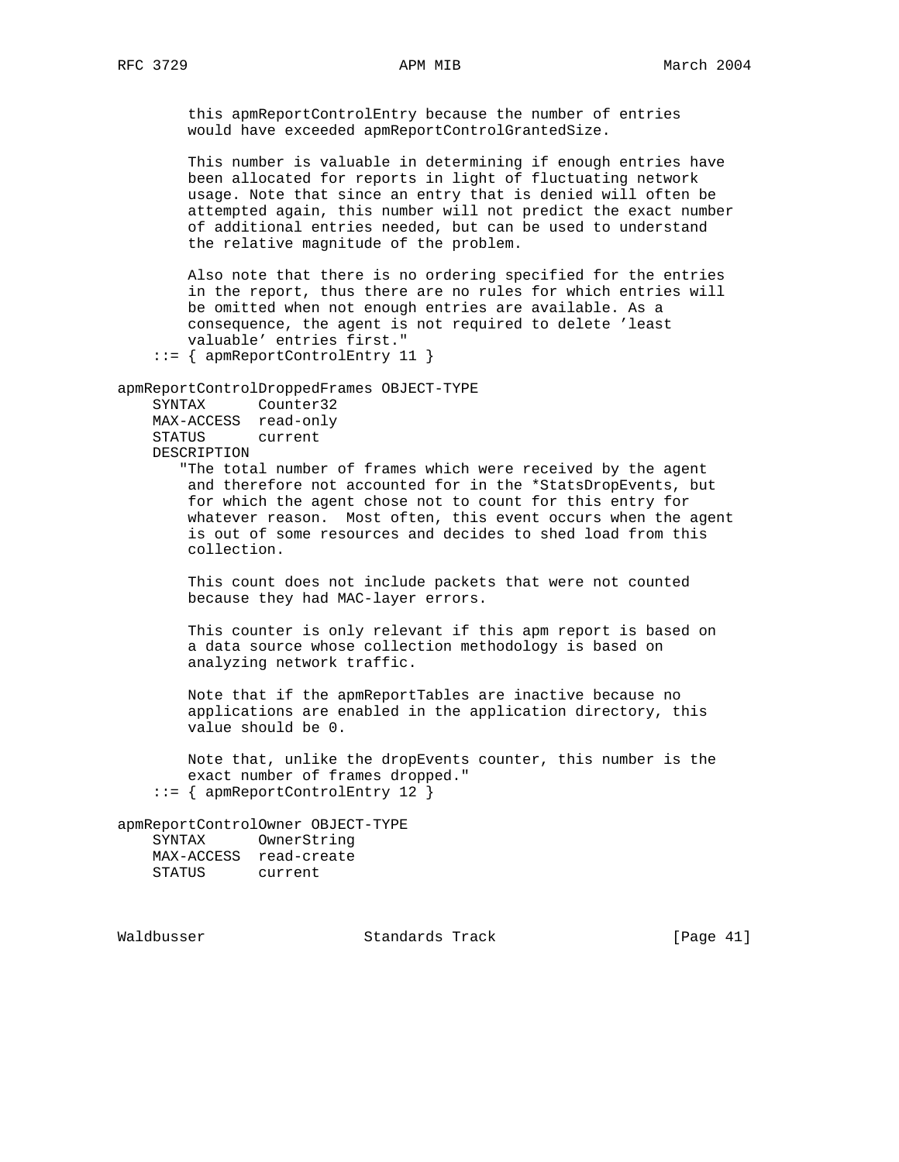this apmReportControlEntry because the number of entries would have exceeded apmReportControlGrantedSize.

 This number is valuable in determining if enough entries have been allocated for reports in light of fluctuating network usage. Note that since an entry that is denied will often be attempted again, this number will not predict the exact number of additional entries needed, but can be used to understand the relative magnitude of the problem.

 Also note that there is no ordering specified for the entries in the report, thus there are no rules for which entries will be omitted when not enough entries are available. As a consequence, the agent is not required to delete 'least valuable' entries first."

::= { apmReportControlEntry 11 }

apmReportControlDroppedFrames OBJECT-TYPE

| SYNTAX        | Counter32 |
|---------------|-----------|
| MAX-ACCESS    | read-only |
| <b>STATUS</b> | current   |
| DESCRIPTION   |           |

 "The total number of frames which were received by the agent and therefore not accounted for in the \*StatsDropEvents, but for which the agent chose not to count for this entry for whatever reason. Most often, this event occurs when the agent is out of some resources and decides to shed load from this collection.

 This count does not include packets that were not counted because they had MAC-layer errors.

 This counter is only relevant if this apm report is based on a data source whose collection methodology is based on analyzing network traffic.

 Note that if the apmReportTables are inactive because no applications are enabled in the application directory, this value should be 0.

 Note that, unlike the dropEvents counter, this number is the exact number of frames dropped." ::= { apmReportControlEntry 12 }

apmReportControlOwner OBJECT-TYPE

| SYNTAX     | OwnerString |
|------------|-------------|
| MAX-ACCESS | read-create |
| STATUS     | current     |

Waldbusser Standards Track [Page 41]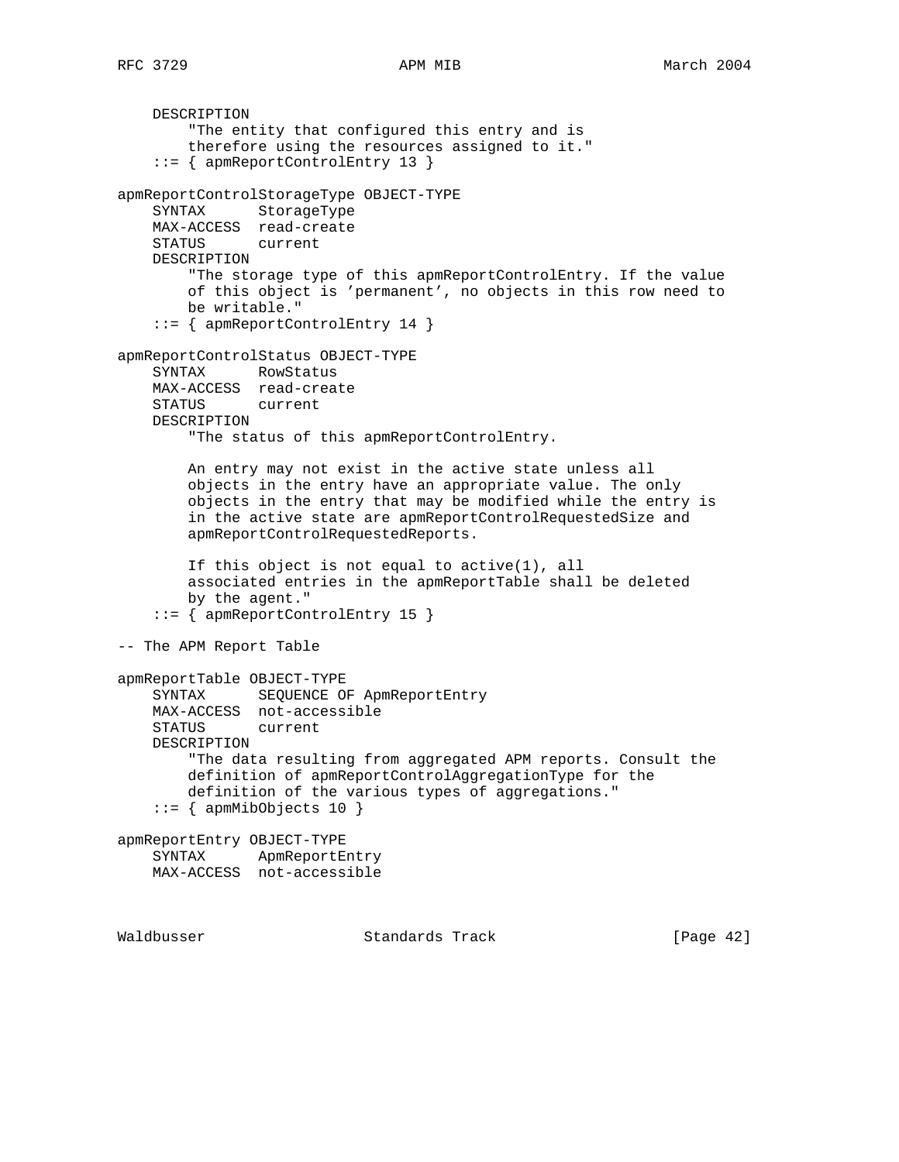DESCRIPTION "The entity that configured this entry and is therefore using the resources assigned to it." ::= { apmReportControlEntry 13 } apmReportControlStorageType OBJECT-TYPE SYNTAX StorageType MAX-ACCESS read-create STATUS current DESCRIPTION "The storage type of this apmReportControlEntry. If the value of this object is 'permanent', no objects in this row need to be writable." ::= { apmReportControlEntry 14 } apmReportControlStatus OBJECT-TYPE SYNTAX RowStatus MAX-ACCESS read-create STATUS current DESCRIPTION "The status of this apmReportControlEntry. An entry may not exist in the active state unless all objects in the entry have an appropriate value. The only objects in the entry that may be modified while the entry is in the active state are apmReportControlRequestedSize and apmReportControlRequestedReports. If this object is not equal to active(1), all associated entries in the apmReportTable shall be deleted by the agent." ::= { apmReportControlEntry 15 } -- The APM Report Table apmReportTable OBJECT-TYPE SYNTAX SEQUENCE OF ApmReportEntry MAX-ACCESS not-accessible STATUS current DESCRIPTION "The data resulting from aggregated APM reports. Consult the definition of apmReportControlAggregationType for the definition of the various types of aggregations."  $::=$  { apmMibObjects 10 } apmReportEntry OBJECT-TYPE SYNTAX ApmReportEntry MAX-ACCESS not-accessible Waldbusser Standards Track [Page 42]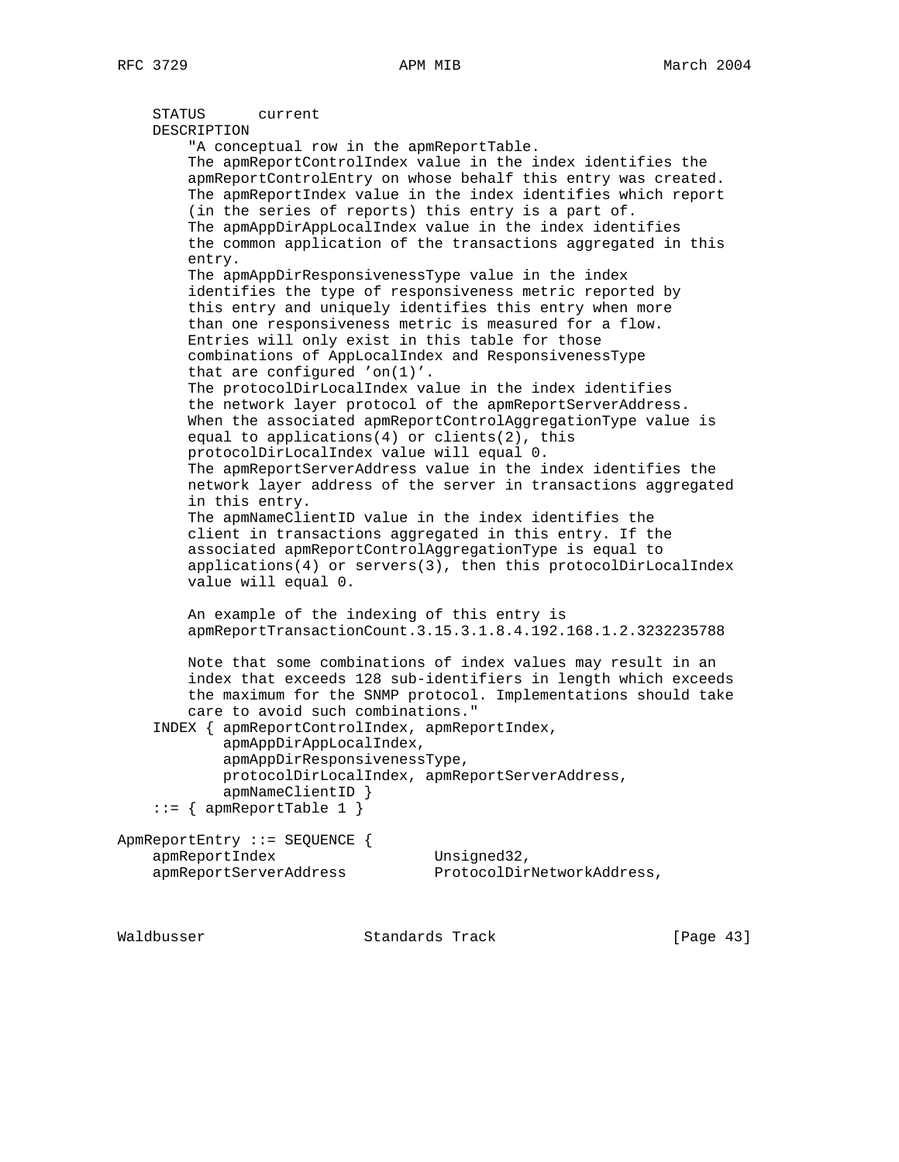STATUS current DESCRIPTION "A conceptual row in the apmReportTable. The apmReportControlIndex value in the index identifies the apmReportControlEntry on whose behalf this entry was created. The apmReportIndex value in the index identifies which report (in the series of reports) this entry is a part of. The apmAppDirAppLocalIndex value in the index identifies the common application of the transactions aggregated in this entry. The apmAppDirResponsivenessType value in the index identifies the type of responsiveness metric reported by this entry and uniquely identifies this entry when more than one responsiveness metric is measured for a flow. Entries will only exist in this table for those combinations of AppLocalIndex and ResponsivenessType that are configured 'on(1)'. The protocolDirLocalIndex value in the index identifies the network layer protocol of the apmReportServerAddress. When the associated apmReportControlAggregationType value is equal to applications(4) or clients(2), this protocolDirLocalIndex value will equal 0. The apmReportServerAddress value in the index identifies the network layer address of the server in transactions aggregated in this entry. The apmNameClientID value in the index identifies the client in transactions aggregated in this entry. If the associated apmReportControlAggregationType is equal to applications(4) or servers(3), then this protocolDirLocalIndex value will equal 0. An example of the indexing of this entry is apmReportTransactionCount.3.15.3.1.8.4.192.168.1.2.3232235788 Note that some combinations of index values may result in an index that exceeds 128 sub-identifiers in length which exceeds the maximum for the SNMP protocol. Implementations should take care to avoid such combinations." INDEX { apmReportControlIndex, apmReportIndex, apmAppDirAppLocalIndex, apmAppDirResponsivenessType, protocolDirLocalIndex, apmReportServerAddress, apmNameClientID }  $::=$  { apmReportTable 1 } ApmReportEntry ::= SEQUENCE { apmReportIndex Unsigned32, apmReportServerAddress ProtocolDirNetworkAddress,

Waldbusser Standards Track [Page 43]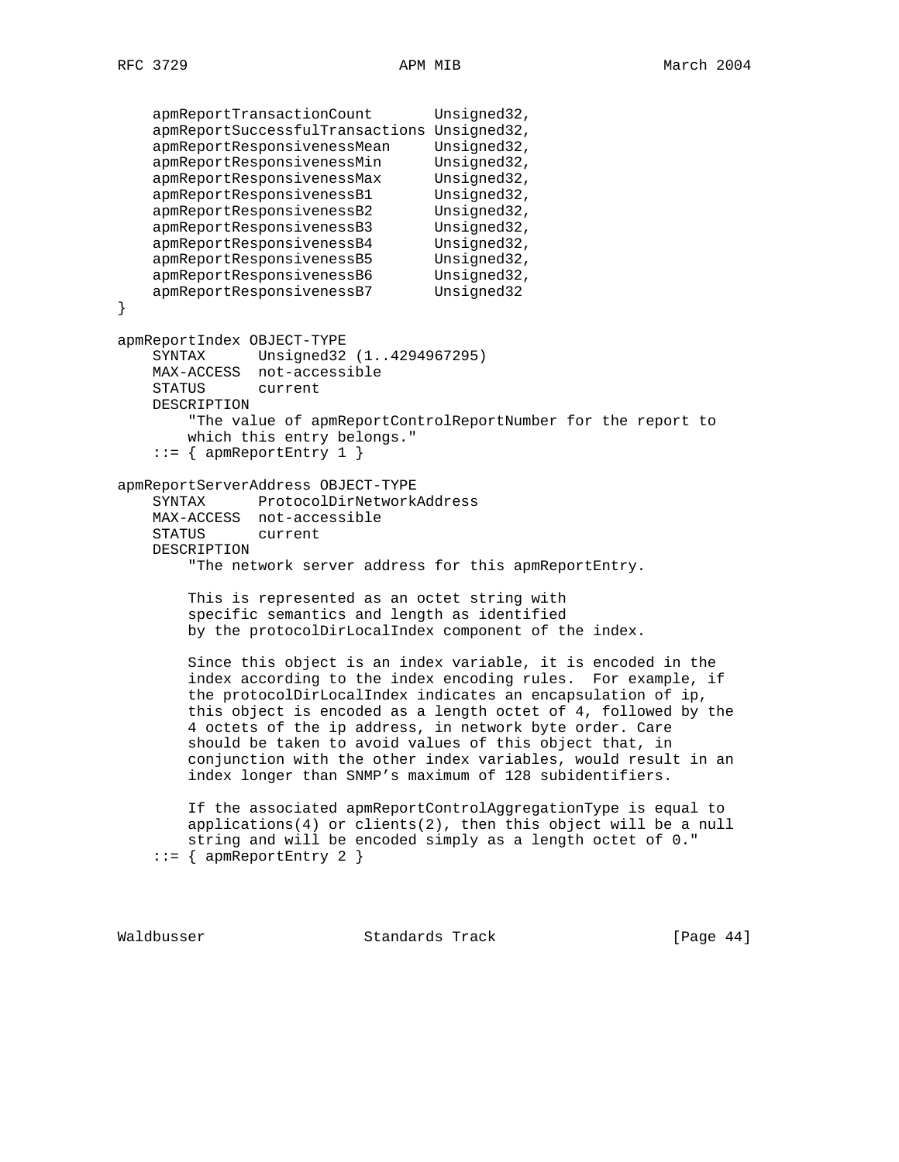```
apmReportTransactionCount Unsigned32,
     apmReportSuccessfulTransactions Unsigned32,
     apmReportResponsivenessMean Unsigned32,
    apmReportResponsivenessMin Unsigned32,<br>apmReportResponsivenessMax Unsigned32,
    apmReportResponsivenessMax
    apmReportResponsivenessB1 Unsigned32,
    apmReportResponsivenessB2 Unsigned32,
     apmReportResponsivenessB3 Unsigned32,
     apmReportResponsivenessB4 Unsigned32,
     apmReportResponsivenessB5 Unsigned32,
     apmReportResponsivenessB6 Unsigned32,
     apmReportResponsivenessB7 Unsigned32
}
apmReportIndex OBJECT-TYPE
     SYNTAX Unsigned32 (1..4294967295)
    MAX-ACCESS not-accessible
   STATUS
    DESCRIPTION
        "The value of apmReportControlReportNumber for the report to
        which this entry belongs."
     ::= { apmReportEntry 1 }
apmReportServerAddress OBJECT-TYPE
     SYNTAX ProtocolDirNetworkAddress
    MAX-ACCESS not-accessible
    STATUS current
     DESCRIPTION
         "The network server address for this apmReportEntry.
        This is represented as an octet string with
         specific semantics and length as identified
        by the protocolDirLocalIndex component of the index.
        Since this object is an index variable, it is encoded in the
         index according to the index encoding rules. For example, if
         the protocolDirLocalIndex indicates an encapsulation of ip,
         this object is encoded as a length octet of 4, followed by the
         4 octets of the ip address, in network byte order. Care
         should be taken to avoid values of this object that, in
         conjunction with the other index variables, would result in an
         index longer than SNMP's maximum of 128 subidentifiers.
         If the associated apmReportControlAggregationType is equal to
        applications(4) or clients(2), then this object will be a null
         string and will be encoded simply as a length octet of 0."
    ::= { apmReportEntry 2 }
```
Waldbusser Standards Track [Page 44]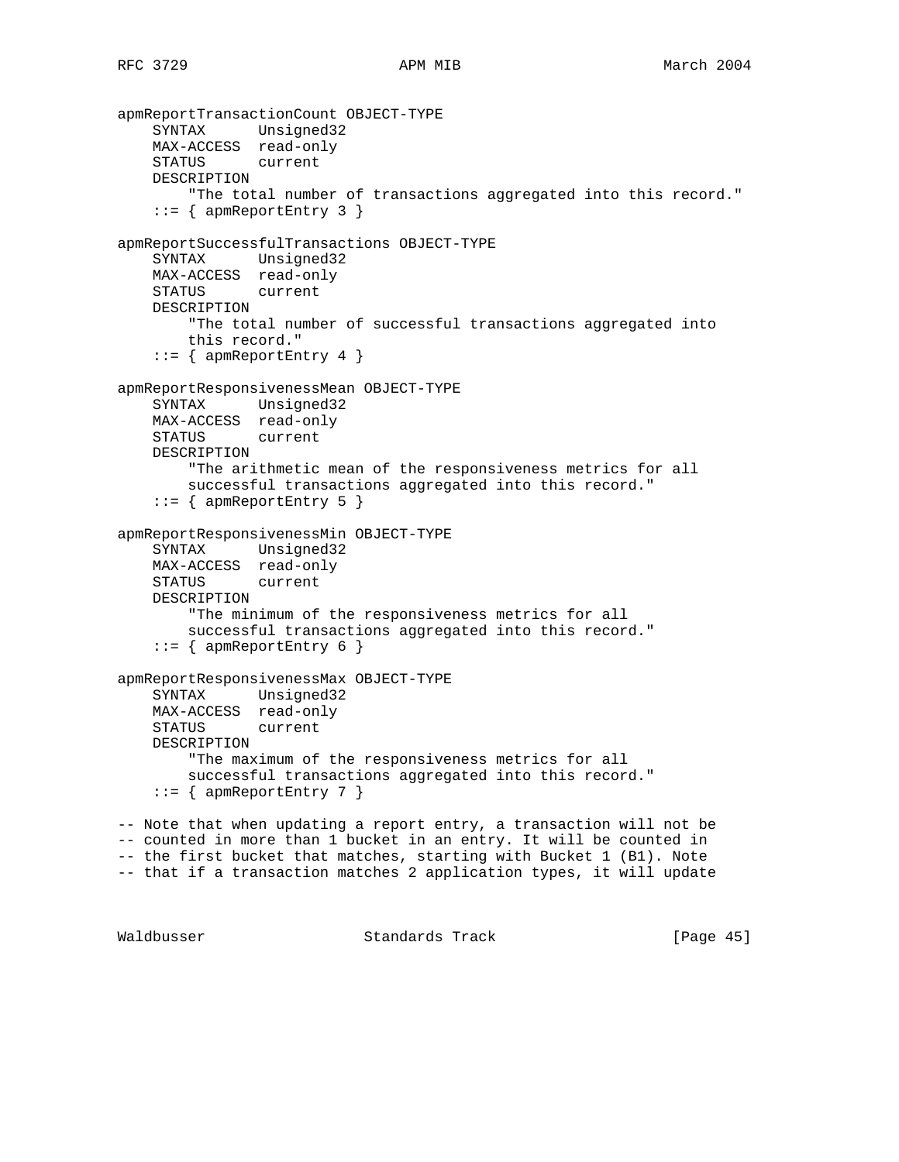```
apmReportTransactionCount OBJECT-TYPE
    SYNTAX Unsigned32
    MAX-ACCESS read-only
    STATUS current
    DESCRIPTION
         "The total number of transactions aggregated into this record."
     ::= { apmReportEntry 3 }
apmReportSuccessfulTransactions OBJECT-TYPE
    SYNTAX Unsigned32
    MAX-ACCESS read-only
    STATUS current
    DESCRIPTION
        "The total number of successful transactions aggregated into
        this record."
    ::= { apmReportEntry 4 }
apmReportResponsivenessMean OBJECT-TYPE
    SYNTAX Unsigned32
    MAX-ACCESS read-only
    STATUS current
    DESCRIPTION
         "The arithmetic mean of the responsiveness metrics for all
        successful transactions aggregated into this record."
     ::= { apmReportEntry 5 }
apmReportResponsivenessMin OBJECT-TYPE
    SYNTAX Unsigned32
    MAX-ACCESS read-only
    STATUS current
    DESCRIPTION
        "The minimum of the responsiveness metrics for all
        successful transactions aggregated into this record."
    ::= { apmReportEntry 6 }
apmReportResponsivenessMax OBJECT-TYPE
    SYNTAX Unsigned32
    MAX-ACCESS read-only
    STATUS current
    DESCRIPTION
         "The maximum of the responsiveness metrics for all
        successful transactions aggregated into this record."
    ::= { apmReportEntry 7 }
-- Note that when updating a report entry, a transaction will not be
-- counted in more than 1 bucket in an entry. It will be counted in
-- the first bucket that matches, starting with Bucket 1 (B1). Note
-- that if a transaction matches 2 application types, it will update
```
Waldbusser Standards Track [Page 45]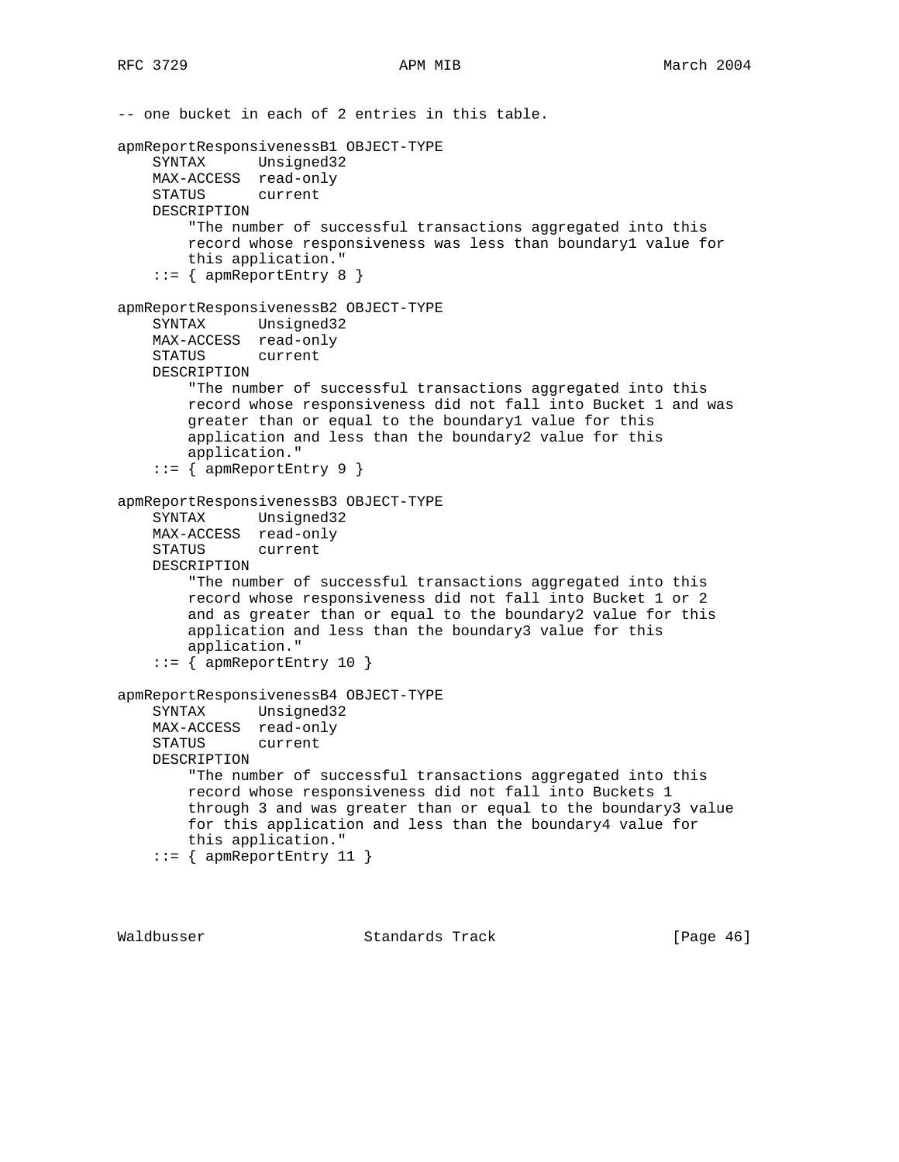-- one bucket in each of 2 entries in this table. apmReportResponsivenessB1 OBJECT-TYPE SYNTAX Unsigned32 MAX-ACCESS read-only STATUS current DESCRIPTION "The number of successful transactions aggregated into this record whose responsiveness was less than boundary1 value for this application." ::= { apmReportEntry 8 } apmReportResponsivenessB2 OBJECT-TYPE SYNTAX Unsigned32 MAX-ACCESS read-only STATUS current DESCRIPTION "The number of successful transactions aggregated into this record whose responsiveness did not fall into Bucket 1 and was greater than or equal to the boundary1 value for this application and less than the boundary2 value for this application." ::= { apmReportEntry 9 } apmReportResponsivenessB3 OBJECT-TYPE SYNTAX Unsigned32 MAX-ACCESS read-only STATUS current DESCRIPTION "The number of successful transactions aggregated into this record whose responsiveness did not fall into Bucket 1 or 2 and as greater than or equal to the boundary2 value for this application and less than the boundary3 value for this application." ::= { apmReportEntry 10 } apmReportResponsivenessB4 OBJECT-TYPE SYNTAX Unsigned32 MAX-ACCESS read-only STATUS current DESCRIPTION "The number of successful transactions aggregated into this record whose responsiveness did not fall into Buckets 1 through 3 and was greater than or equal to the boundary3 value for this application and less than the boundary4 value for this application."  $::=$  { apmReportEntry 11 }

Waldbusser Standards Track [Page 46]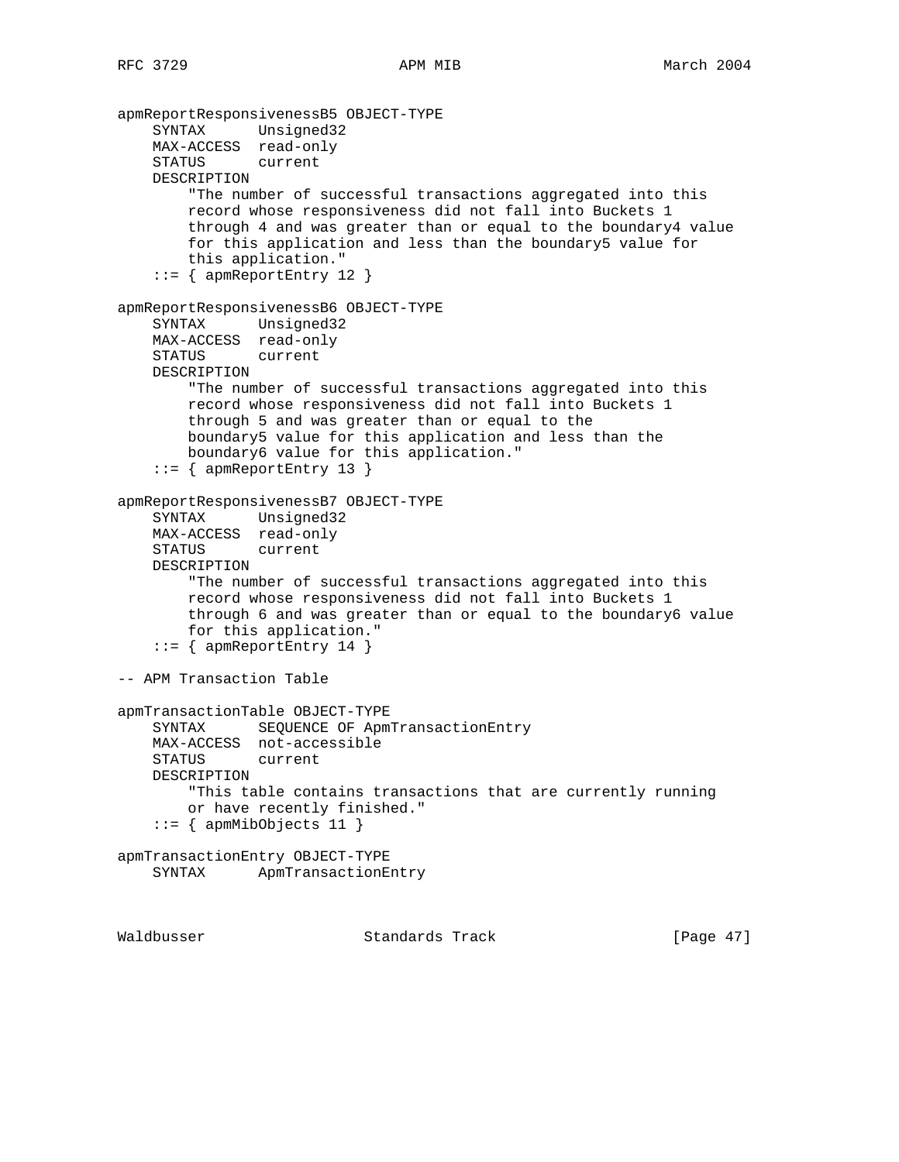```
apmReportResponsivenessB5 OBJECT-TYPE
     SYNTAX Unsigned32
    MAX-ACCESS read-only
     STATUS current
    DESCRIPTION
         "The number of successful transactions aggregated into this
        record whose responsiveness did not fall into Buckets 1
        through 4 and was greater than or equal to the boundary4 value
         for this application and less than the boundary5 value for
         this application."
     ::= { apmReportEntry 12 }
apmReportResponsivenessB6 OBJECT-TYPE
     SYNTAX Unsigned32
    MAX-ACCESS read-only
    STATUS current
    DESCRIPTION
         "The number of successful transactions aggregated into this
        record whose responsiveness did not fall into Buckets 1
        through 5 and was greater than or equal to the
        boundary5 value for this application and less than the
        boundary6 value for this application."
    ::= { apmReportEntry 13 }
apmReportResponsivenessB7 OBJECT-TYPE
     SYNTAX Unsigned32
    MAX-ACCESS read-only
    STATUS current
    DESCRIPTION
         "The number of successful transactions aggregated into this
        record whose responsiveness did not fall into Buckets 1
        through 6 and was greater than or equal to the boundary6 value
         for this application."
    ::= { apmReportEntry 14 }
-- APM Transaction Table
apmTransactionTable OBJECT-TYPE
     SYNTAX SEQUENCE OF ApmTransactionEntry
    MAX-ACCESS not-accessible
   STATUS
    DESCRIPTION
        "This table contains transactions that are currently running
        or have recently finished."
    ::= { apmMibObjects 11 }
apmTransactionEntry OBJECT-TYPE
    SYNTAX ApmTransactionEntry
```
Waldbusser Standards Track [Page 47]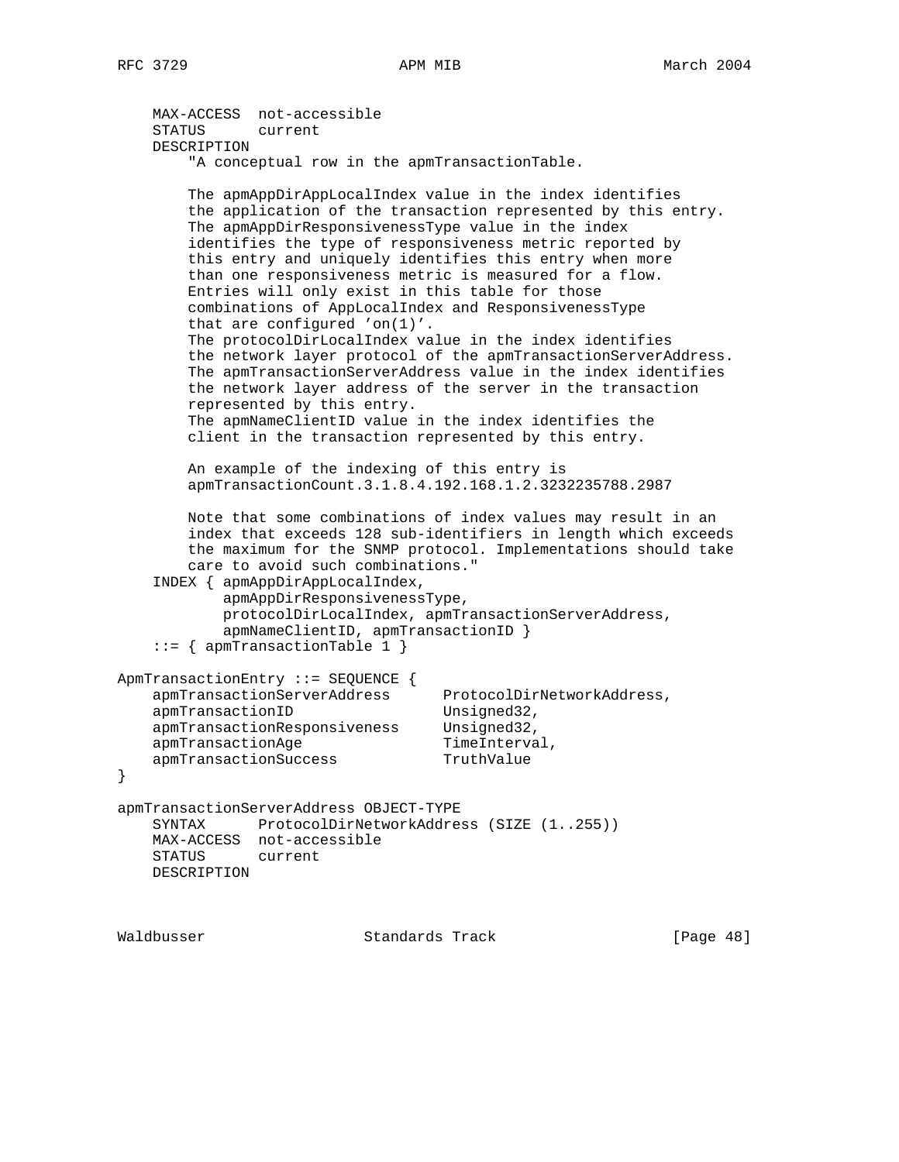```
 MAX-ACCESS not-accessible
    STATUS current
    DESCRIPTION
         "A conceptual row in the apmTransactionTable.
        The apmAppDirAppLocalIndex value in the index identifies
         the application of the transaction represented by this entry.
        The apmAppDirResponsivenessType value in the index
         identifies the type of responsiveness metric reported by
         this entry and uniquely identifies this entry when more
         than one responsiveness metric is measured for a flow.
        Entries will only exist in this table for those
        combinations of AppLocalIndex and ResponsivenessType
         that are configured 'on(1)'.
        The protocolDirLocalIndex value in the index identifies
        the network layer protocol of the apmTransactionServerAddress.
        The apmTransactionServerAddress value in the index identifies
        the network layer address of the server in the transaction
        represented by this entry.
        The apmNameClientID value in the index identifies the
        client in the transaction represented by this entry.
        An example of the indexing of this entry is
        apmTransactionCount.3.1.8.4.192.168.1.2.3232235788.2987
        Note that some combinations of index values may result in an
        index that exceeds 128 sub-identifiers in length which exceeds
        the maximum for the SNMP protocol. Implementations should take
         care to avoid such combinations."
     INDEX { apmAppDirAppLocalIndex,
            apmAppDirResponsivenessType,
            protocolDirLocalIndex, apmTransactionServerAddress,
            apmNameClientID, apmTransactionID }
     ::= { apmTransactionTable 1 }
ApmTransactionEntry ::= SEQUENCE {
 apmTransactionServerAddress ProtocolDirNetworkAddress,
apmTransactionID Unsigned32,
 apmTransactionResponsiveness Unsigned32,
apmTransactionAge TimeInterval,
apmTransactionSuccess TruthValue
apmTransactionServerAddress OBJECT-TYPE
    SYNTAX ProtocolDirNetworkAddress (SIZE (1..255))
    MAX-ACCESS not-accessible
    STATUS current
    DESCRIPTION
```
Waldbusser Standards Track [Page 48]

}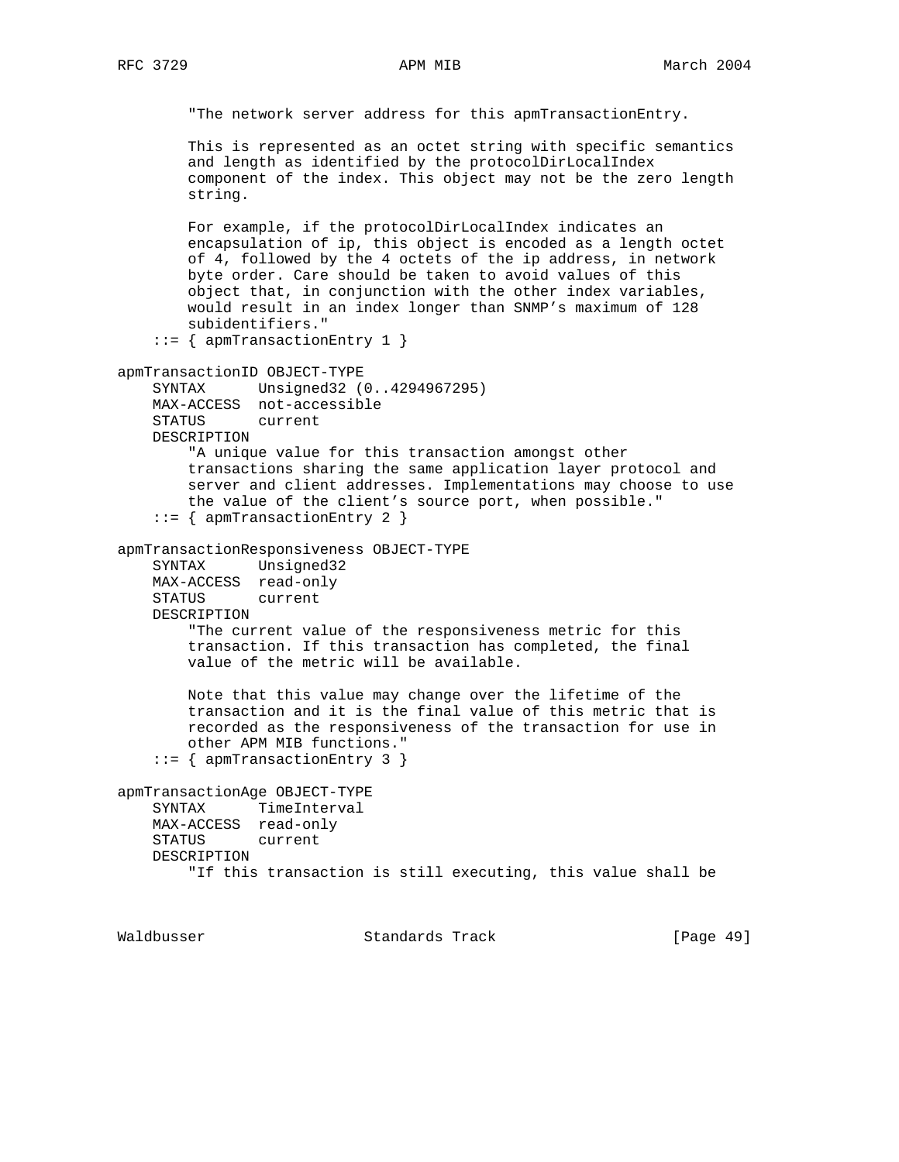```
 "The network server address for this apmTransactionEntry.
        This is represented as an octet string with specific semantics
         and length as identified by the protocolDirLocalIndex
         component of the index. This object may not be the zero length
        string.
        For example, if the protocolDirLocalIndex indicates an
        encapsulation of ip, this object is encoded as a length octet
        of 4, followed by the 4 octets of the ip address, in network
        byte order. Care should be taken to avoid values of this
        object that, in conjunction with the other index variables,
        would result in an index longer than SNMP's maximum of 128
         subidentifiers."
     ::= { apmTransactionEntry 1 }
apmTransactionID OBJECT-TYPE
    SYNTAX Unsigned32 (0..4294967295)
    MAX-ACCESS not-accessible
    STATUS current
    DESCRIPTION
         "A unique value for this transaction amongst other
        transactions sharing the same application layer protocol and
        server and client addresses. Implementations may choose to use
         the value of the client's source port, when possible."
     ::= { apmTransactionEntry 2 }
apmTransactionResponsiveness OBJECT-TYPE
    SYNTAX Unsigned32
    MAX-ACCESS read-only
    STATUS current
    DESCRIPTION
         "The current value of the responsiveness metric for this
         transaction. If this transaction has completed, the final
        value of the metric will be available.
        Note that this value may change over the lifetime of the
        transaction and it is the final value of this metric that is
        recorded as the responsiveness of the transaction for use in
        other APM MIB functions."
     ::= { apmTransactionEntry 3 }
apmTransactionAge OBJECT-TYPE
    SYNTAX TimeInterval
    MAX-ACCESS read-only
    STATUS current
    DESCRIPTION
         "If this transaction is still executing, this value shall be
```
Waldbusser **Standards Track** [Page 49]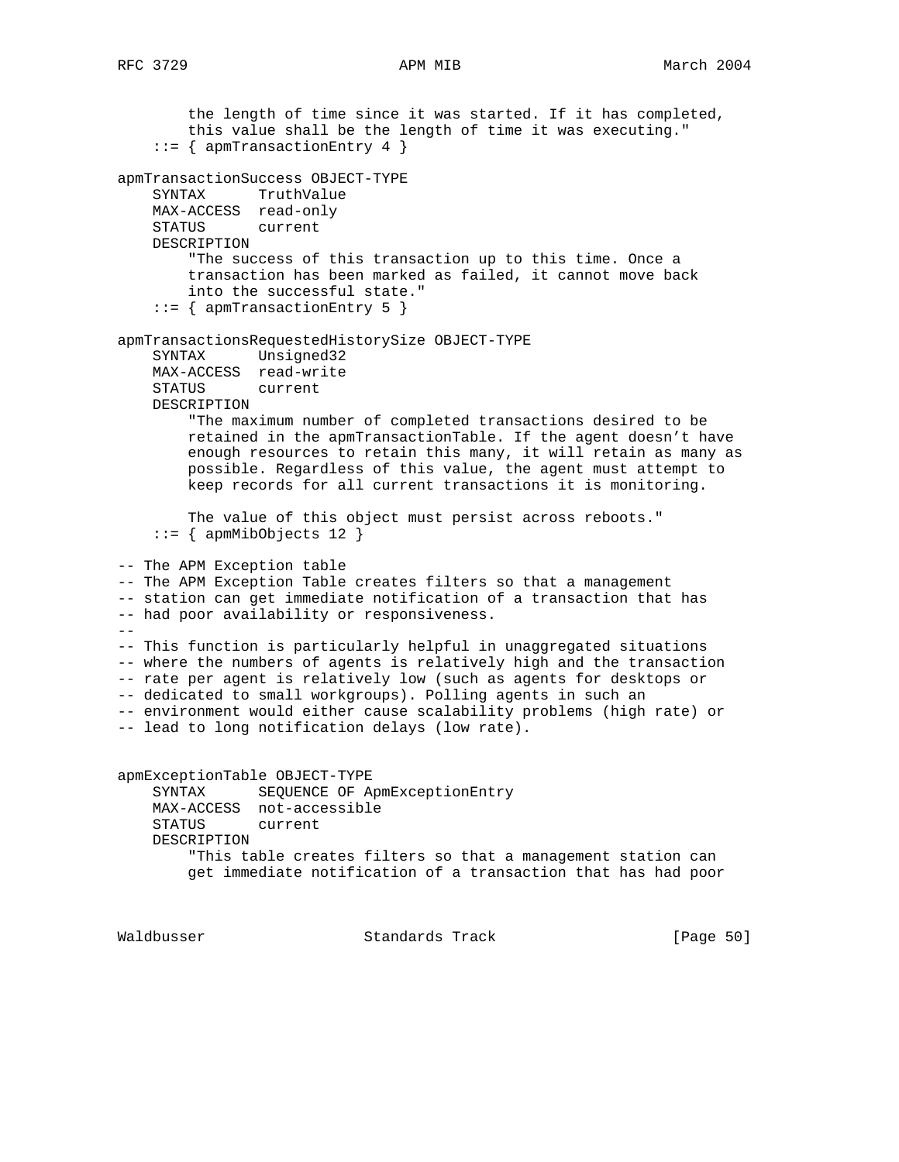the length of time since it was started. If it has completed, this value shall be the length of time it was executing." ::= { apmTransactionEntry 4 } apmTransactionSuccess OBJECT-TYPE SYNTAX TruthValue MAX-ACCESS read-only STATUS current DESCRIPTION "The success of this transaction up to this time. Once a transaction has been marked as failed, it cannot move back into the successful state." ::= { apmTransactionEntry 5 } apmTransactionsRequestedHistorySize OBJECT-TYPE SYNTAX Unsigned32 MAX-ACCESS read-write<br>STATUS current STATUS DESCRIPTION "The maximum number of completed transactions desired to be retained in the apmTransactionTable. If the agent doesn't have enough resources to retain this many, it will retain as many as possible. Regardless of this value, the agent must attempt to keep records for all current transactions it is monitoring. The value of this object must persist across reboots." ::= { apmMibObjects 12 } -- The APM Exception table -- The APM Exception Table creates filters so that a management -- station can get immediate notification of a transaction that has -- had poor availability or responsiveness.  $-$ -- This function is particularly helpful in unaggregated situations -- where the numbers of agents is relatively high and the transaction -- rate per agent is relatively low (such as agents for desktops or -- dedicated to small workgroups). Polling agents in such an -- environment would either cause scalability problems (high rate) or -- lead to long notification delays (low rate). apmExceptionTable OBJECT-TYPE SYNTAX SEQUENCE OF ApmExceptionEntry MAX-ACCESS not-accessible STATUS current DESCRIPTION "This table creates filters so that a management station can get immediate notification of a transaction that has had poor

Waldbusser **Standards Track** [Page 50]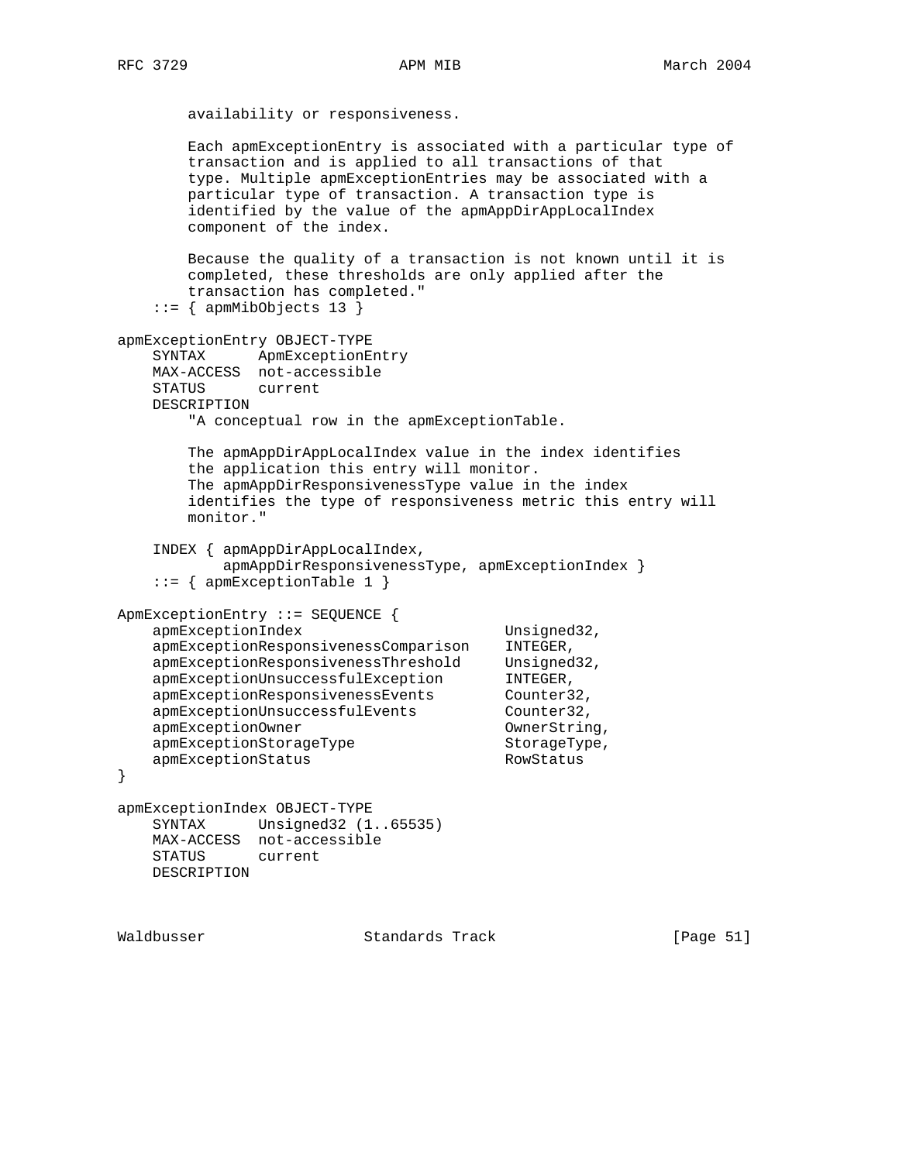availability or responsiveness.

 Each apmExceptionEntry is associated with a particular type of transaction and is applied to all transactions of that type. Multiple apmExceptionEntries may be associated with a particular type of transaction. A transaction type is identified by the value of the apmAppDirAppLocalIndex component of the index. Because the quality of a transaction is not known until it is completed, these thresholds are only applied after the transaction has completed."  $::=$  { apmMibObjects 13 } apmExceptionEntry OBJECT-TYPE SYNTAX ApmExceptionEntry MAX-ACCESS not-accessible STATUS current DESCRIPTION "A conceptual row in the apmExceptionTable. The apmAppDirAppLocalIndex value in the index identifies the application this entry will monitor. The apmAppDirResponsivenessType value in the index identifies the type of responsiveness metric this entry will monitor." INDEX { apmAppDirAppLocalIndex, apmAppDirResponsivenessType, apmExceptionIndex } ::= { apmExceptionTable 1 } ApmExceptionEntry ::= SEQUENCE { apmExceptionIndex Unsigned32, apmExceptionResponsivenessComparison INTEGER, apmExceptionResponsivenessThreshold Unsigned32, apmExceptionUnsuccessfulException INTEGER, apmExceptionUnsuccessfulException INTEGER,<br>apmExceptionResponsivenessEvents Counter32, apmExceptionUnsuccessfulEvents Counter32, apmExceptionOwner Communication OwnerString, apmExceptionStorageType StorageType, apmExceptionStatus RowStatus } apmExceptionIndex OBJECT-TYPE SYNTAX Unsigned32 (1..65535) MAX-ACCESS not-accessible STATUS current DESCRIPTION

Waldbusser Standards Track [Page 51]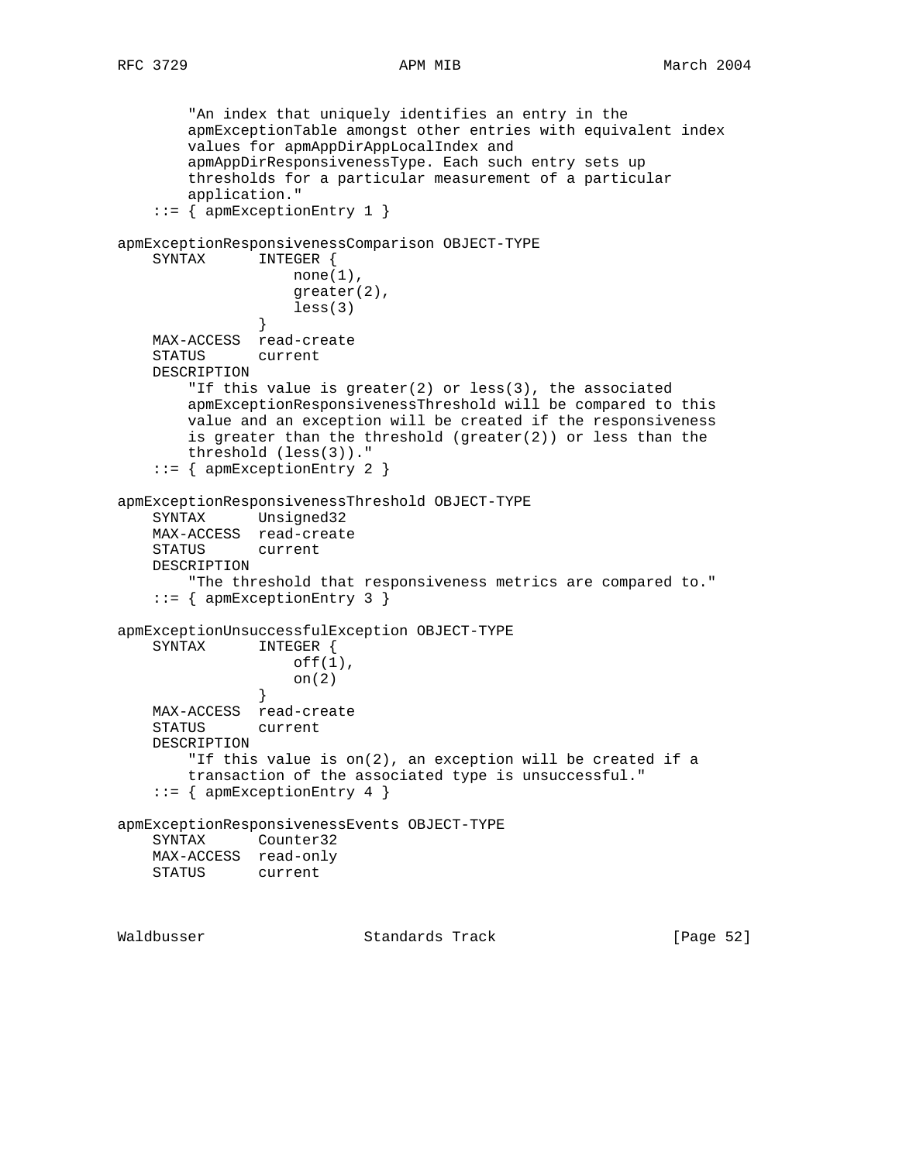```
 "An index that uniquely identifies an entry in the
        apmExceptionTable amongst other entries with equivalent index
        values for apmAppDirAppLocalIndex and
        apmAppDirResponsivenessType. Each such entry sets up
        thresholds for a particular measurement of a particular
        application."
     ::= { apmExceptionEntry 1 }
apmExceptionResponsivenessComparison OBJECT-TYPE
    SYNTAX INTEGER {
                   none(1),
                    greater(2),
               less(3) }
    MAX-ACCESS read-create
    STATUS current
    DESCRIPTION
        "If this value is greater(2) or less(3), the associated
        apmExceptionResponsivenessThreshold will be compared to this
        value and an exception will be created if the responsiveness
       is greater than the threshold (greatest(2)) or less than the
        threshold (less(3))."
     ::= { apmExceptionEntry 2 }
apmExceptionResponsivenessThreshold OBJECT-TYPE
    SYNTAX Unsigned32
    MAX-ACCESS read-create
    STATUS current
    DESCRIPTION
        "The threshold that responsiveness metrics are compared to."
     ::= { apmExceptionEntry 3 }
apmExceptionUnsuccessfulException OBJECT-TYPE
    SYNTAX INTEGER {
                    off(1),
               \} on(2)
 }
    MAX-ACCESS read-create
    STATUS current
    DESCRIPTION
        "If this value is on(2), an exception will be created if a
        transaction of the associated type is unsuccessful."
     ::= { apmExceptionEntry 4 }
apmExceptionResponsivenessEvents OBJECT-TYPE
    SYNTAX Counter32
    MAX-ACCESS read-only
    STATUS current
```
Waldbusser Standards Track [Page 52]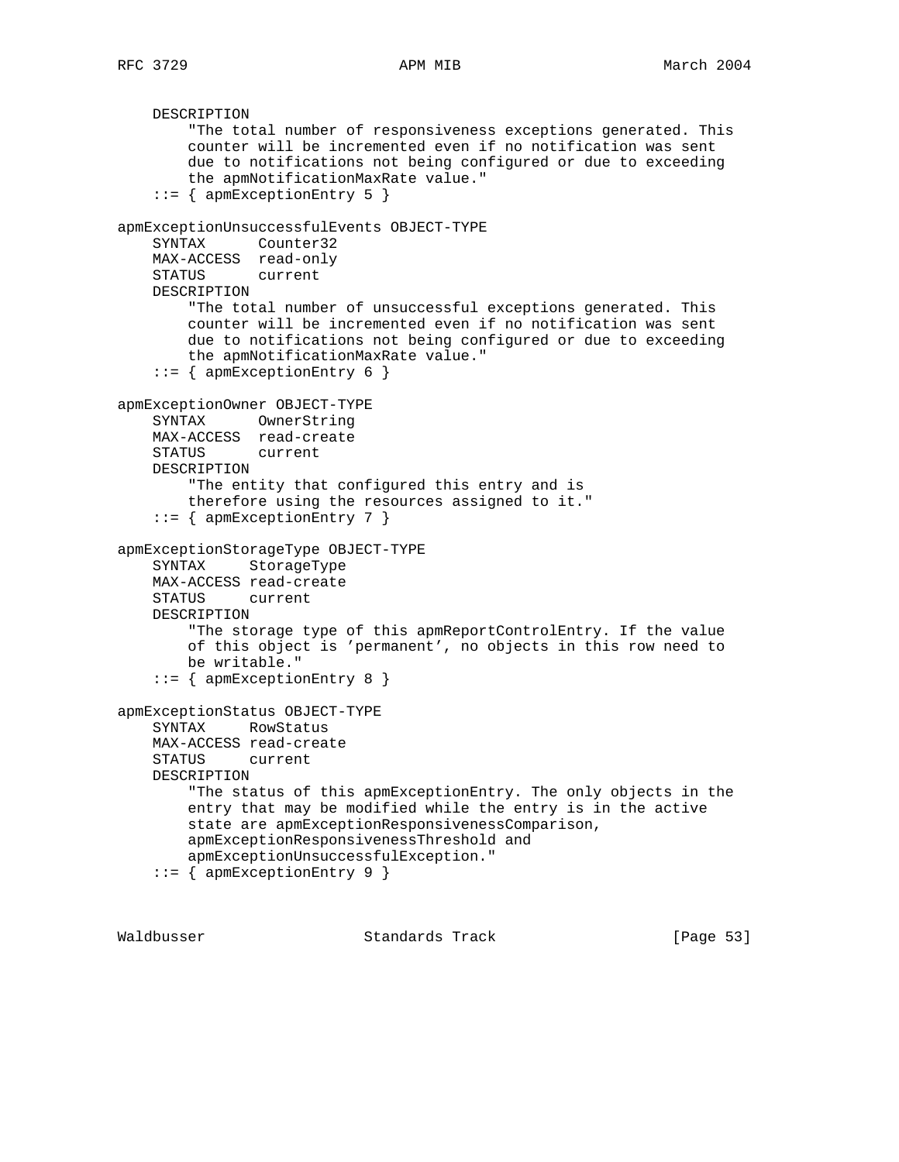```
 DESCRIPTION
         "The total number of responsiveness exceptions generated. This
         counter will be incremented even if no notification was sent
         due to notifications not being configured or due to exceeding
         the apmNotificationMaxRate value."
     ::= { apmExceptionEntry 5 }
apmExceptionUnsuccessfulEvents OBJECT-TYPE
     SYNTAX Counter32
    MAX-ACCESS read-only
    STATUS current
    DESCRIPTION
         "The total number of unsuccessful exceptions generated. This
         counter will be incremented even if no notification was sent
         due to notifications not being configured or due to exceeding
         the apmNotificationMaxRate value."
     ::= { apmExceptionEntry 6 }
apmExceptionOwner OBJECT-TYPE
    SYNTAX OwnerString
    MAX-ACCESS read-create
    STATUS current
    DESCRIPTION
         "The entity that configured this entry and is
         therefore using the resources assigned to it."
     ::= { apmExceptionEntry 7 }
apmExceptionStorageType OBJECT-TYPE
    SYNTAX StorageType
    MAX-ACCESS read-create
    STATUS current
    DESCRIPTION
         "The storage type of this apmReportControlEntry. If the value
         of this object is 'permanent', no objects in this row need to
        be writable."
     ::= { apmExceptionEntry 8 }
apmExceptionStatus OBJECT-TYPE
     SYNTAX RowStatus
    MAX-ACCESS read-create
     STATUS current
    DESCRIPTION
         "The status of this apmExceptionEntry. The only objects in the
         entry that may be modified while the entry is in the active
         state are apmExceptionResponsivenessComparison,
         apmExceptionResponsivenessThreshold and
         apmExceptionUnsuccessfulException."
     ::= { apmExceptionEntry 9 }
```
Waldbusser Standards Track [Page 53]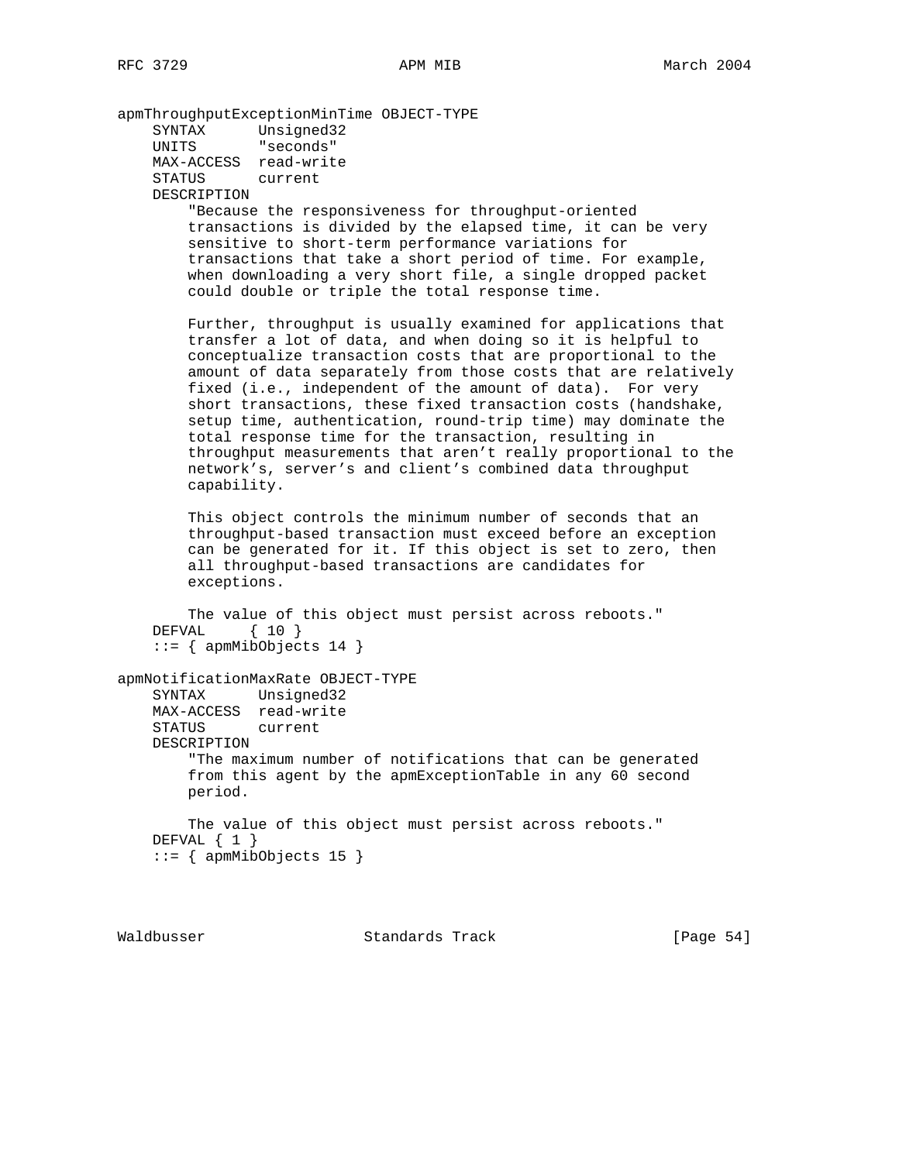apmThroughputExceptionMinTime OBJECT-TYPE SYNTAX Unsigned32 UNITS "seconds" MAX-ACCESS read-write STATUS current DESCRIPTION "Because the responsiveness for throughput-oriented transactions is divided by the elapsed time, it can be very sensitive to short-term performance variations for transactions that take a short period of time. For example, when downloading a very short file, a single dropped packet could double or triple the total response time. Further, throughput is usually examined for applications that transfer a lot of data, and when doing so it is helpful to conceptualize transaction costs that are proportional to the amount of data separately from those costs that are relatively fixed (i.e., independent of the amount of data). For very short transactions, these fixed transaction costs (handshake, setup time, authentication, round-trip time) may dominate the total response time for the transaction, resulting in throughput measurements that aren't really proportional to the network's, server's and client's combined data throughput capability. This object controls the minimum number of seconds that an throughput-based transaction must exceed before an exception can be generated for it. If this object is set to zero, then all throughput-based transactions are candidates for exceptions. The value of this object must persist across reboots." DEFVAL { 10 }  $::=$  { apmMibObjects 14 } apmNotificationMaxRate OBJECT-TYPE SYNTAX Unsigned32 MAX-ACCESS read-write STATUS current DESCRIPTION "The maximum number of notifications that can be generated from this agent by the apmExceptionTable in any 60 second period. The value of this object must persist across reboots." DEFVAL { 1 }  $::=$  { apmMibObjects 15 }

Waldbusser Standards Track [Page 54]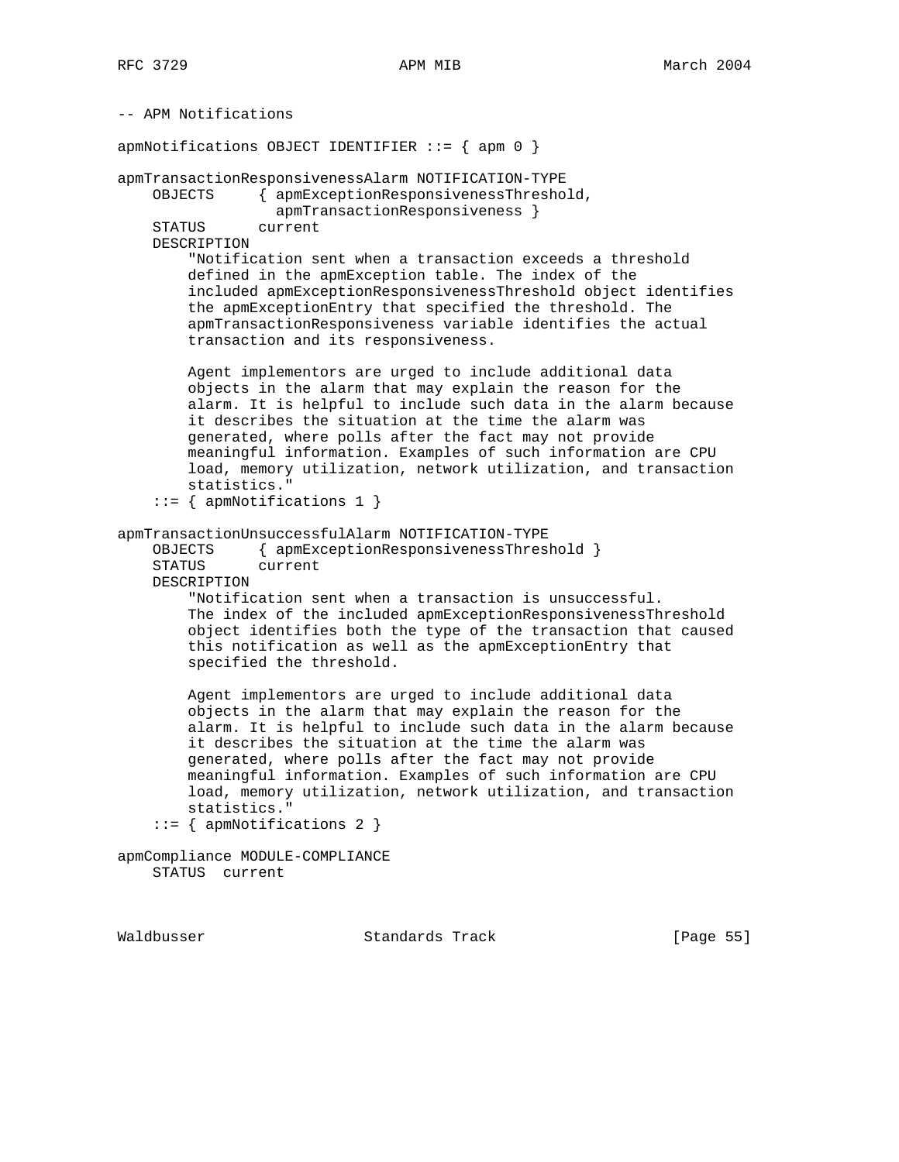-- APM Notifications apmNotifications OBJECT IDENTIFIER ::= { apm 0 } apmTransactionResponsivenessAlarm NOTIFICATION-TYPE OBJECTS { apmExceptionResponsivenessThreshold, apmTransactionResponsiveness } STATUS current DESCRIPTION "Notification sent when a transaction exceeds a threshold defined in the apmException table. The index of the included apmExceptionResponsivenessThreshold object identifies the apmExceptionEntry that specified the threshold. The apmTransactionResponsiveness variable identifies the actual transaction and its responsiveness. Agent implementors are urged to include additional data objects in the alarm that may explain the reason for the alarm. It is helpful to include such data in the alarm because it describes the situation at the time the alarm was generated, where polls after the fact may not provide meaningful information. Examples of such information are CPU load, memory utilization, network utilization, and transaction statistics." ::= { apmNotifications 1 } apmTransactionUnsuccessfulAlarm NOTIFICATION-TYPE OBJECTS { apmExceptionResponsivenessThreshold } STATUS current DESCRIPTION "Notification sent when a transaction is unsuccessful. The index of the included apmExceptionResponsivenessThreshold object identifies both the type of the transaction that caused this notification as well as the apmExceptionEntry that specified the threshold. Agent implementors are urged to include additional data objects in the alarm that may explain the reason for the alarm. It is helpful to include such data in the alarm because it describes the situation at the time the alarm was generated, where polls after the fact may not provide meaningful information. Examples of such information are CPU load, memory utilization, network utilization, and transaction statistics."  $::=$  { apmNotifications 2 } apmCompliance MODULE-COMPLIANCE STATUS current

Waldbusser Standards Track [Page 55]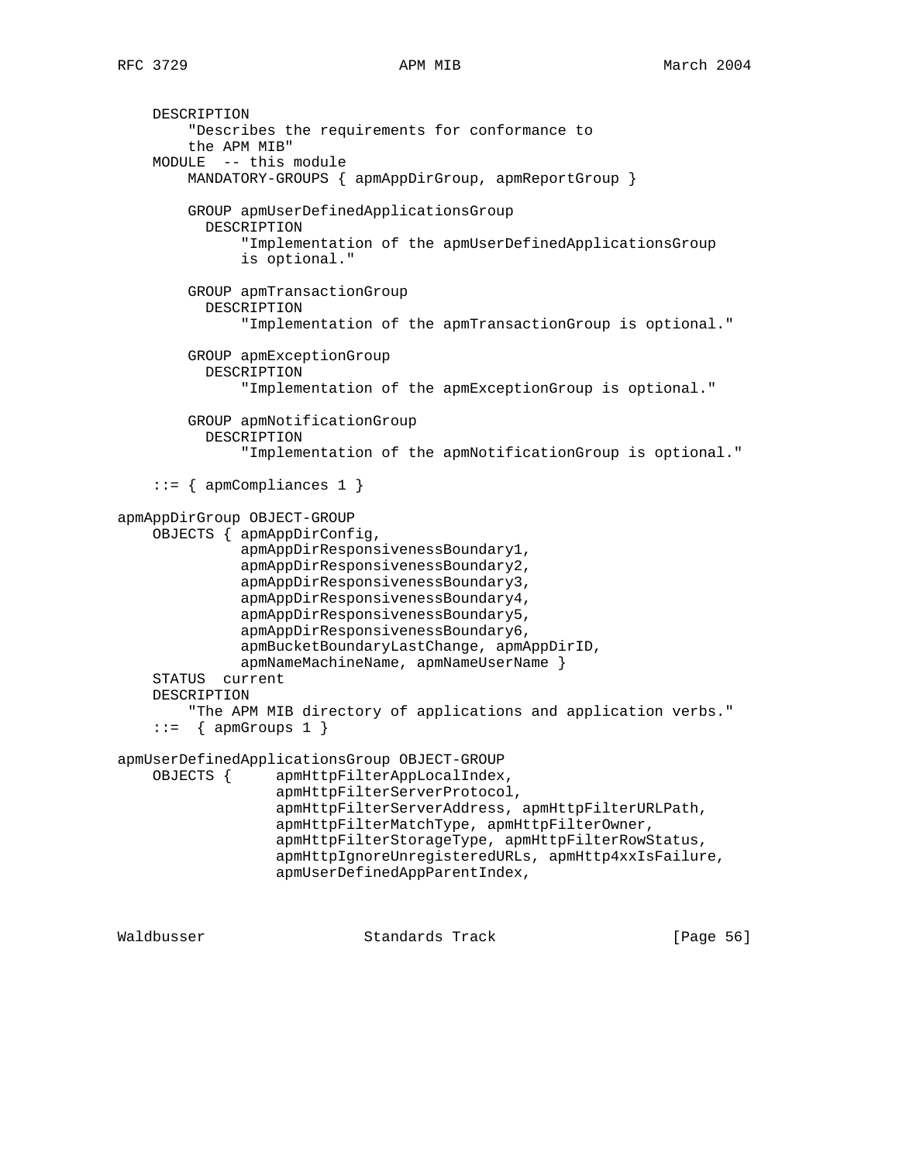```
 DESCRIPTION
         "Describes the requirements for conformance to
         the APM MIB"
     MODULE -- this module
         MANDATORY-GROUPS { apmAppDirGroup, apmReportGroup }
         GROUP apmUserDefinedApplicationsGroup
           DESCRIPTION
               "Implementation of the apmUserDefinedApplicationsGroup
               is optional."
         GROUP apmTransactionGroup
           DESCRIPTION
               "Implementation of the apmTransactionGroup is optional."
         GROUP apmExceptionGroup
           DESCRIPTION
               "Implementation of the apmExceptionGroup is optional."
         GROUP apmNotificationGroup
           DESCRIPTION
               "Implementation of the apmNotificationGroup is optional."
    ::= { apmCompliances 1 }
apmAppDirGroup OBJECT-GROUP
     OBJECTS { apmAppDirConfig,
               apmAppDirResponsivenessBoundary1,
               apmAppDirResponsivenessBoundary2,
               apmAppDirResponsivenessBoundary3,
               apmAppDirResponsivenessBoundary4,
               apmAppDirResponsivenessBoundary5,
               apmAppDirResponsivenessBoundary6,
               apmBucketBoundaryLastChange, apmAppDirID,
              apmNameMachineName, apmNameUserName }
     STATUS current
     DESCRIPTION
         "The APM MIB directory of applications and application verbs."
    ::= { apmGroups 1 }
apmUserDefinedApplicationsGroup OBJECT-GROUP
     OBJECTS { apmHttpFilterAppLocalIndex,
                   apmHttpFilterServerProtocol,
                   apmHttpFilterServerAddress, apmHttpFilterURLPath,
                   apmHttpFilterMatchType, apmHttpFilterOwner,
                   apmHttpFilterStorageType, apmHttpFilterRowStatus,
                   apmHttpIgnoreUnregisteredURLs, apmHttp4xxIsFailure,
                   apmUserDefinedAppParentIndex,
```
Waldbusser Standards Track [Page 56]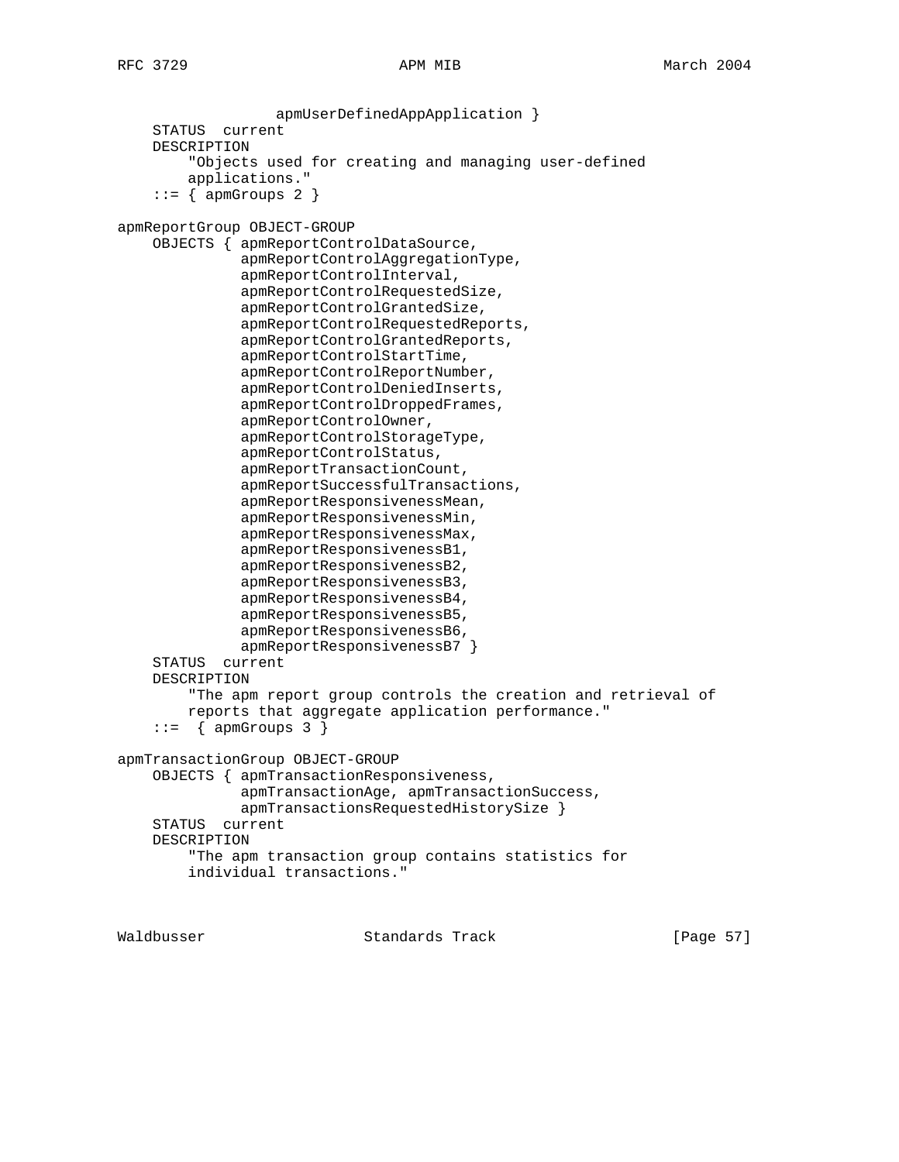apmUserDefinedAppApplication } STATUS current DESCRIPTION "Objects used for creating and managing user-defined applications."  $::=$  { apmGroups 2 } apmReportGroup OBJECT-GROUP OBJECTS { apmReportControlDataSource, apmReportControlAggregationType, apmReportControlInterval, apmReportControlRequestedSize, apmReportControlGrantedSize, apmReportControlRequestedReports, apmReportControlGrantedReports, apmReportControlStartTime, apmReportControlReportNumber, apmReportControlDeniedInserts, apmReportControlDroppedFrames, apmReportControlOwner, apmReportControlStorageType, apmReportControlStatus, apmReportTransactionCount, apmReportSuccessfulTransactions, apmReportResponsivenessMean, apmReportResponsivenessMin, apmReportResponsivenessMax, apmReportResponsivenessB1, apmReportResponsivenessB2, apmReportResponsivenessB3, apmReportResponsivenessB4, apmReportResponsivenessB5, apmReportResponsivenessB6, apmReportResponsivenessB7 } STATUS current DESCRIPTION "The apm report group controls the creation and retrieval of reports that aggregate application performance."  $::=$  { apmGroups 3 } apmTransactionGroup OBJECT-GROUP OBJECTS { apmTransactionResponsiveness, apmTransactionAge, apmTransactionSuccess, apmTransactionsRequestedHistorySize } STATUS current DESCRIPTION "The apm transaction group contains statistics for individual transactions."

Waldbusser Standards Track [Page 57]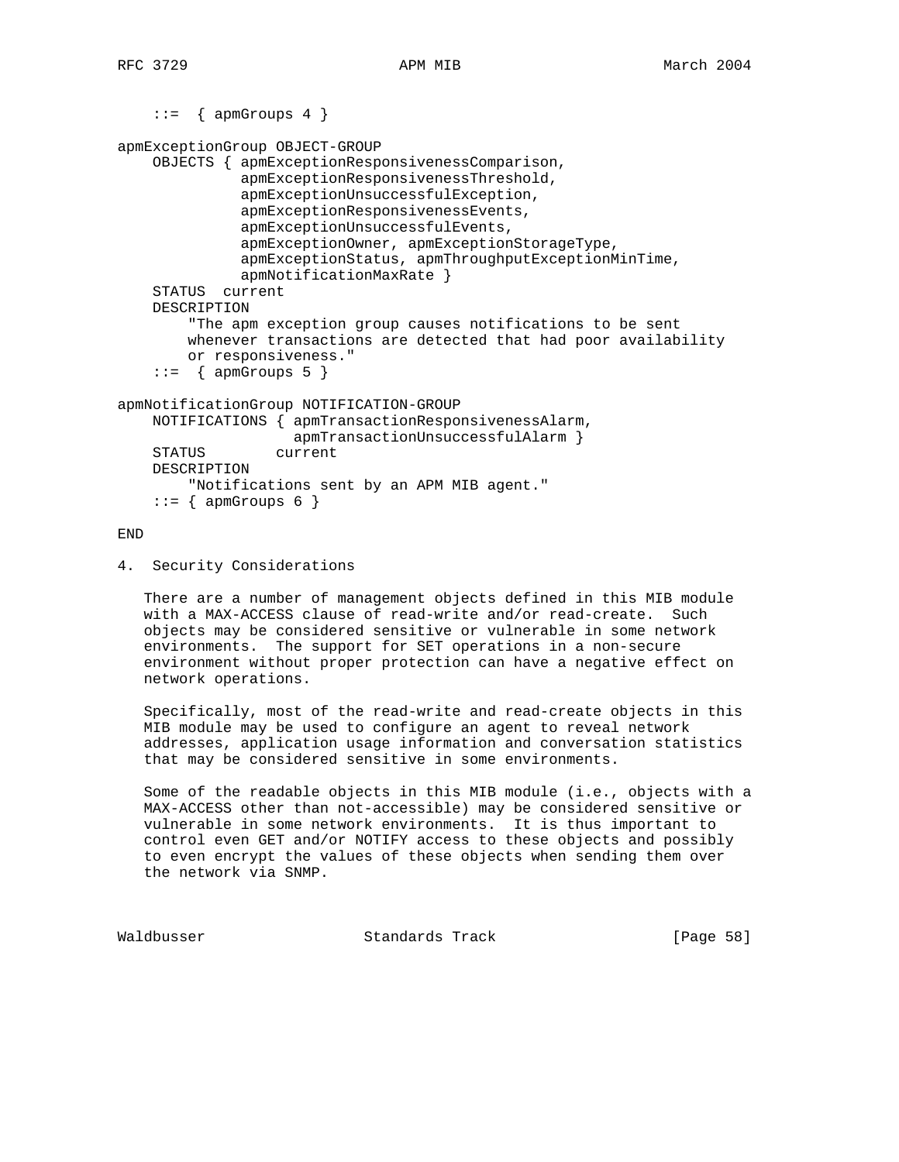```
apmExceptionGroup OBJECT-GROUP
     OBJECTS { apmExceptionResponsivenessComparison,
               apmExceptionResponsivenessThreshold,
               apmExceptionUnsuccessfulException,
               apmExceptionResponsivenessEvents,
               apmExceptionUnsuccessfulEvents,
               apmExceptionOwner, apmExceptionStorageType,
               apmExceptionStatus, apmThroughputExceptionMinTime,
               apmNotificationMaxRate }
     STATUS current
     DESCRIPTION
         "The apm exception group causes notifications to be sent
         whenever transactions are detected that had poor availability
         or responsiveness."
     ::= { apmGroups 5 }
apmNotificationGroup NOTIFICATION-GROUP
     NOTIFICATIONS { apmTransactionResponsivenessAlarm,
                     apmTransactionUnsuccessfulAlarm }
     STATUS current
     DESCRIPTION
         "Notifications sent by an APM MIB agent."
    ::= { apmGroups 6 }
```
END

4. Security Considerations

 $::=$  { apmGroups 4 }

 There are a number of management objects defined in this MIB module with a MAX-ACCESS clause of read-write and/or read-create. Such objects may be considered sensitive or vulnerable in some network environments. The support for SET operations in a non-secure environment without proper protection can have a negative effect on network operations.

 Specifically, most of the read-write and read-create objects in this MIB module may be used to configure an agent to reveal network addresses, application usage information and conversation statistics that may be considered sensitive in some environments.

 Some of the readable objects in this MIB module (i.e., objects with a MAX-ACCESS other than not-accessible) may be considered sensitive or vulnerable in some network environments. It is thus important to control even GET and/or NOTIFY access to these objects and possibly to even encrypt the values of these objects when sending them over the network via SNMP.

Waldbusser Standards Track [Page 58]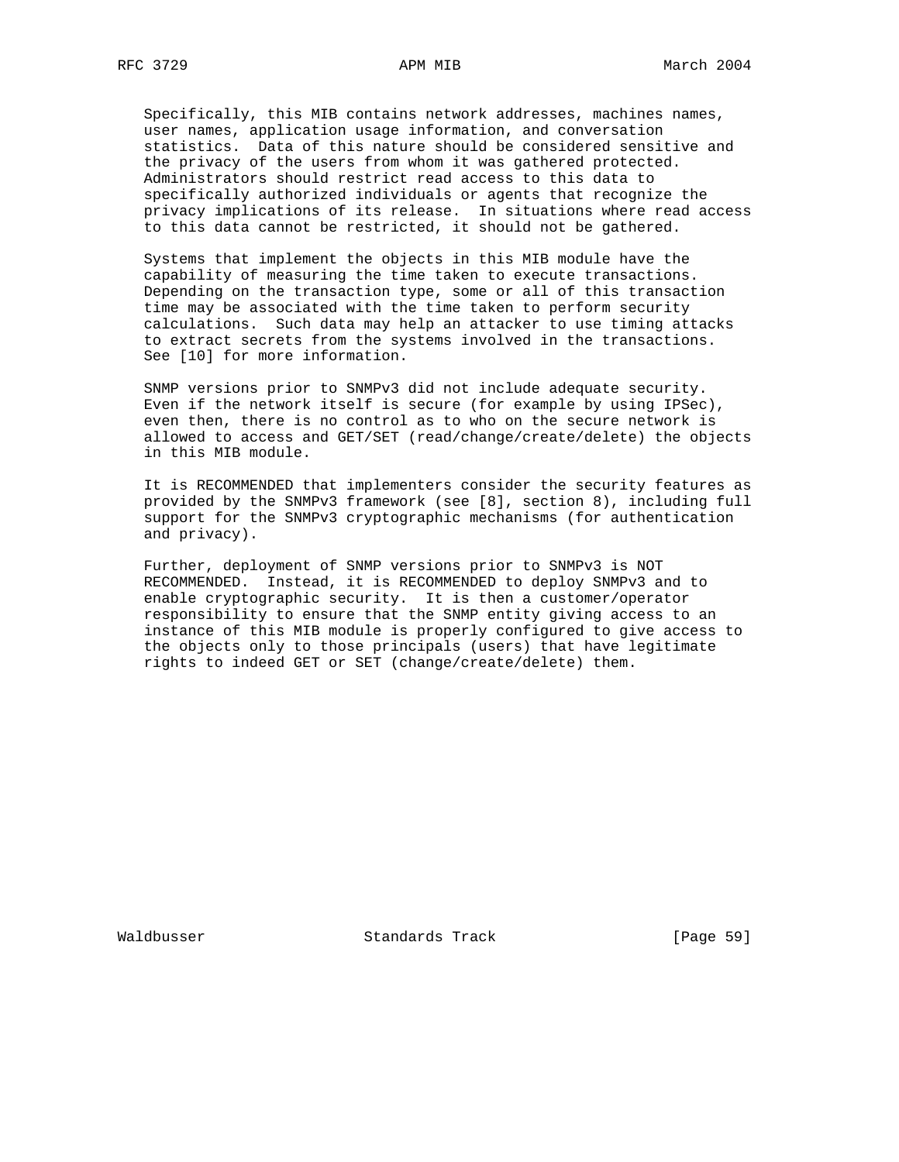Specifically, this MIB contains network addresses, machines names, user names, application usage information, and conversation statistics. Data of this nature should be considered sensitive and the privacy of the users from whom it was gathered protected. Administrators should restrict read access to this data to specifically authorized individuals or agents that recognize the privacy implications of its release. In situations where read access to this data cannot be restricted, it should not be gathered.

 Systems that implement the objects in this MIB module have the capability of measuring the time taken to execute transactions. Depending on the transaction type, some or all of this transaction time may be associated with the time taken to perform security calculations. Such data may help an attacker to use timing attacks to extract secrets from the systems involved in the transactions. See [10] for more information.

 SNMP versions prior to SNMPv3 did not include adequate security. Even if the network itself is secure (for example by using IPSec), even then, there is no control as to who on the secure network is allowed to access and GET/SET (read/change/create/delete) the objects in this MIB module.

 It is RECOMMENDED that implementers consider the security features as provided by the SNMPv3 framework (see [8], section 8), including full support for the SNMPv3 cryptographic mechanisms (for authentication and privacy).

 Further, deployment of SNMP versions prior to SNMPv3 is NOT RECOMMENDED. Instead, it is RECOMMENDED to deploy SNMPv3 and to enable cryptographic security. It is then a customer/operator responsibility to ensure that the SNMP entity giving access to an instance of this MIB module is properly configured to give access to the objects only to those principals (users) that have legitimate rights to indeed GET or SET (change/create/delete) them.

Waldbusser Standards Track [Page 59]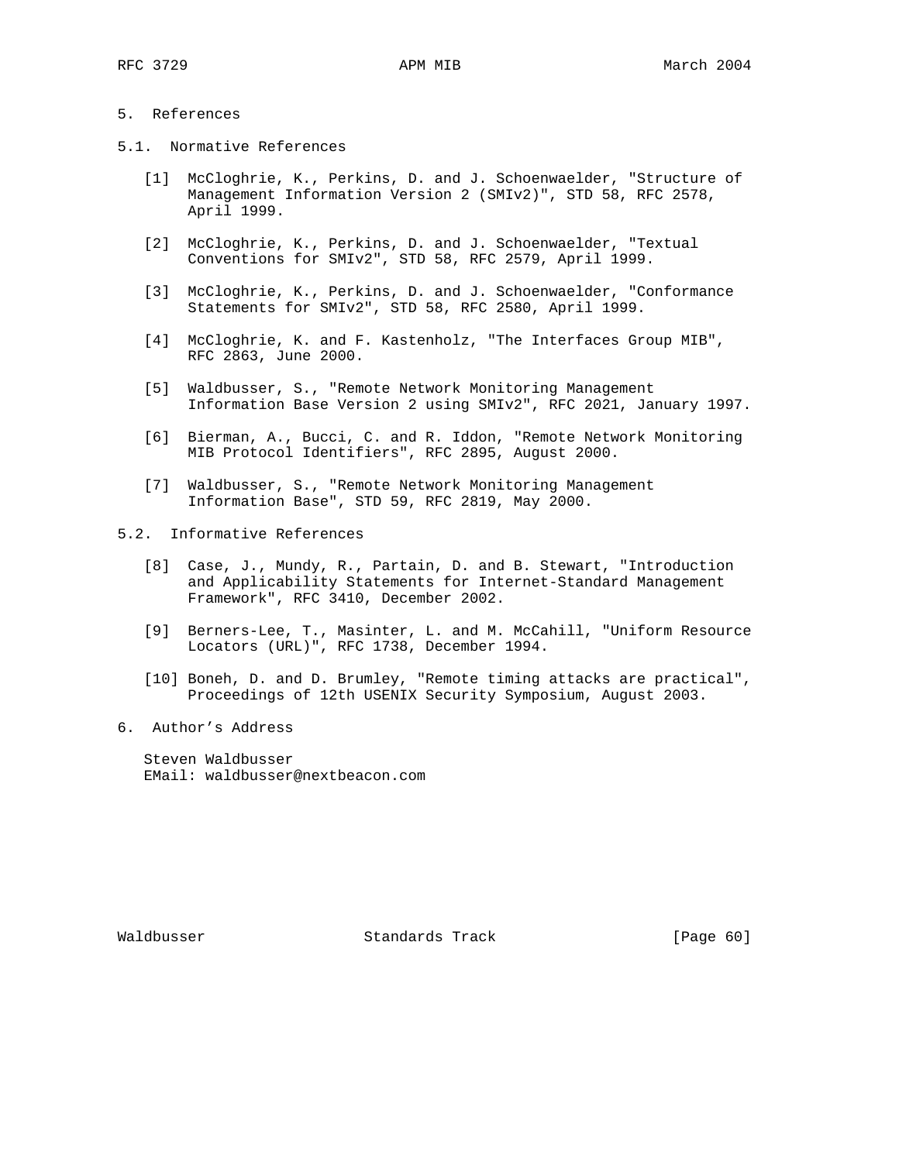# 5. References

- 5.1. Normative References
	- [1] McCloghrie, K., Perkins, D. and J. Schoenwaelder, "Structure of Management Information Version 2 (SMIv2)", STD 58, RFC 2578, April 1999.
	- [2] McCloghrie, K., Perkins, D. and J. Schoenwaelder, "Textual Conventions for SMIv2", STD 58, RFC 2579, April 1999.
	- [3] McCloghrie, K., Perkins, D. and J. Schoenwaelder, "Conformance Statements for SMIv2", STD 58, RFC 2580, April 1999.
	- [4] McCloghrie, K. and F. Kastenholz, "The Interfaces Group MIB", RFC 2863, June 2000.
	- [5] Waldbusser, S., "Remote Network Monitoring Management Information Base Version 2 using SMIv2", RFC 2021, January 1997.
	- [6] Bierman, A., Bucci, C. and R. Iddon, "Remote Network Monitoring MIB Protocol Identifiers", RFC 2895, August 2000.
	- [7] Waldbusser, S., "Remote Network Monitoring Management Information Base", STD 59, RFC 2819, May 2000.

# 5.2. Informative References

- [8] Case, J., Mundy, R., Partain, D. and B. Stewart, "Introduction and Applicability Statements for Internet-Standard Management Framework", RFC 3410, December 2002.
- [9] Berners-Lee, T., Masinter, L. and M. McCahill, "Uniform Resource Locators (URL)", RFC 1738, December 1994.
- [10] Boneh, D. and D. Brumley, "Remote timing attacks are practical", Proceedings of 12th USENIX Security Symposium, August 2003.
- 6. Author's Address

 Steven Waldbusser EMail: waldbusser@nextbeacon.com

Waldbusser Standards Track [Page 60]